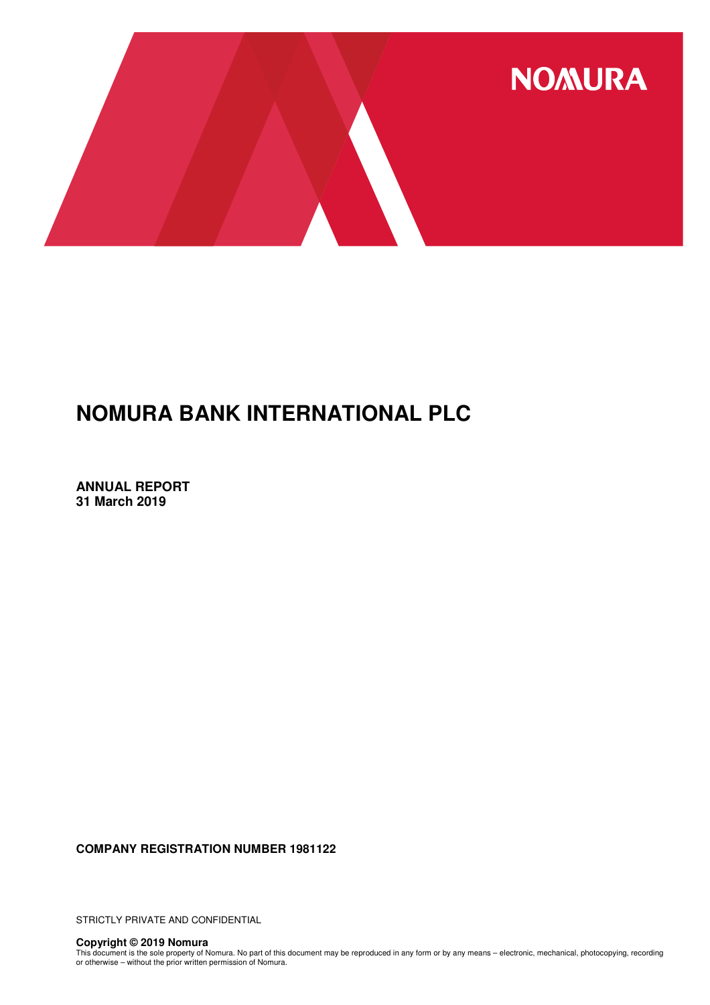

**ANNUAL REPORT 31 March 2019**

**COMPANY REGISTRATION NUMBER 1981122**

STRICTLY PRIVATE AND CONFIDENTIAL

**Copyright © 2019 Nomura**<br>This document is the sole property of Nomura. No part of this document may be reproduced in any form or by any means – electronic, mechanical, photocopying, recording<br>or otherwise – without the pr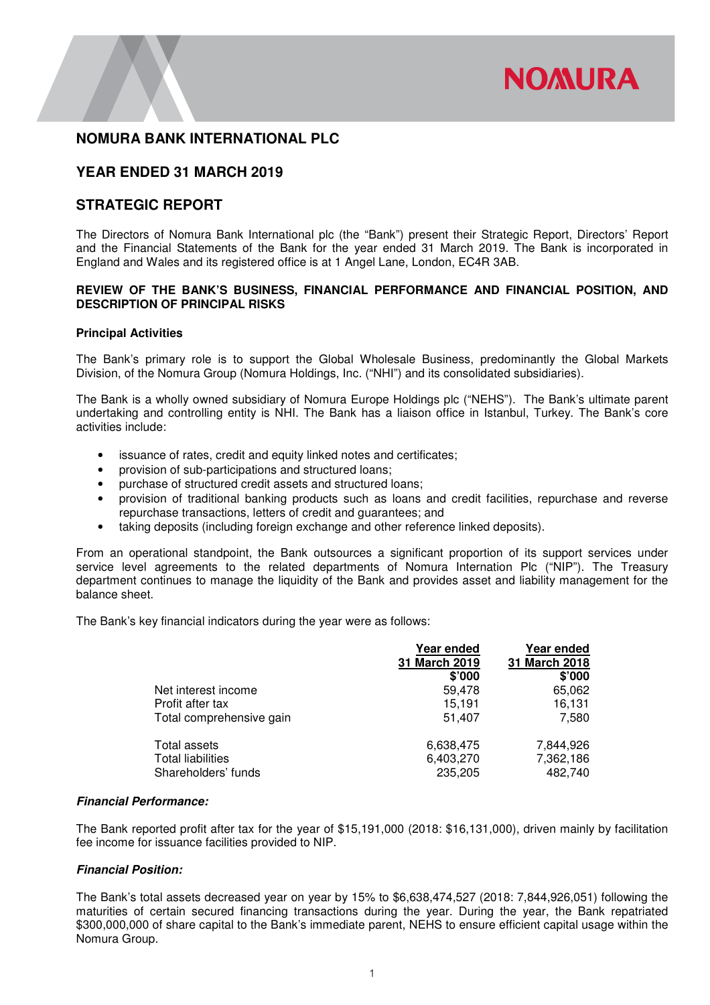

## **YEAR ENDED 31 MARCH 2019**

# **STRATEGIC REPORT**

The Directors of Nomura Bank International plc (the "Bank") present their Strategic Report, Directors' Report and the Financial Statements of the Bank for the year ended 31 March 2019. The Bank is incorporated in England and Wales and its registered office is at 1 Angel Lane, London, EC4R 3AB.

### **REVIEW OF THE BANK'S BUSINESS, FINANCIAL PERFORMANCE AND FINANCIAL POSITION, AND DESCRIPTION OF PRINCIPAL RISKS**

### **Principal Activities**

The Bank's primary role is to support the Global Wholesale Business, predominantly the Global Markets Division, of the Nomura Group (Nomura Holdings, Inc. ("NHI") and its consolidated subsidiaries).

The Bank is a wholly owned subsidiary of Nomura Europe Holdings plc ("NEHS"). The Bank's ultimate parent undertaking and controlling entity is NHI. The Bank has a liaison office in Istanbul, Turkey. The Bank's core activities include:

- issuance of rates, credit and equity linked notes and certificates;
- provision of sub-participations and structured loans;
- purchase of structured credit assets and structured loans;
- provision of traditional banking products such as loans and credit facilities, repurchase and reverse repurchase transactions, letters of credit and guarantees; and
- taking deposits (including foreign exchange and other reference linked deposits).

From an operational standpoint, the Bank outsources a significant proportion of its support services under service level agreements to the related departments of Nomura Internation Plc ("NIP"). The Treasury department continues to manage the liquidity of the Bank and provides asset and liability management for the balance sheet.

The Bank's key financial indicators during the year were as follows:

|                          | Year ended    | Year ended    |
|--------------------------|---------------|---------------|
|                          | 31 March 2019 | 31 March 2018 |
|                          | \$'000        | \$'000        |
| Net interest income      | 59,478        | 65,062        |
| Profit after tax         | 15,191        | 16,131        |
| Total comprehensive gain | 51,407        | 7,580         |
| Total assets             | 6,638,475     | 7,844,926     |
| <b>Total liabilities</b> | 6,403,270     | 7,362,186     |
| Shareholders' funds      | 235,205       | 482,740       |

### **Financial Performance:**

The Bank reported profit after tax for the year of \$15,191,000 (2018: \$16,131,000), driven mainly by facilitation fee income for issuance facilities provided to NIP.

### **Financial Position:**

The Bank's total assets decreased year on year by 15% to \$6,638,474,527 (2018: 7,844,926,051) following the maturities of certain secured financing transactions during the year. During the year, the Bank repatriated \$300,000,000 of share capital to the Bank's immediate parent, NEHS to ensure efficient capital usage within the Nomura Group.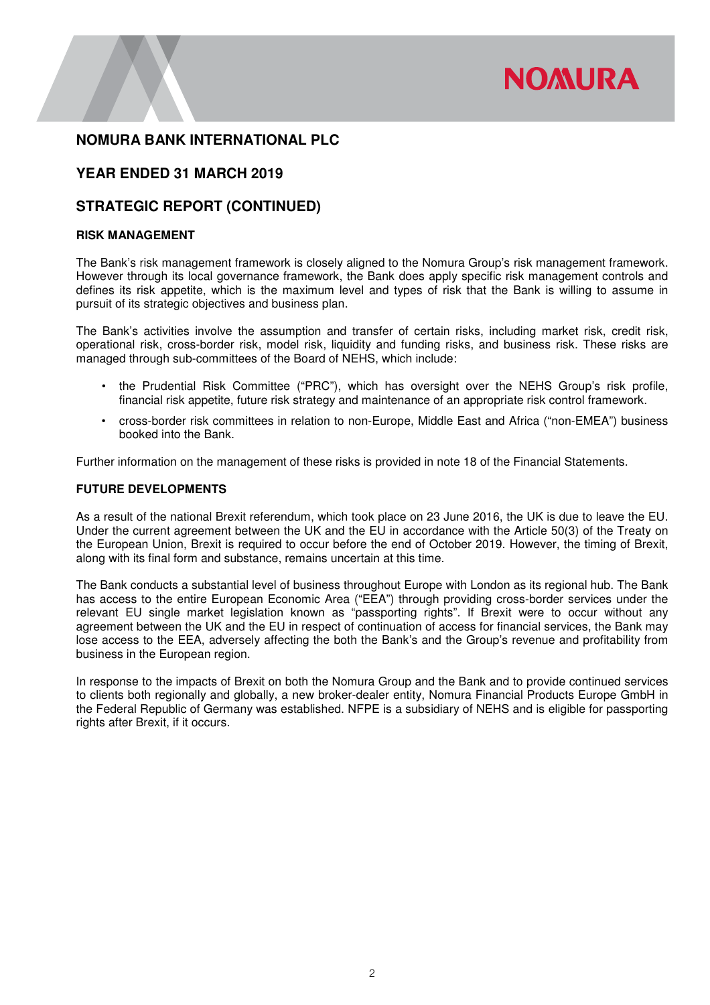

# **YEAR ENDED 31 MARCH 2019**

# **STRATEGIC REPORT (CONTINUED)**

### **RISK MANAGEMENT**

The Bank's risk management framework is closely aligned to the Nomura Group's risk management framework. However through its local governance framework, the Bank does apply specific risk management controls and defines its risk appetite, which is the maximum level and types of risk that the Bank is willing to assume in pursuit of its strategic objectives and business plan.

The Bank's activities involve the assumption and transfer of certain risks, including market risk, credit risk, operational risk, cross-border risk, model risk, liquidity and funding risks, and business risk. These risks are managed through sub-committees of the Board of NEHS, which include:

- the Prudential Risk Committee ("PRC"), which has oversight over the NEHS Group's risk profile, financial risk appetite, future risk strategy and maintenance of an appropriate risk control framework.
- cross-border risk committees in relation to non-Europe, Middle East and Africa ("non-EMEA") business booked into the Bank.

Further information on the management of these risks is provided in note 18 of the Financial Statements.

### **FUTURE DEVELOPMENTS**

As a result of the national Brexit referendum, which took place on 23 June 2016, the UK is due to leave the EU. Under the current agreement between the UK and the EU in accordance with the Article 50(3) of the Treaty on the European Union, Brexit is required to occur before the end of October 2019. However, the timing of Brexit, along with its final form and substance, remains uncertain at this time.

The Bank conducts a substantial level of business throughout Europe with London as its regional hub. The Bank has access to the entire European Economic Area ("EEA") through providing cross-border services under the relevant EU single market legislation known as "passporting rights". If Brexit were to occur without any agreement between the UK and the EU in respect of continuation of access for financial services, the Bank may lose access to the EEA, adversely affecting the both the Bank's and the Group's revenue and profitability from business in the European region.

In response to the impacts of Brexit on both the Nomura Group and the Bank and to provide continued services to clients both regionally and globally, a new broker-dealer entity, Nomura Financial Products Europe GmbH in the Federal Republic of Germany was established. NFPE is a subsidiary of NEHS and is eligible for passporting rights after Brexit, if it occurs.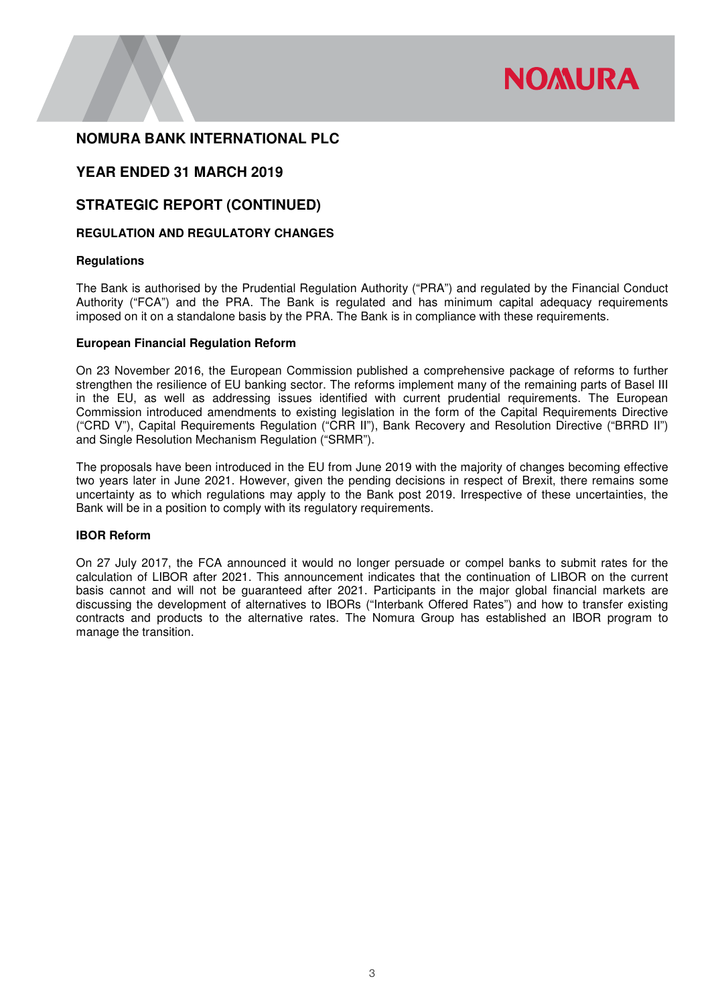

# **YEAR ENDED 31 MARCH 2019**

# **STRATEGIC REPORT (CONTINUED)**

### **REGULATION AND REGULATORY CHANGES**

### **Regulations**

The Bank is authorised by the Prudential Regulation Authority ("PRA") and regulated by the Financial Conduct Authority ("FCA") and the PRA. The Bank is regulated and has minimum capital adequacy requirements imposed on it on a standalone basis by the PRA. The Bank is in compliance with these requirements.

### **European Financial Regulation Reform**

On 23 November 2016, the European Commission published a comprehensive package of reforms to further strengthen the resilience of EU banking sector. The reforms implement many of the remaining parts of Basel III in the EU, as well as addressing issues identified with current prudential requirements. The European Commission introduced amendments to existing legislation in the form of the Capital Requirements Directive ("CRD V"), Capital Requirements Regulation ("CRR II"), Bank Recovery and Resolution Directive ("BRRD II") and Single Resolution Mechanism Regulation ("SRMR").

The proposals have been introduced in the EU from June 2019 with the majority of changes becoming effective two years later in June 2021. However, given the pending decisions in respect of Brexit, there remains some uncertainty as to which regulations may apply to the Bank post 2019. Irrespective of these uncertainties, the Bank will be in a position to comply with its regulatory requirements.

### **IBOR Reform**

On 27 July 2017, the FCA announced it would no longer persuade or compel banks to submit rates for the calculation of LIBOR after 2021. This announcement indicates that the continuation of LIBOR on the current basis cannot and will not be guaranteed after 2021. Participants in the major global financial markets are discussing the development of alternatives to IBORs ("Interbank Offered Rates") and how to transfer existing contracts and products to the alternative rates. The Nomura Group has established an IBOR program to manage the transition.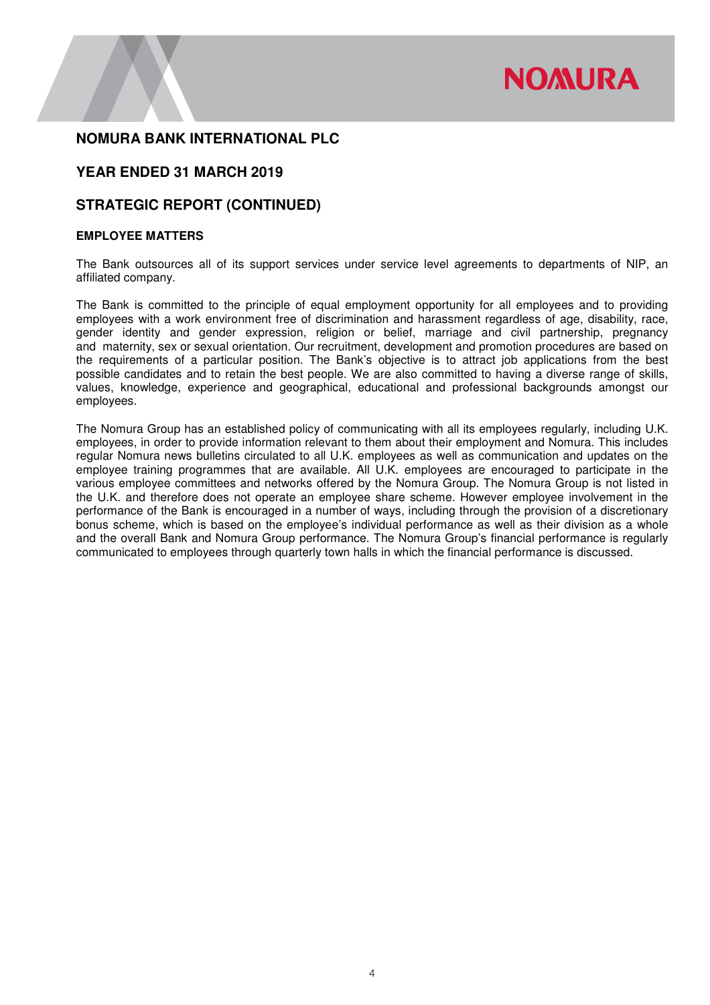

# **YEAR ENDED 31 MARCH 2019**

# **STRATEGIC REPORT (CONTINUED)**

### **EMPLOYEE MATTERS**

The Bank outsources all of its support services under service level agreements to departments of NIP, an affiliated company.

The Bank is committed to the principle of equal employment opportunity for all employees and to providing employees with a work environment free of discrimination and harassment regardless of age, disability, race, gender identity and gender expression, religion or belief, marriage and civil partnership, pregnancy and maternity, sex or sexual orientation. Our recruitment, development and promotion procedures are based on the requirements of a particular position. The Bank's objective is to attract job applications from the best possible candidates and to retain the best people. We are also committed to having a diverse range of skills, values, knowledge, experience and geographical, educational and professional backgrounds amongst our employees.

The Nomura Group has an established policy of communicating with all its employees regularly, including U.K. employees, in order to provide information relevant to them about their employment and Nomura. This includes regular Nomura news bulletins circulated to all U.K. employees as well as communication and updates on the employee training programmes that are available. All U.K. employees are encouraged to participate in the various employee committees and networks offered by the Nomura Group. The Nomura Group is not listed in the U.K. and therefore does not operate an employee share scheme. However employee involvement in the performance of the Bank is encouraged in a number of ways, including through the provision of a discretionary bonus scheme, which is based on the employee's individual performance as well as their division as a whole and the overall Bank and Nomura Group performance. The Nomura Group's financial performance is regularly communicated to employees through quarterly town halls in which the financial performance is discussed.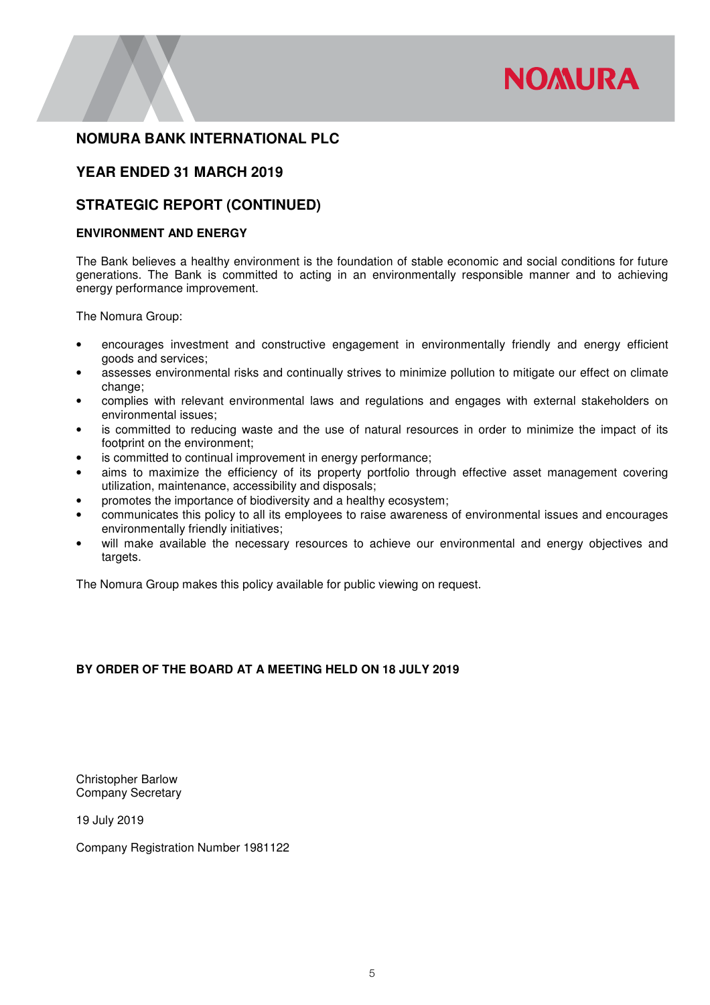

# **YEAR ENDED 31 MARCH 2019**

# **STRATEGIC REPORT (CONTINUED)**

### **ENVIRONMENT AND ENERGY**

The Bank believes a healthy environment is the foundation of stable economic and social conditions for future generations. The Bank is committed to acting in an environmentally responsible manner and to achieving energy performance improvement.

The Nomura Group:

- encourages investment and constructive engagement in environmentally friendly and energy efficient goods and services;
- assesses environmental risks and continually strives to minimize pollution to mitigate our effect on climate change;
- complies with relevant environmental laws and regulations and engages with external stakeholders on environmental issues;
- is committed to reducing waste and the use of natural resources in order to minimize the impact of its footprint on the environment;
- is committed to continual improvement in energy performance;
- aims to maximize the efficiency of its property portfolio through effective asset management covering utilization, maintenance, accessibility and disposals;
- promotes the importance of biodiversity and a healthy ecosystem;
- communicates this policy to all its employees to raise awareness of environmental issues and encourages environmentally friendly initiatives;
- will make available the necessary resources to achieve our environmental and energy objectives and targets.

The Nomura Group makes this policy available for public viewing on request.

### **BY ORDER OF THE BOARD AT A MEETING HELD ON 18 JULY 2019**

Christopher Barlow Company Secretary

19 July 2019

Company Registration Number 1981122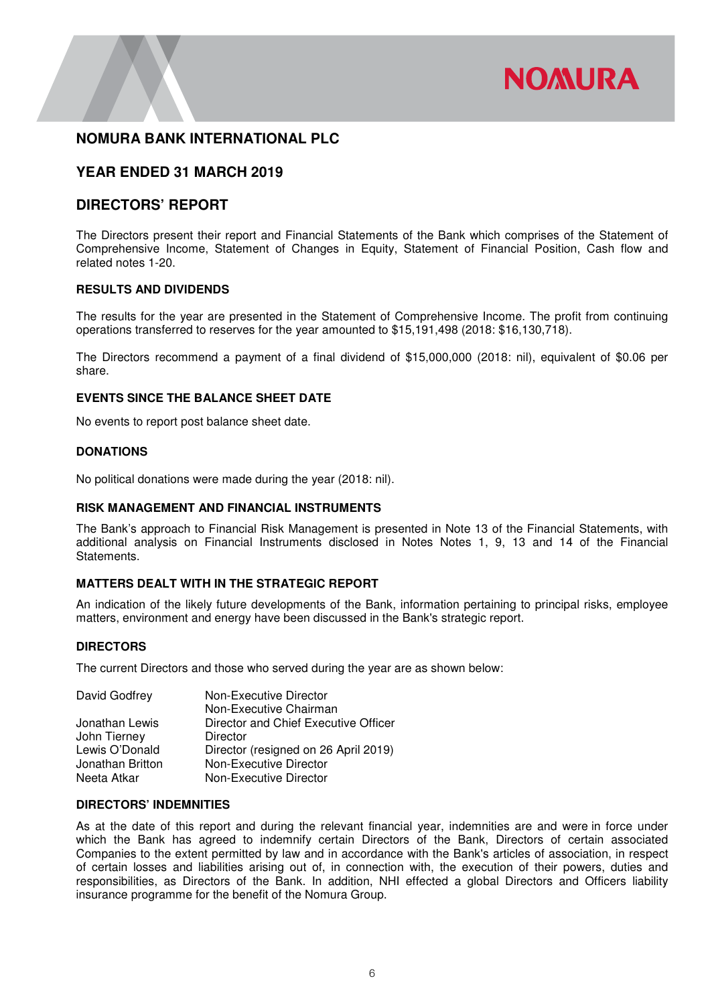

# **YEAR ENDED 31 MARCH 2019**

# **DIRECTORS' REPORT**

The Directors present their report and Financial Statements of the Bank which comprises of the Statement of Comprehensive Income, Statement of Changes in Equity, Statement of Financial Position, Cash flow and related notes 1-20.

### **RESULTS AND DIVIDENDS**

The results for the year are presented in the Statement of Comprehensive Income. The profit from continuing operations transferred to reserves for the year amounted to \$15,191,498 (2018: \$16,130,718).

The Directors recommend a payment of a final dividend of \$15,000,000 (2018: nil), equivalent of \$0.06 per share.

### **EVENTS SINCE THE BALANCE SHEET DATE**

No events to report post balance sheet date.

### **DONATIONS**

No political donations were made during the year (2018: nil).

### **RISK MANAGEMENT AND FINANCIAL INSTRUMENTS**

The Bank's approach to Financial Risk Management is presented in Note 13 of the Financial Statements, with additional analysis on Financial Instruments disclosed in Notes Notes 1, 9, 13 and 14 of the Financial Statements.

### **MATTERS DEALT WITH IN THE STRATEGIC REPORT**

An indication of the likely future developments of the Bank, information pertaining to principal risks, employee matters, environment and energy have been discussed in the Bank's strategic report.

### **DIRECTORS**

The current Directors and those who served during the year are as shown below:

| David Godfrey    | Non-Executive Director               |
|------------------|--------------------------------------|
|                  | Non-Executive Chairman               |
| Jonathan Lewis   | Director and Chief Executive Officer |
| John Tierney     | Director                             |
| Lewis O'Donald   | Director (resigned on 26 April 2019) |
| Jonathan Britton | Non-Executive Director               |
| Neeta Atkar      | Non-Executive Director               |
|                  |                                      |

### **DIRECTORS' INDEMNITIES**

As at the date of this report and during the relevant financial year, indemnities are and were in force under which the Bank has agreed to indemnify certain Directors of the Bank, Directors of certain associated Companies to the extent permitted by law and in accordance with the Bank's articles of association, in respect of certain losses and liabilities arising out of, in connection with, the execution of their powers, duties and responsibilities, as Directors of the Bank. In addition, NHI effected a global Directors and Officers liability insurance programme for the benefit of the Nomura Group.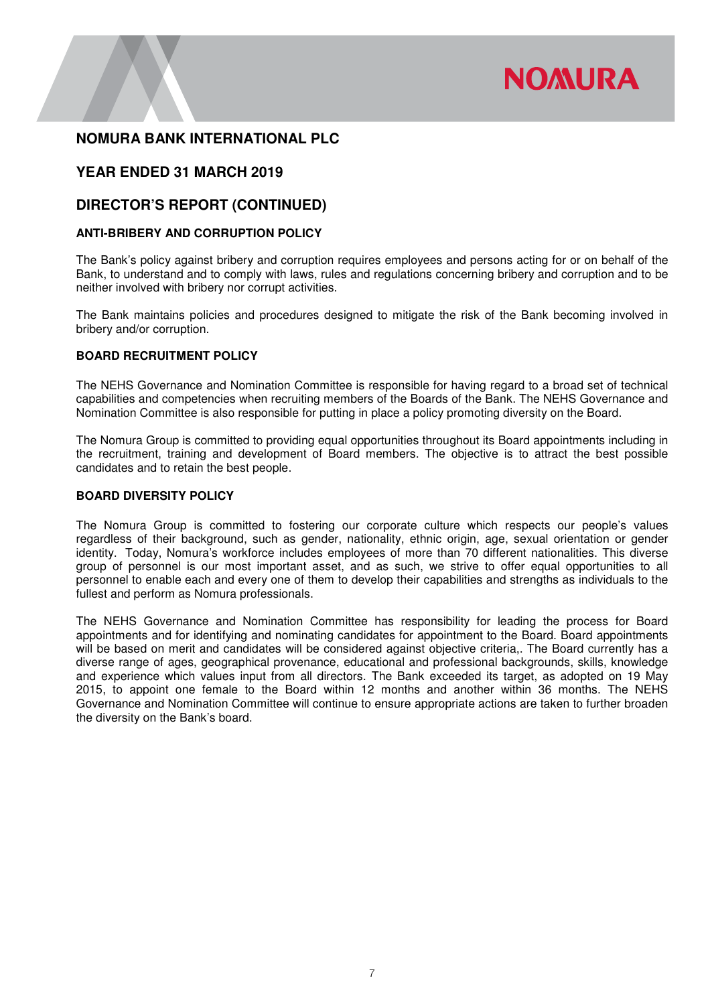

# **YEAR ENDED 31 MARCH 2019**

## **DIRECTOR'S REPORT (CONTINUED)**

### **ANTI-BRIBERY AND CORRUPTION POLICY**

The Bank's policy against bribery and corruption requires employees and persons acting for or on behalf of the Bank, to understand and to comply with laws, rules and regulations concerning bribery and corruption and to be neither involved with bribery nor corrupt activities.

The Bank maintains policies and procedures designed to mitigate the risk of the Bank becoming involved in bribery and/or corruption.

### **BOARD RECRUITMENT POLICY**

The NEHS Governance and Nomination Committee is responsible for having regard to a broad set of technical capabilities and competencies when recruiting members of the Boards of the Bank. The NEHS Governance and Nomination Committee is also responsible for putting in place a policy promoting diversity on the Board.

The Nomura Group is committed to providing equal opportunities throughout its Board appointments including in the recruitment, training and development of Board members. The objective is to attract the best possible candidates and to retain the best people.

### **BOARD DIVERSITY POLICY**

The Nomura Group is committed to fostering our corporate culture which respects our people's values regardless of their background, such as gender, nationality, ethnic origin, age, sexual orientation or gender identity. Today, Nomura's workforce includes employees of more than 70 different nationalities. This diverse group of personnel is our most important asset, and as such, we strive to offer equal opportunities to all personnel to enable each and every one of them to develop their capabilities and strengths as individuals to the fullest and perform as Nomura professionals.

The NEHS Governance and Nomination Committee has responsibility for leading the process for Board appointments and for identifying and nominating candidates for appointment to the Board. Board appointments will be based on merit and candidates will be considered against objective criteria,. The Board currently has a diverse range of ages, geographical provenance, educational and professional backgrounds, skills, knowledge and experience which values input from all directors. The Bank exceeded its target, as adopted on 19 May 2015, to appoint one female to the Board within 12 months and another within 36 months. The NEHS Governance and Nomination Committee will continue to ensure appropriate actions are taken to further broaden the diversity on the Bank's board.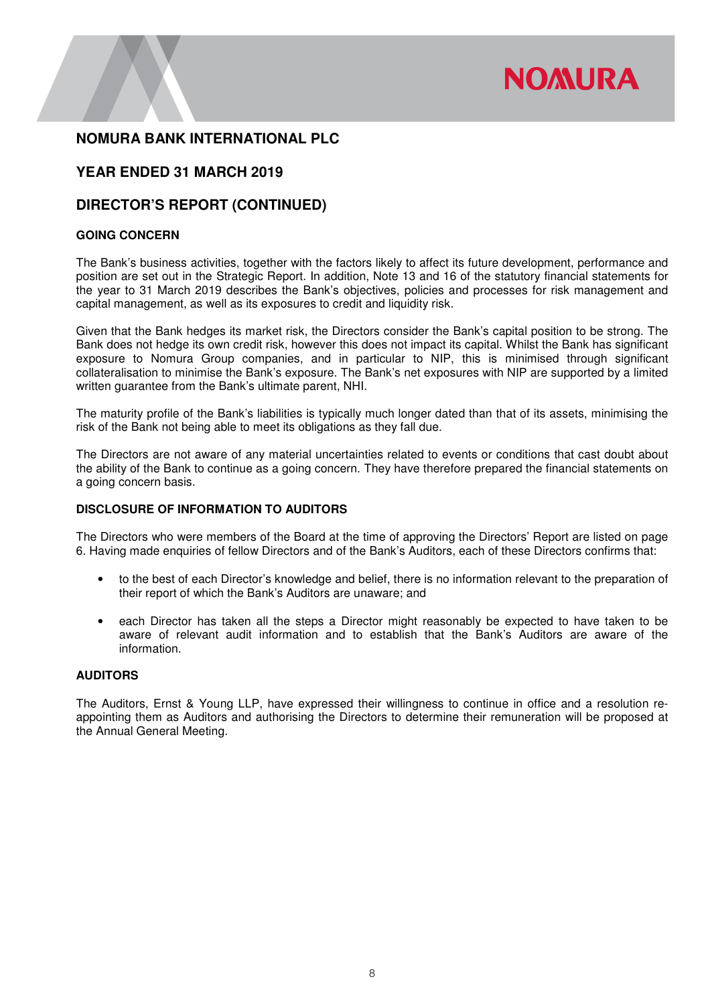

# **YEAR ENDED 31 MARCH 2019**

## **DIRECTOR'S REPORT (CONTINUED)**

### **GOING CONCERN**

The Bank's business activities, together with the factors likely to affect its future development, performance and position are set out in the Strategic Report. In addition, Note 13 and 16 of the statutory financial statements for the year to 31 March 2019 describes the Bank's objectives, policies and processes for risk management and capital management, as well as its exposures to credit and liquidity risk.

Given that the Bank hedges its market risk, the Directors consider the Bank's capital position to be strong. The Bank does not hedge its own credit risk, however this does not impact its capital. Whilst the Bank has significant exposure to Nomura Group companies, and in particular to NIP, this is minimised through significant collateralisation to minimise the Bank's exposure. The Bank's net exposures with NIP are supported by a limited written guarantee from the Bank's ultimate parent, NHI.

The maturity profile of the Bank's liabilities is typically much longer dated than that of its assets, minimising the risk of the Bank not being able to meet its obligations as they fall due.

The Directors are not aware of any material uncertainties related to events or conditions that cast doubt about the ability of the Bank to continue as a going concern. They have therefore prepared the financial statements on a going concern basis.

### **DISCLOSURE OF INFORMATION TO AUDITORS**

The Directors who were members of the Board at the time of approving the Directors' Report are listed on page 6. Having made enquiries of fellow Directors and of the Bank's Auditors, each of these Directors confirms that:

- to the best of each Director's knowledge and belief, there is no information relevant to the preparation of their report of which the Bank's Auditors are unaware; and
- each Director has taken all the steps a Director might reasonably be expected to have taken to be aware of relevant audit information and to establish that the Bank's Auditors are aware of the information.

### **AUDITORS**

The Auditors, Ernst & Young LLP, have expressed their willingness to continue in office and a resolution reappointing them as Auditors and authorising the Directors to determine their remuneration will be proposed at the Annual General Meeting.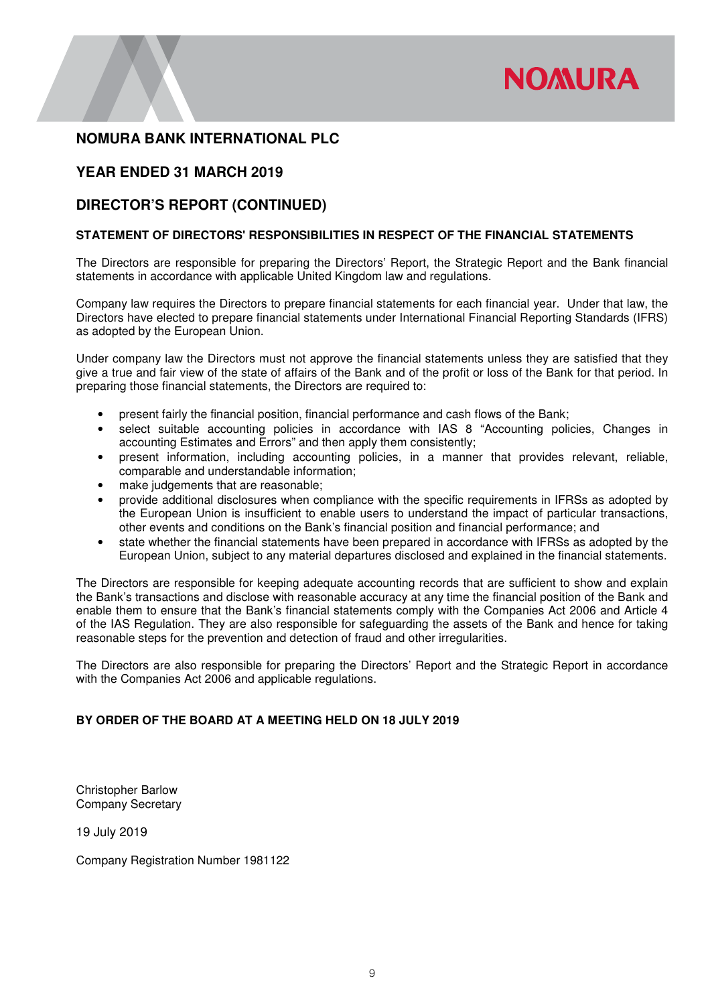

# **YEAR ENDED 31 MARCH 2019**

## **DIRECTOR'S REPORT (CONTINUED)**

### **STATEMENT OF DIRECTORS' RESPONSIBILITIES IN RESPECT OF THE FINANCIAL STATEMENTS**

The Directors are responsible for preparing the Directors' Report, the Strategic Report and the Bank financial statements in accordance with applicable United Kingdom law and regulations.

Company law requires the Directors to prepare financial statements for each financial year. Under that law, the Directors have elected to prepare financial statements under International Financial Reporting Standards (IFRS) as adopted by the European Union.

Under company law the Directors must not approve the financial statements unless they are satisfied that they give a true and fair view of the state of affairs of the Bank and of the profit or loss of the Bank for that period. In preparing those financial statements, the Directors are required to:

- present fairly the financial position, financial performance and cash flows of the Bank;
- select suitable accounting policies in accordance with IAS 8 "Accounting policies, Changes in accounting Estimates and Errors" and then apply them consistently;
- present information, including accounting policies, in a manner that provides relevant, reliable, comparable and understandable information;
- make judgements that are reasonable;
- provide additional disclosures when compliance with the specific requirements in IFRSs as adopted by the European Union is insufficient to enable users to understand the impact of particular transactions, other events and conditions on the Bank's financial position and financial performance; and
- state whether the financial statements have been prepared in accordance with IFRSs as adopted by the European Union, subject to any material departures disclosed and explained in the financial statements.

The Directors are responsible for keeping adequate accounting records that are sufficient to show and explain the Bank's transactions and disclose with reasonable accuracy at any time the financial position of the Bank and enable them to ensure that the Bank's financial statements comply with the Companies Act 2006 and Article 4 of the IAS Regulation. They are also responsible for safeguarding the assets of the Bank and hence for taking reasonable steps for the prevention and detection of fraud and other irregularities.

The Directors are also responsible for preparing the Directors' Report and the Strategic Report in accordance with the Companies Act 2006 and applicable regulations.

### **BY ORDER OF THE BOARD AT A MEETING HELD ON 18 JULY 2019**

Christopher Barlow Company Secretary

19 July 2019

Company Registration Number 1981122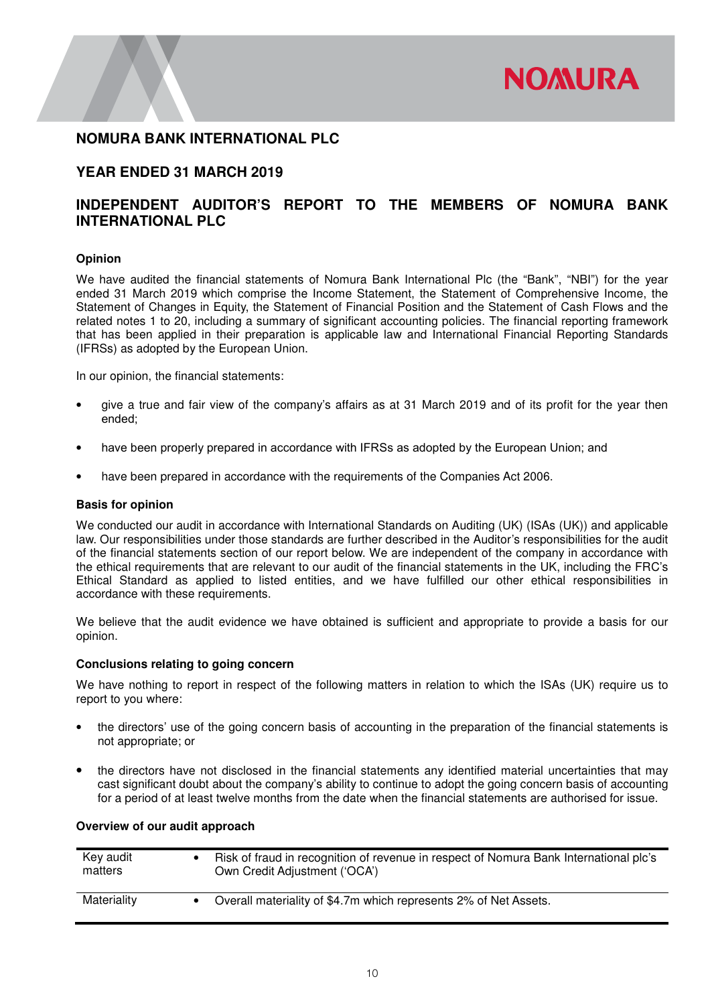

## **YEAR ENDED 31 MARCH 2019**

# **INDEPENDENT AUDITOR'S REPORT TO THE MEMBERS OF NOMURA BANK INTERNATIONAL PLC**

### **Opinion**

We have audited the financial statements of Nomura Bank International Plc (the "Bank", "NBI") for the year ended 31 March 2019 which comprise the Income Statement, the Statement of Comprehensive Income, the Statement of Changes in Equity, the Statement of Financial Position and the Statement of Cash Flows and the related notes 1 to 20, including a summary of significant accounting policies. The financial reporting framework that has been applied in their preparation is applicable law and International Financial Reporting Standards (IFRSs) as adopted by the European Union.

In our opinion, the financial statements:

- give a true and fair view of the company's affairs as at 31 March 2019 and of its profit for the year then ended;
- have been properly prepared in accordance with IFRSs as adopted by the European Union; and
- have been prepared in accordance with the requirements of the Companies Act 2006.

### **Basis for opinion**

We conducted our audit in accordance with International Standards on Auditing (UK) (ISAs (UK)) and applicable law. Our responsibilities under those standards are further described in the Auditor's responsibilities for the audit of the financial statements section of our report below. We are independent of the company in accordance with the ethical requirements that are relevant to our audit of the financial statements in the UK, including the FRC's Ethical Standard as applied to listed entities, and we have fulfilled our other ethical responsibilities in accordance with these requirements.

We believe that the audit evidence we have obtained is sufficient and appropriate to provide a basis for our opinion.

### **Conclusions relating to going concern**

We have nothing to report in respect of the following matters in relation to which the ISAs (UK) require us to report to you where:

- the directors' use of the going concern basis of accounting in the preparation of the financial statements is not appropriate; or
- the directors have not disclosed in the financial statements any identified material uncertainties that may cast significant doubt about the company's ability to continue to adopt the going concern basis of accounting for a period of at least twelve months from the date when the financial statements are authorised for issue.

### **Overview of our audit approach**

| Key audit<br>matters | Risk of fraud in recognition of revenue in respect of Nomura Bank International plc's<br>Own Credit Adjustment ('OCA') |
|----------------------|------------------------------------------------------------------------------------------------------------------------|
| Materiality          | Overall materiality of \$4.7m which represents 2% of Net Assets.                                                       |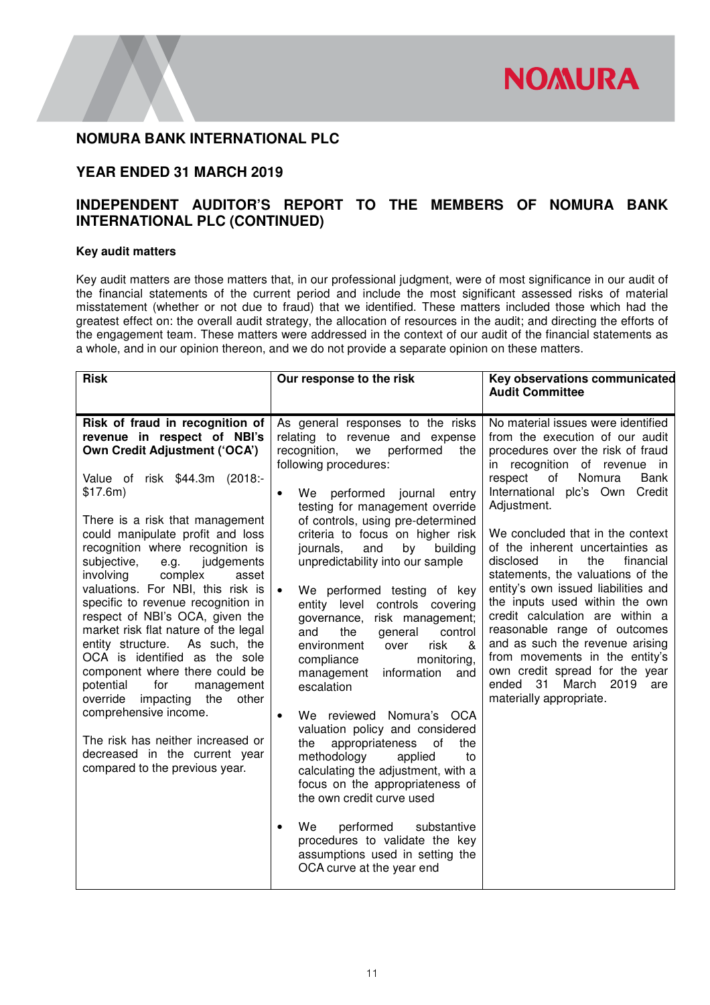

# **YEAR ENDED 31 MARCH 2019**

# **INDEPENDENT AUDITOR'S REPORT TO THE MEMBERS OF NOMURA BANK INTERNATIONAL PLC (CONTINUED)**

### **Key audit matters**

Key audit matters are those matters that, in our professional judgment, were of most significance in our audit of the financial statements of the current period and include the most significant assessed risks of material misstatement (whether or not due to fraud) that we identified. These matters included those which had the greatest effect on: the overall audit strategy, the allocation of resources in the audit; and directing the efforts of the engagement team. These matters were addressed in the context of our audit of the financial statements as a whole, and in our opinion thereon, and we do not provide a separate opinion on these matters.

| <b>Risk</b>                                                                                                                                                                                                                                                                                                                                                                                                                                                                                                                                                                                                                                                                                                                                                                                                    | Our response to the risk                                                                                                                                                                                                                                                                                                                                                                                                                                                                                                                                                                                                                                                                                                                                                                                                                                                                                                                                                                                                                                   | Key observations communicated<br><b>Audit Committee</b>                                                                                                                                                                                                                                                                                                                                                                                                                                                                                                                                                                                                                                         |
|----------------------------------------------------------------------------------------------------------------------------------------------------------------------------------------------------------------------------------------------------------------------------------------------------------------------------------------------------------------------------------------------------------------------------------------------------------------------------------------------------------------------------------------------------------------------------------------------------------------------------------------------------------------------------------------------------------------------------------------------------------------------------------------------------------------|------------------------------------------------------------------------------------------------------------------------------------------------------------------------------------------------------------------------------------------------------------------------------------------------------------------------------------------------------------------------------------------------------------------------------------------------------------------------------------------------------------------------------------------------------------------------------------------------------------------------------------------------------------------------------------------------------------------------------------------------------------------------------------------------------------------------------------------------------------------------------------------------------------------------------------------------------------------------------------------------------------------------------------------------------------|-------------------------------------------------------------------------------------------------------------------------------------------------------------------------------------------------------------------------------------------------------------------------------------------------------------------------------------------------------------------------------------------------------------------------------------------------------------------------------------------------------------------------------------------------------------------------------------------------------------------------------------------------------------------------------------------------|
| Risk of fraud in recognition of<br>revenue in respect of NBI's<br><b>Own Credit Adjustment ('OCA')</b><br>Value of risk \$44.3m (2018:-<br>\$17.6m)<br>There is a risk that management<br>could manipulate profit and loss<br>recognition where recognition is<br>subjective,<br>e.g.<br>judgements<br>involving<br>complex<br>asset<br>valuations. For NBI, this risk is<br>specific to revenue recognition in<br>respect of NBI's OCA, given the<br>market risk flat nature of the legal<br>entity structure.<br>As such, the<br>OCA is identified as the sole<br>component where there could be<br>potential<br>for<br>management<br>override<br>impacting<br>the<br>other<br>comprehensive income.<br>The risk has neither increased or<br>decreased in the current year<br>compared to the previous year. | As general responses to the risks<br>relating to revenue and expense<br>recognition,<br>performed<br>the<br>we<br>following procedures:<br>We performed journal<br>entry<br>$\bullet$<br>testing for management override<br>of controls, using pre-determined<br>criteria to focus on higher risk<br>and<br>journals,<br>by<br>building<br>unpredictability into our sample<br>We performed testing of key<br>$\bullet$<br>entity level controls covering<br>risk management;<br>governance,<br>the<br>general<br>control<br>and<br>risk<br>environment<br>&<br>over<br>monitoring,<br>compliance<br>information<br>management<br>and<br>escalation<br>We reviewed Nomura's OCA<br>$\bullet$<br>valuation policy and considered<br>appropriateness of<br>the<br>the<br>methodology<br>applied<br>to<br>calculating the adjustment, with a<br>focus on the appropriateness of<br>the own credit curve used<br>We<br>performed<br>substantive<br>$\bullet$<br>procedures to validate the key<br>assumptions used in setting the<br>OCA curve at the year end | No material issues were identified<br>from the execution of our audit<br>procedures over the risk of fraud<br>in recognition of revenue in<br>respect<br>Nomura<br>Bank<br>of<br>International plc's Own Credit<br>Adjustment.<br>We concluded that in the context<br>of the inherent uncertainties as<br>financial<br>disclosed<br>in.<br>the<br>statements, the valuations of the<br>entity's own issued liabilities and<br>the inputs used within the own<br>credit calculation are within a<br>reasonable range of outcomes<br>and as such the revenue arising<br>from movements in the entity's<br>own credit spread for the year<br>ended 31<br>March 2019 are<br>materially appropriate. |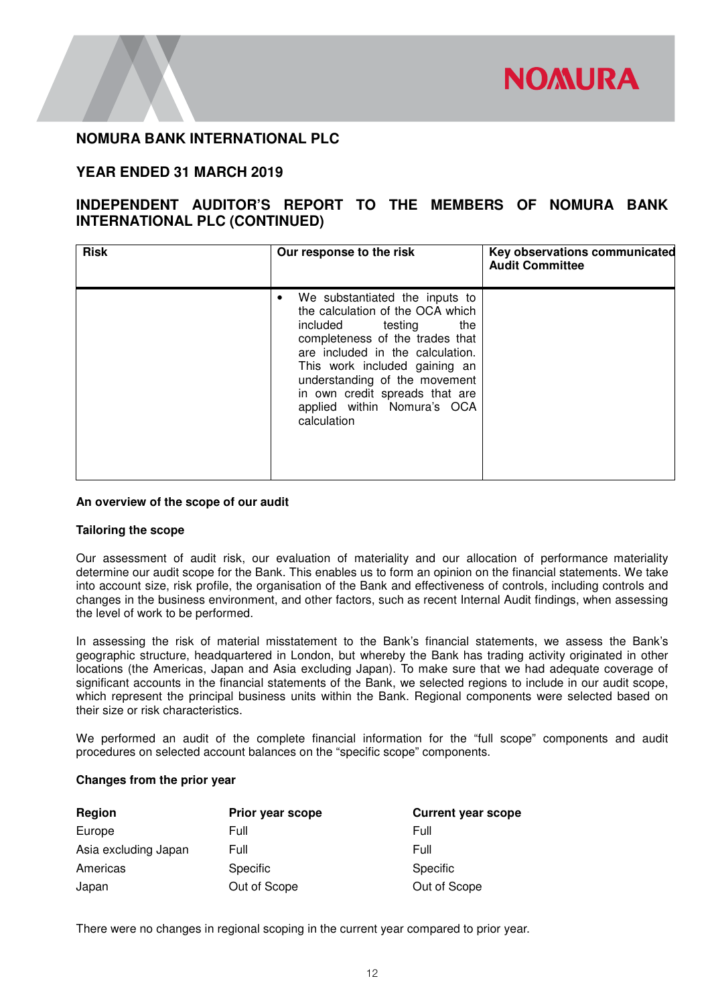

# **YEAR ENDED 31 MARCH 2019**

# **INDEPENDENT AUDITOR'S REPORT TO THE MEMBERS OF NOMURA BANK INTERNATIONAL PLC (CONTINUED)**

| <b>Risk</b> | Our response to the risk                                                                                                                                                                                                                                                                                               | Key observations communicated<br><b>Audit Committee</b> |
|-------------|------------------------------------------------------------------------------------------------------------------------------------------------------------------------------------------------------------------------------------------------------------------------------------------------------------------------|---------------------------------------------------------|
|             | We substantiated the inputs to<br>the calculation of the OCA which<br>included testing<br>the<br>completeness of the trades that<br>are included in the calculation.<br>This work included gaining an<br>understanding of the movement<br>in own credit spreads that are<br>applied within Nomura's OCA<br>calculation |                                                         |

### **An overview of the scope of our audit**

### **Tailoring the scope**

Our assessment of audit risk, our evaluation of materiality and our allocation of performance materiality determine our audit scope for the Bank. This enables us to form an opinion on the financial statements. We take into account size, risk profile, the organisation of the Bank and effectiveness of controls, including controls and changes in the business environment, and other factors, such as recent Internal Audit findings, when assessing the level of work to be performed.

In assessing the risk of material misstatement to the Bank's financial statements, we assess the Bank's geographic structure, headquartered in London, but whereby the Bank has trading activity originated in other locations (the Americas, Japan and Asia excluding Japan). To make sure that we had adequate coverage of significant accounts in the financial statements of the Bank, we selected regions to include in our audit scope, which represent the principal business units within the Bank. Regional components were selected based on their size or risk characteristics.

We performed an audit of the complete financial information for the "full scope" components and audit procedures on selected account balances on the "specific scope" components.

### **Changes from the prior year**

| Region               | Prior year scope | <b>Current year scope</b> |
|----------------------|------------------|---------------------------|
| Europe               | Full             | Full                      |
| Asia excluding Japan | Full             | Full                      |
| Americas             | <b>Specific</b>  | Specific                  |
| Japan                | Out of Scope     | Out of Scope              |

There were no changes in regional scoping in the current year compared to prior year.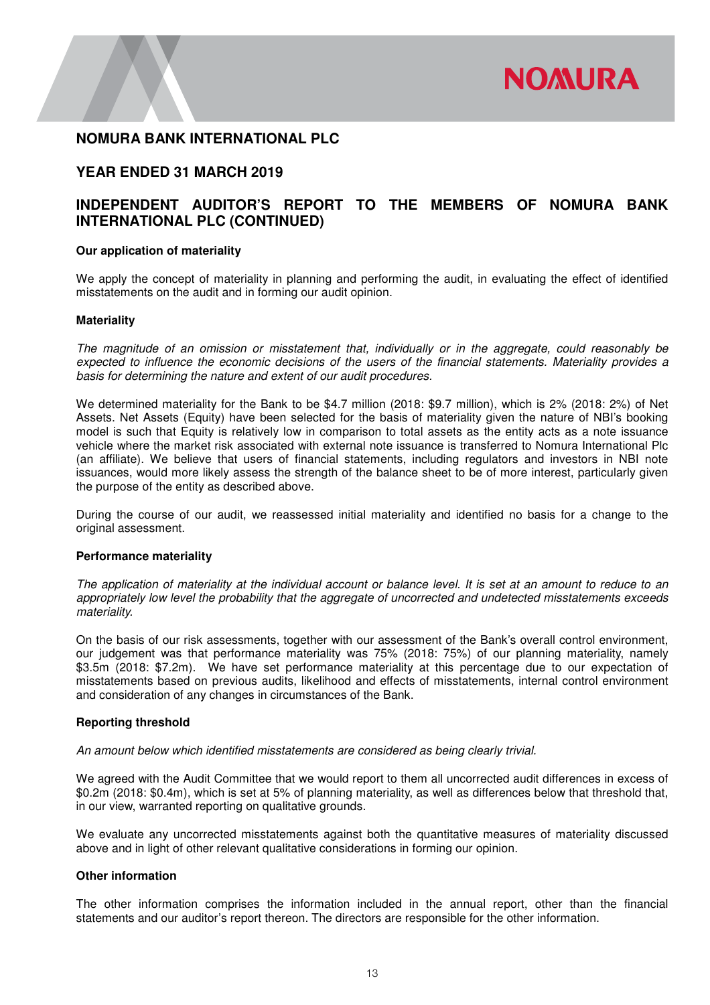

## **YEAR ENDED 31 MARCH 2019**

# **INDEPENDENT AUDITOR'S REPORT TO THE MEMBERS OF NOMURA BANK INTERNATIONAL PLC (CONTINUED)**

### **Our application of materiality**

We apply the concept of materiality in planning and performing the audit, in evaluating the effect of identified misstatements on the audit and in forming our audit opinion.

### **Materiality**

*The magnitude of an omission or misstatement that, individually or in the aggregate, could reasonably be expected to influence the economic decisions of the users of the financial statements. Materiality provides a basis for determining the nature and extent of our audit procedures.* 

We determined materiality for the Bank to be \$4.7 million (2018: \$9.7 million), which is 2% (2018: 2%) of Net Assets. Net Assets (Equity) have been selected for the basis of materiality given the nature of NBI's booking model is such that Equity is relatively low in comparison to total assets as the entity acts as a note issuance vehicle where the market risk associated with external note issuance is transferred to Nomura International Plc (an affiliate). We believe that users of financial statements, including regulators and investors in NBI note issuances, would more likely assess the strength of the balance sheet to be of more interest, particularly given the purpose of the entity as described above.

During the course of our audit, we reassessed initial materiality and identified no basis for a change to the original assessment.

### **Performance materiality**

*The application of materiality at the individual account or balance level. It is set at an amount to reduce to an appropriately low level the probability that the aggregate of uncorrected and undetected misstatements exceeds materiality.*

On the basis of our risk assessments, together with our assessment of the Bank's overall control environment, our judgement was that performance materiality was 75% (2018: 75%) of our planning materiality, namely \$3.5m (2018: \$7.2m). We have set performance materiality at this percentage due to our expectation of misstatements based on previous audits, likelihood and effects of misstatements, internal control environment and consideration of any changes in circumstances of the Bank.

### **Reporting threshold**

### *An amount below which identified misstatements are considered as being clearly trivial.*

We agreed with the Audit Committee that we would report to them all uncorrected audit differences in excess of \$0.2m (2018: \$0.4m), which is set at 5% of planning materiality, as well as differences below that threshold that, in our view, warranted reporting on qualitative grounds.

We evaluate any uncorrected misstatements against both the quantitative measures of materiality discussed above and in light of other relevant qualitative considerations in forming our opinion.

### **Other information**

The other information comprises the information included in the annual report, other than the financial statements and our auditor's report thereon. The directors are responsible for the other information.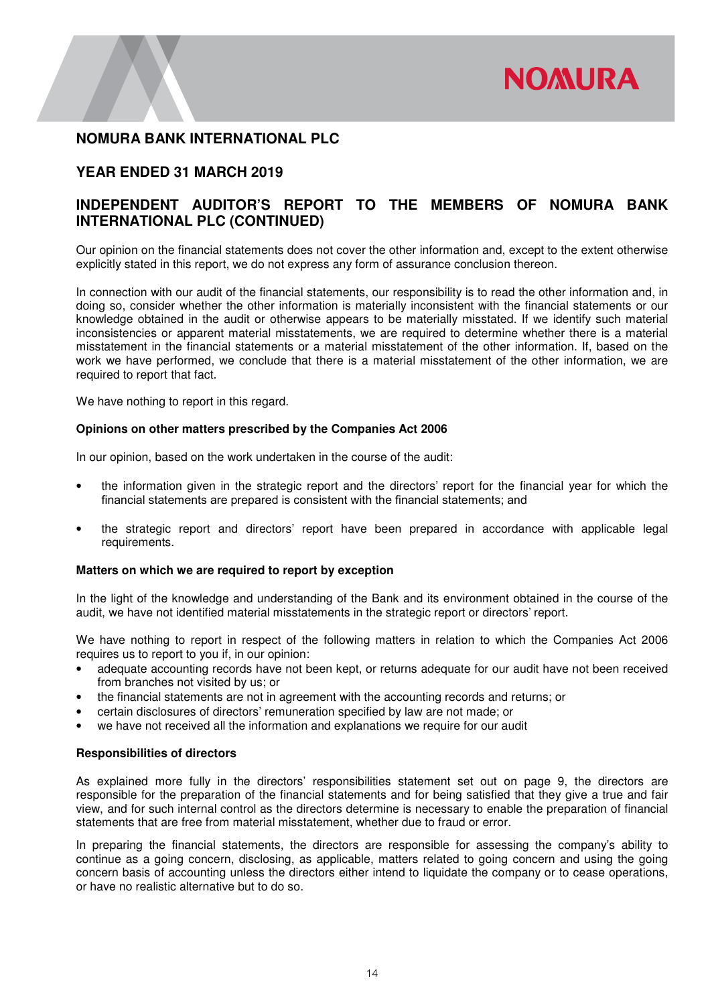

# **YEAR ENDED 31 MARCH 2019**

# **INDEPENDENT AUDITOR'S REPORT TO THE MEMBERS OF NOMURA BANK INTERNATIONAL PLC (CONTINUED)**

Our opinion on the financial statements does not cover the other information and, except to the extent otherwise explicitly stated in this report, we do not express any form of assurance conclusion thereon.

In connection with our audit of the financial statements, our responsibility is to read the other information and, in doing so, consider whether the other information is materially inconsistent with the financial statements or our knowledge obtained in the audit or otherwise appears to be materially misstated. If we identify such material inconsistencies or apparent material misstatements, we are required to determine whether there is a material misstatement in the financial statements or a material misstatement of the other information. If, based on the work we have performed, we conclude that there is a material misstatement of the other information, we are required to report that fact.

We have nothing to report in this regard.

### **Opinions on other matters prescribed by the Companies Act 2006**

In our opinion, based on the work undertaken in the course of the audit:

- the information given in the strategic report and the directors' report for the financial year for which the financial statements are prepared is consistent with the financial statements; and
- the strategic report and directors' report have been prepared in accordance with applicable legal requirements.

### **Matters on which we are required to report by exception**

In the light of the knowledge and understanding of the Bank and its environment obtained in the course of the audit, we have not identified material misstatements in the strategic report or directors' report.

We have nothing to report in respect of the following matters in relation to which the Companies Act 2006 requires us to report to you if, in our opinion:

- adequate accounting records have not been kept, or returns adequate for our audit have not been received from branches not visited by us; or
- the financial statements are not in agreement with the accounting records and returns; or
- certain disclosures of directors' remuneration specified by law are not made; or
- we have not received all the information and explanations we require for our audit

### **Responsibilities of directors**

As explained more fully in the directors' responsibilities statement set out on page 9, the directors are responsible for the preparation of the financial statements and for being satisfied that they give a true and fair view, and for such internal control as the directors determine is necessary to enable the preparation of financial statements that are free from material misstatement, whether due to fraud or error.

In preparing the financial statements, the directors are responsible for assessing the company's ability to continue as a going concern, disclosing, as applicable, matters related to going concern and using the going concern basis of accounting unless the directors either intend to liquidate the company or to cease operations, or have no realistic alternative but to do so.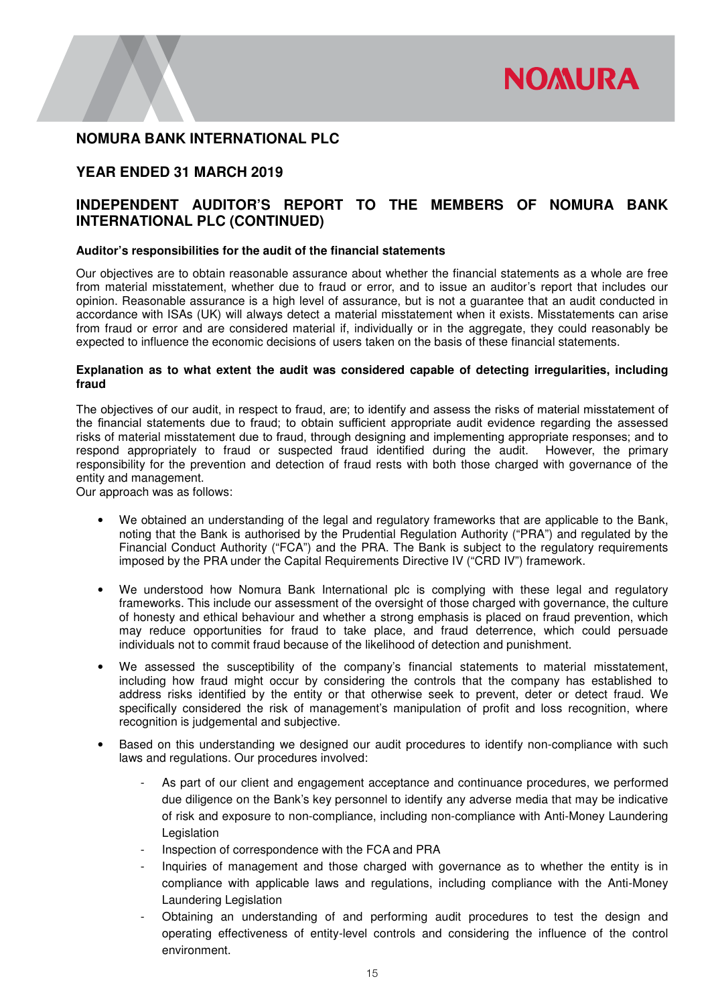

# **YEAR ENDED 31 MARCH 2019**

# **INDEPENDENT AUDITOR'S REPORT TO THE MEMBERS OF NOMURA BANK INTERNATIONAL PLC (CONTINUED)**

### **Auditor's responsibilities for the audit of the financial statements**

Our objectives are to obtain reasonable assurance about whether the financial statements as a whole are free from material misstatement, whether due to fraud or error, and to issue an auditor's report that includes our opinion. Reasonable assurance is a high level of assurance, but is not a guarantee that an audit conducted in accordance with ISAs (UK) will always detect a material misstatement when it exists. Misstatements can arise from fraud or error and are considered material if, individually or in the aggregate, they could reasonably be expected to influence the economic decisions of users taken on the basis of these financial statements.

### **Explanation as to what extent the audit was considered capable of detecting irregularities, including fraud**

The objectives of our audit, in respect to fraud, are; to identify and assess the risks of material misstatement of the financial statements due to fraud; to obtain sufficient appropriate audit evidence regarding the assessed risks of material misstatement due to fraud, through designing and implementing appropriate responses; and to respond appropriately to fraud or suspected fraud identified during the audit. However, the primary responsibility for the prevention and detection of fraud rests with both those charged with governance of the entity and management.

Our approach was as follows:

- We obtained an understanding of the legal and regulatory frameworks that are applicable to the Bank, noting that the Bank is authorised by the Prudential Regulation Authority ("PRA") and regulated by the Financial Conduct Authority ("FCA") and the PRA. The Bank is subject to the regulatory requirements imposed by the PRA under the Capital Requirements Directive IV ("CRD IV") framework.
- We understood how Nomura Bank International plc is complying with these legal and regulatory frameworks. This include our assessment of the oversight of those charged with governance, the culture of honesty and ethical behaviour and whether a strong emphasis is placed on fraud prevention, which may reduce opportunities for fraud to take place, and fraud deterrence, which could persuade individuals not to commit fraud because of the likelihood of detection and punishment.
- We assessed the susceptibility of the company's financial statements to material misstatement, including how fraud might occur by considering the controls that the company has established to address risks identified by the entity or that otherwise seek to prevent, deter or detect fraud. We specifically considered the risk of management's manipulation of profit and loss recognition, where recognition is judgemental and subjective.
- Based on this understanding we designed our audit procedures to identify non-compliance with such laws and regulations. Our procedures involved:
	- As part of our client and engagement acceptance and continuance procedures, we performed due diligence on the Bank's key personnel to identify any adverse media that may be indicative of risk and exposure to non-compliance, including non-compliance with Anti-Money Laundering Legislation
	- Inspection of correspondence with the FCA and PRA
	- Inquiries of management and those charged with governance as to whether the entity is in compliance with applicable laws and regulations, including compliance with the Anti-Money Laundering Legislation
	- Obtaining an understanding of and performing audit procedures to test the design and operating effectiveness of entity-level controls and considering the influence of the control environment.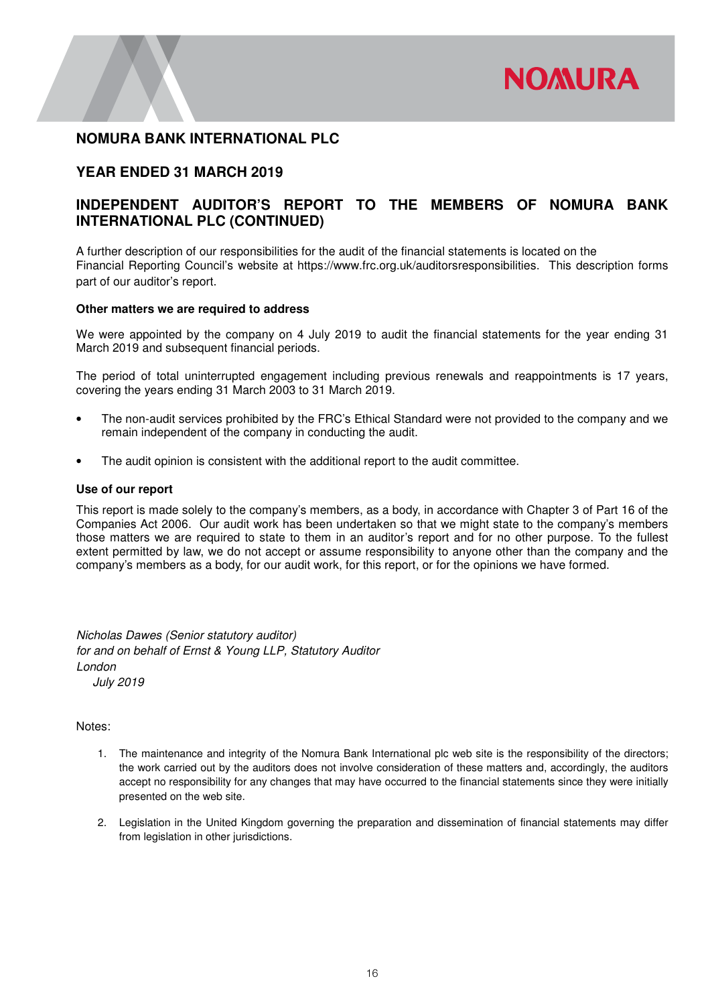

## **YEAR ENDED 31 MARCH 2019**

# **INDEPENDENT AUDITOR'S REPORT TO THE MEMBERS OF NOMURA BANK INTERNATIONAL PLC (CONTINUED)**

A further description of our responsibilities for the audit of the financial statements is located on the Financial Reporting Council's website at https://www.frc.org.uk/auditorsresponsibilities. This description forms part of our auditor's report.

### **Other matters we are required to address**

We were appointed by the company on 4 July 2019 to audit the financial statements for the year ending 31 March 2019 and subsequent financial periods.

The period of total uninterrupted engagement including previous renewals and reappointments is 17 years, covering the years ending 31 March 2003 to 31 March 2019.

- The non-audit services prohibited by the FRC's Ethical Standard were not provided to the company and we remain independent of the company in conducting the audit.
- The audit opinion is consistent with the additional report to the audit committee.

### **Use of our report**

This report is made solely to the company's members, as a body, in accordance with Chapter 3 of Part 16 of the Companies Act 2006. Our audit work has been undertaken so that we might state to the company's members those matters we are required to state to them in an auditor's report and for no other purpose. To the fullest extent permitted by law, we do not accept or assume responsibility to anyone other than the company and the company's members as a body, for our audit work, for this report, or for the opinions we have formed.

*Nicholas Dawes (Senior statutory auditor) for and on behalf of Ernst & Young LLP, Statutory Auditor London July 2019* 

### Notes:

- 1. The maintenance and integrity of the Nomura Bank International plc web site is the responsibility of the directors; the work carried out by the auditors does not involve consideration of these matters and, accordingly, the auditors accept no responsibility for any changes that may have occurred to the financial statements since they were initially presented on the web site.
- 2. Legislation in the United Kingdom governing the preparation and dissemination of financial statements may differ from legislation in other jurisdictions.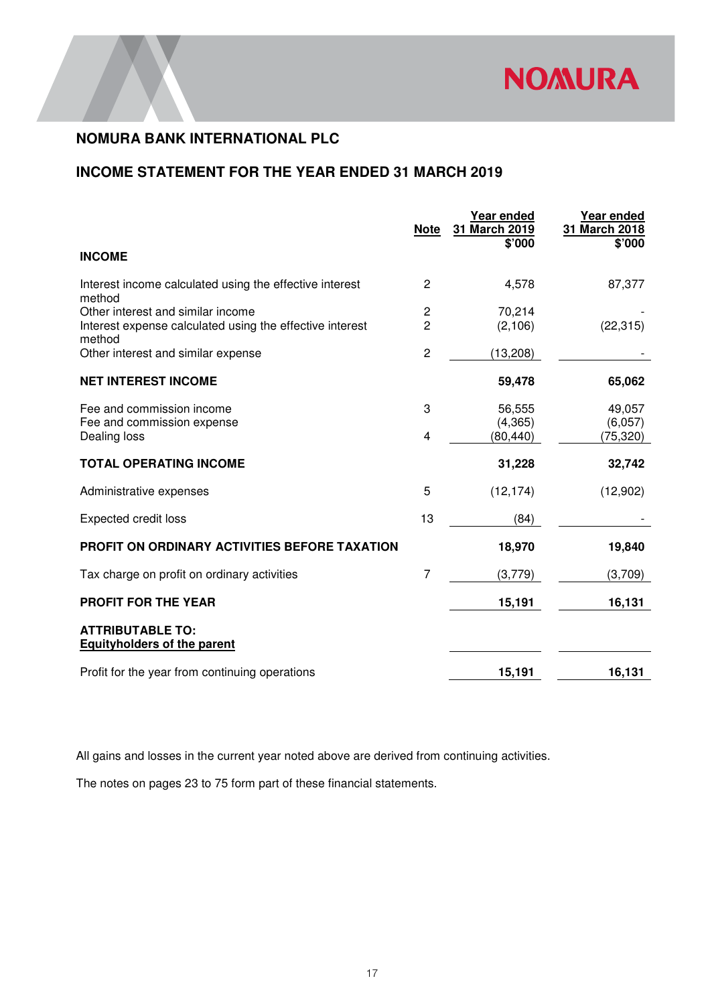

# **INCOME STATEMENT FOR THE YEAR ENDED 31 MARCH 2019**

|                                                                    | <b>Note</b>    | Year ended<br>31 March 2019<br>\$'000 | Year ended<br>31 March 2018<br>\$'000 |
|--------------------------------------------------------------------|----------------|---------------------------------------|---------------------------------------|
| <b>INCOME</b>                                                      |                |                                       |                                       |
| Interest income calculated using the effective interest<br>method  | $\overline{2}$ | 4,578                                 | 87,377                                |
| Other interest and similar income                                  | 2              | 70,214                                |                                       |
| Interest expense calculated using the effective interest<br>method | $\overline{2}$ | (2, 106)                              | (22, 315)                             |
| Other interest and similar expense                                 | $\overline{2}$ | (13, 208)                             |                                       |
| <b>NET INTEREST INCOME</b>                                         |                | 59,478                                | 65,062                                |
| Fee and commission income                                          | 3              | 56,555                                | 49,057                                |
| Fee and commission expense                                         |                | (4, 365)                              | (6,057)                               |
| Dealing loss                                                       | $\overline{4}$ | (80, 440)                             | (75, 320)                             |
| <b>TOTAL OPERATING INCOME</b>                                      |                | 31,228                                | 32,742                                |
| Administrative expenses                                            | 5              | (12, 174)                             | (12,902)                              |
| <b>Expected credit loss</b>                                        | 13             | (84)                                  |                                       |
| PROFIT ON ORDINARY ACTIVITIES BEFORE TAXATION                      |                | 18,970                                | 19,840                                |
| Tax charge on profit on ordinary activities                        | 7              | (3,779)                               | (3,709)                               |
| <b>PROFIT FOR THE YEAR</b>                                         |                | 15,191                                | 16,131                                |
| <b>ATTRIBUTABLE TO:</b><br><b>Equityholders of the parent</b>      |                |                                       |                                       |
| Profit for the year from continuing operations                     |                | 15,191                                | 16,131                                |

All gains and losses in the current year noted above are derived from continuing activities.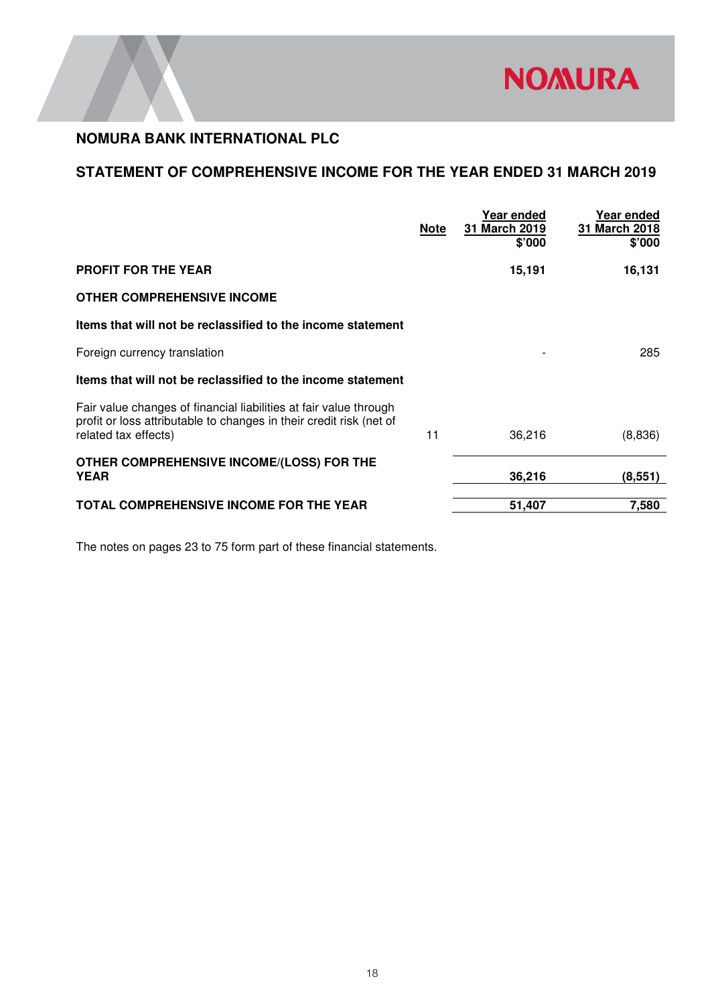

# **STATEMENT OF COMPREHENSIVE INCOME FOR THE YEAR ENDED 31 MARCH 2019**

|                                                                                                                                                                  | <b>Note</b> | Year ended<br>31 March 2019<br>\$'000 | Year ended<br>31 March 2018<br>\$'000 |
|------------------------------------------------------------------------------------------------------------------------------------------------------------------|-------------|---------------------------------------|---------------------------------------|
| <b>PROFIT FOR THE YEAR</b>                                                                                                                                       |             | 15,191                                | 16,131                                |
| <b>OTHER COMPREHENSIVE INCOME</b>                                                                                                                                |             |                                       |                                       |
| Items that will not be reclassified to the income statement                                                                                                      |             |                                       |                                       |
| Foreign currency translation                                                                                                                                     |             |                                       | 285                                   |
| Items that will not be reclassified to the income statement                                                                                                      |             |                                       |                                       |
| Fair value changes of financial liabilities at fair value through<br>profit or loss attributable to changes in their credit risk (net of<br>related tax effects) | 11          | 36,216                                | (8,836)                               |
| OTHER COMPREHENSIVE INCOME/(LOSS) FOR THE<br><b>YEAR</b>                                                                                                         |             | 36,216                                | (8, 551)                              |
| <b>TOTAL COMPREHENSIVE INCOME FOR THE YEAR</b>                                                                                                                   |             | 51,407                                | 7,580                                 |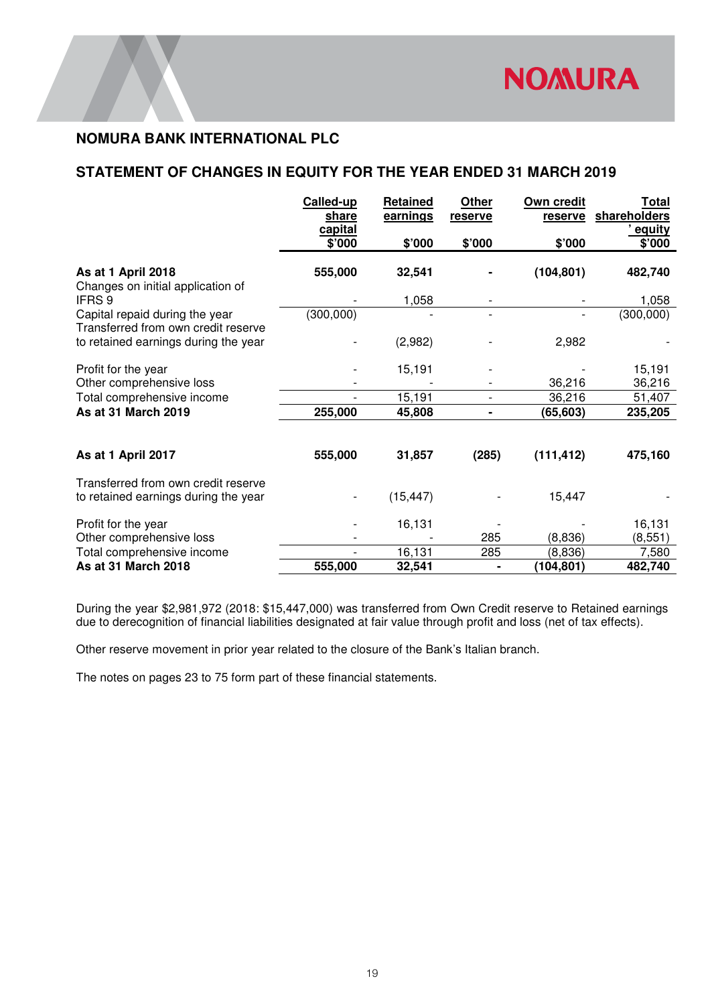# **STATEMENT OF CHANGES IN EQUITY FOR THE YEAR ENDED 31 MARCH 2019**

|                                                                       | Called-up<br>share<br>capital | <b>Retained</b><br>earnings | Other<br>reserve | Own credit<br>reserve | <u>Total</u><br>shareholders<br><u>equity</u> |
|-----------------------------------------------------------------------|-------------------------------|-----------------------------|------------------|-----------------------|-----------------------------------------------|
|                                                                       | \$'000                        | \$'000                      | \$'000           | \$'000                | \$'000                                        |
| As at 1 April 2018<br>Changes on initial application of               | 555,000                       | 32,541                      |                  | (104, 801)            | 482,740                                       |
| <b>IFRS 9</b>                                                         |                               | 1,058                       |                  |                       | 1,058                                         |
| Capital repaid during the year<br>Transferred from own credit reserve | (300, 000)                    |                             |                  |                       | (300,000)                                     |
| to retained earnings during the year                                  |                               | (2,982)                     |                  | 2,982                 |                                               |
| Profit for the year                                                   |                               | 15,191                      |                  |                       | 15,191                                        |
| Other comprehensive loss                                              |                               |                             |                  | 36,216                | 36,216                                        |
| Total comprehensive income                                            |                               | 15,191                      |                  | 36,216                | 51,407                                        |
| As at 31 March 2019                                                   | 255,000                       | 45,808                      |                  | (65,603)              | 235,205                                       |
|                                                                       |                               |                             |                  |                       |                                               |
| As at 1 April 2017                                                    | 555,000                       | 31,857                      | (285)            | (111, 412)            | 475,160                                       |
| Transferred from own credit reserve                                   |                               |                             |                  |                       |                                               |
| to retained earnings during the year                                  |                               | (15, 447)                   |                  | 15,447                |                                               |
| Profit for the year                                                   |                               | 16,131                      |                  |                       | 16,131                                        |
| Other comprehensive loss                                              |                               |                             | 285              | (8,836)               | (8, 551)                                      |
| Total comprehensive income                                            |                               | 16,131                      | 285              | (8,836)               | 7,580                                         |
| As at 31 March 2018                                                   | 555,000                       | 32,541                      |                  | (104, 801)            | 482,740                                       |

During the year \$2,981,972 (2018: \$15,447,000) was transferred from Own Credit reserve to Retained earnings due to derecognition of financial liabilities designated at fair value through profit and loss (net of tax effects).

Other reserve movement in prior year related to the closure of the Bank's Italian branch.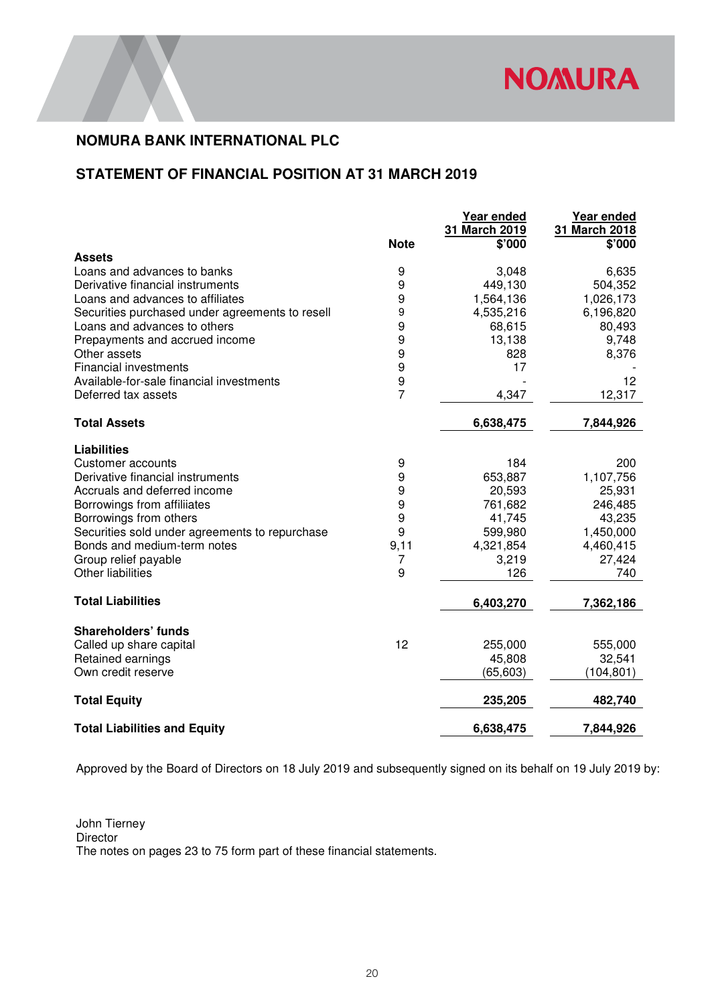

# **STATEMENT OF FINANCIAL POSITION AT 31 MARCH 2019**

|                                                 | <b>Note</b>      | Year ended<br>31 March 2019<br>\$'000 | Year ended<br>31 March 2018<br>\$'000 |
|-------------------------------------------------|------------------|---------------------------------------|---------------------------------------|
| Assets                                          |                  |                                       |                                       |
| Loans and advances to banks                     | 9                | 3,048                                 | 6,635                                 |
| Derivative financial instruments                | $\boldsymbol{9}$ | 449,130                               | 504,352                               |
| Loans and advances to affiliates                | 9                | 1,564,136                             | 1,026,173                             |
| Securities purchased under agreements to resell | 9                | 4,535,216                             | 6,196,820                             |
| Loans and advances to others                    | 9                | 68,615                                | 80,493                                |
| Prepayments and accrued income                  | 9                | 13,138                                | 9,748                                 |
| Other assets                                    | 9                | 828                                   | 8,376                                 |
| <b>Financial investments</b>                    | $\boldsymbol{9}$ | 17                                    |                                       |
| Available-for-sale financial investments        | $\boldsymbol{9}$ |                                       | 12                                    |
| Deferred tax assets                             | $\overline{7}$   | 4,347                                 | 12,317                                |
| <b>Total Assets</b>                             |                  | 6,638,475                             | 7,844,926                             |
| <b>Liabilities</b>                              |                  |                                       |                                       |
| <b>Customer accounts</b>                        | 9                | 184                                   | 200                                   |
| Derivative financial instruments                | $\boldsymbol{9}$ | 653,887                               | 1,107,756                             |
| Accruals and deferred income                    | $\boldsymbol{9}$ | 20,593                                | 25,931                                |
| Borrowings from affiliiates                     | $\boldsymbol{9}$ | 761,682                               | 246,485                               |
| Borrowings from others                          | 9                | 41,745                                | 43,235                                |
| Securities sold under agreements to repurchase  | 9                | 599,980                               | 1,450,000                             |
| Bonds and medium-term notes                     | 9,11             | 4,321,854                             | 4,460,415                             |
| Group relief payable                            | 7                | 3,219                                 | 27,424                                |
| Other liabilities                               | 9                | 126                                   | 740                                   |
| <b>Total Liabilities</b>                        |                  | 6,403,270                             | 7,362,186                             |
| <b>Shareholders' funds</b>                      |                  |                                       |                                       |
| Called up share capital                         | 12               | 255,000                               | 555,000                               |
| Retained earnings                               |                  | 45,808                                | 32,541                                |
| Own credit reserve                              |                  | (65, 603)                             | (104, 801)                            |
| <b>Total Equity</b>                             |                  | 235,205                               | 482,740                               |
| <b>Total Liabilities and Equity</b>             |                  | 6,638,475                             | 7,844,926                             |

Approved by the Board of Directors on 18 July 2019 and subsequently signed on its behalf on 19 July 2019 by:

John Tierney Director The notes on pages 23 to 75 form part of these financial statements.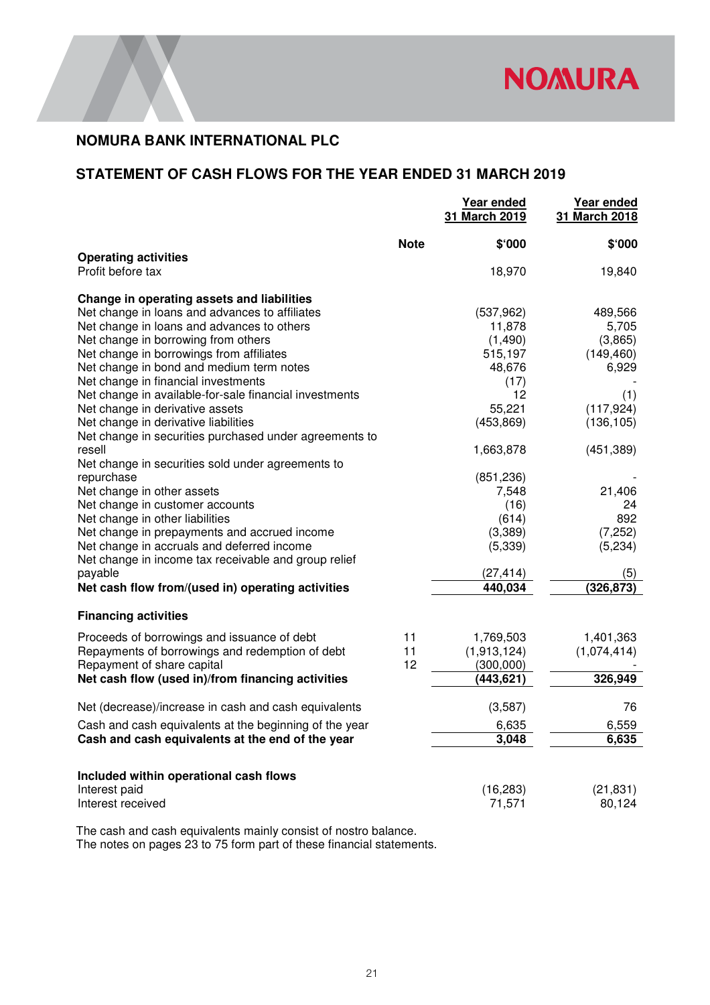

# **STATEMENT OF CASH FLOWS FOR THE YEAR ENDED 31 MARCH 2019**

|                                                                                                                                                                                                                                                                                                                                                                                                               |                | Year ended<br>31 March 2019                                                                      | Year ended<br>31 March 2018                                                   |
|---------------------------------------------------------------------------------------------------------------------------------------------------------------------------------------------------------------------------------------------------------------------------------------------------------------------------------------------------------------------------------------------------------------|----------------|--------------------------------------------------------------------------------------------------|-------------------------------------------------------------------------------|
| <b>Operating activities</b>                                                                                                                                                                                                                                                                                                                                                                                   | <b>Note</b>    | \$'000                                                                                           | \$'000                                                                        |
| Profit before tax                                                                                                                                                                                                                                                                                                                                                                                             |                | 18,970                                                                                           | 19,840                                                                        |
| Change in operating assets and liabilities<br>Net change in loans and advances to affiliates<br>Net change in loans and advances to others<br>Net change in borrowing from others<br>Net change in borrowings from affiliates<br>Net change in bond and medium term notes<br>Net change in financial investments<br>Net change in available-for-sale financial investments<br>Net change in derivative assets |                | (537, 962)<br>11,878<br>(1,490)<br>515,197<br>48,676<br>(17)<br>12<br>55.221                     | 489,566<br>5,705<br>(3,865)<br>(149, 460)<br>6,929<br>(1)                     |
| Net change in derivative liabilities<br>Net change in securities purchased under agreements to                                                                                                                                                                                                                                                                                                                |                | (453, 869)                                                                                       | (117, 924)<br>(136, 105)                                                      |
| resell<br>Net change in securities sold under agreements to<br>repurchase<br>Net change in other assets<br>Net change in customer accounts<br>Net change in other liabilities<br>Net change in prepayments and accrued income<br>Net change in accruals and deferred income<br>Net change in income tax receivable and group relief<br>payable<br>Net cash flow from/(used in) operating activities           |                | 1,663,878<br>(851, 236)<br>7,548<br>(16)<br>(614)<br>(3,389)<br>(5, 339)<br>(27, 414)<br>440,034 | (451, 389)<br>21,406<br>24<br>892<br>(7, 252)<br>(5,234)<br>(5)<br>(326, 873) |
| <b>Financing activities</b>                                                                                                                                                                                                                                                                                                                                                                                   |                |                                                                                                  |                                                                               |
| Proceeds of borrowings and issuance of debt<br>Repayments of borrowings and redemption of debt<br>Repayment of share capital<br>Net cash flow (used in)/from financing activities                                                                                                                                                                                                                             | 11<br>11<br>12 | 1,769,503<br>(1,913,124)<br>(300,000)<br>(443, 621)                                              | 1,401,363<br>(1,074,414)<br>326,949                                           |
|                                                                                                                                                                                                                                                                                                                                                                                                               |                |                                                                                                  |                                                                               |
| Net (decrease)/increase in cash and cash equivalents<br>Cash and cash equivalents at the beginning of the year<br>Cash and cash equivalents at the end of the year                                                                                                                                                                                                                                            |                | (3,587)<br>6,635<br>3,048                                                                        | 76<br>6,559<br>6,635                                                          |
| Included within operational cash flows<br>Interest paid<br>Interest received                                                                                                                                                                                                                                                                                                                                  |                | (16, 283)<br>71,571                                                                              | (21, 831)<br>80,124                                                           |

The cash and cash equivalents mainly consist of nostro balance. The notes on pages 23 to 75 form part of these financial statements.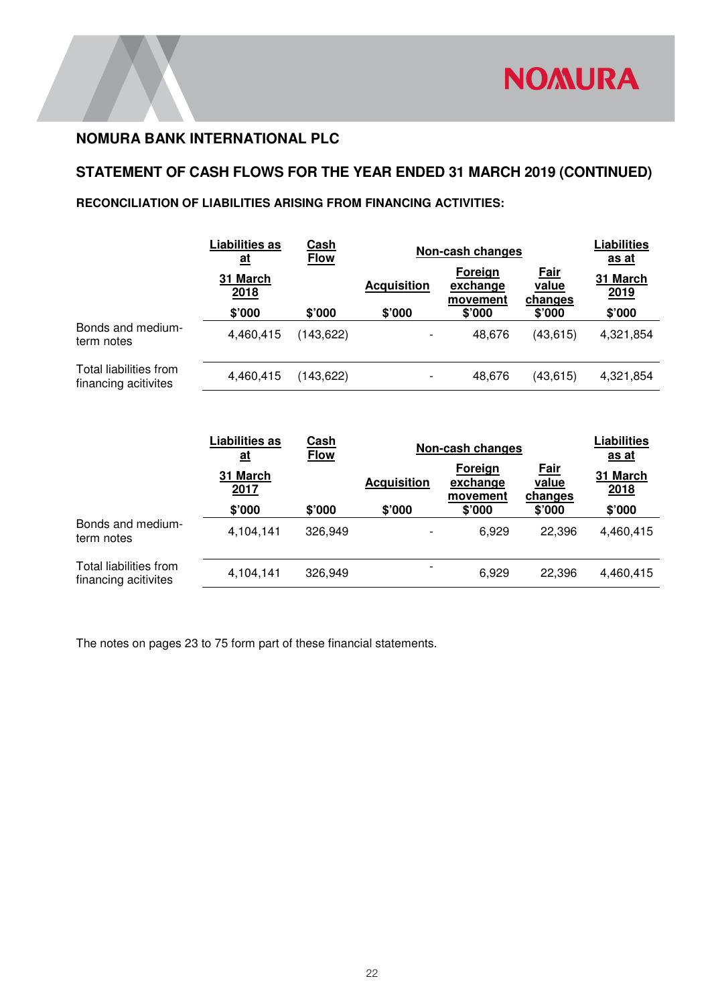

# **STATEMENT OF CASH FLOWS FOR THE YEAR ENDED 31 MARCH 2019 (CONTINUED)**

# **RECONCILIATION OF LIABILITIES ARISING FROM FINANCING ACTIVITIES:**

|                                                | <b>Liabilities as</b><br><u>at</u> | Cash<br><b>Flow</b> | Non-cash changes         |                                 |                                 |                         |  | <b>Liabilities</b><br><u>as at</u> |
|------------------------------------------------|------------------------------------|---------------------|--------------------------|---------------------------------|---------------------------------|-------------------------|--|------------------------------------|
|                                                | 31 March<br>2018                   |                     | <b>Acquisition</b>       | Foreign<br>exchange<br>movement | <b>Fair</b><br>value<br>changes | 31 March<br><u>2019</u> |  |                                    |
|                                                | \$'000                             | \$'000              | \$'000                   | \$'000                          | $$^{\circ}000$                  | \$'000                  |  |                                    |
| Bonds and medium-<br>term notes                | 4,460,415                          | (143, 622)          | $\overline{\phantom{a}}$ | 48,676                          | (43, 615)                       | 4,321,854               |  |                                    |
| Total liabilities from<br>financing acitivites | 4,460,415                          | (143, 622)          | $\overline{\phantom{a}}$ | 48,676                          | (43, 615)                       | 4,321,854               |  |                                    |

|                                                | <b>Liabilities as</b><br><u>at</u> | <u>Cash</u><br><b>Flow</b> | Non-cash changes         |                                 |                                 | <b>Liabilities</b><br><u>as at</u> |
|------------------------------------------------|------------------------------------|----------------------------|--------------------------|---------------------------------|---------------------------------|------------------------------------|
|                                                | 31 March<br>2017                   |                            | <b>Acquisition</b>       | Foreign<br>exchange<br>movement | <b>Fair</b><br>value<br>changes | 31 March<br>2018                   |
|                                                | \$'000                             | \$'000                     | \$'000                   | \$'000                          | \$'000                          | \$'000                             |
| Bonds and medium-<br>term notes                | 4,104,141                          | 326,949                    | $\overline{\phantom{a}}$ | 6.929                           | 22.396                          | 4,460,415                          |
| Total liabilities from<br>financing acitivites | 4,104,141                          | 326,949                    |                          | 6,929                           | 22,396                          | 4,460,415                          |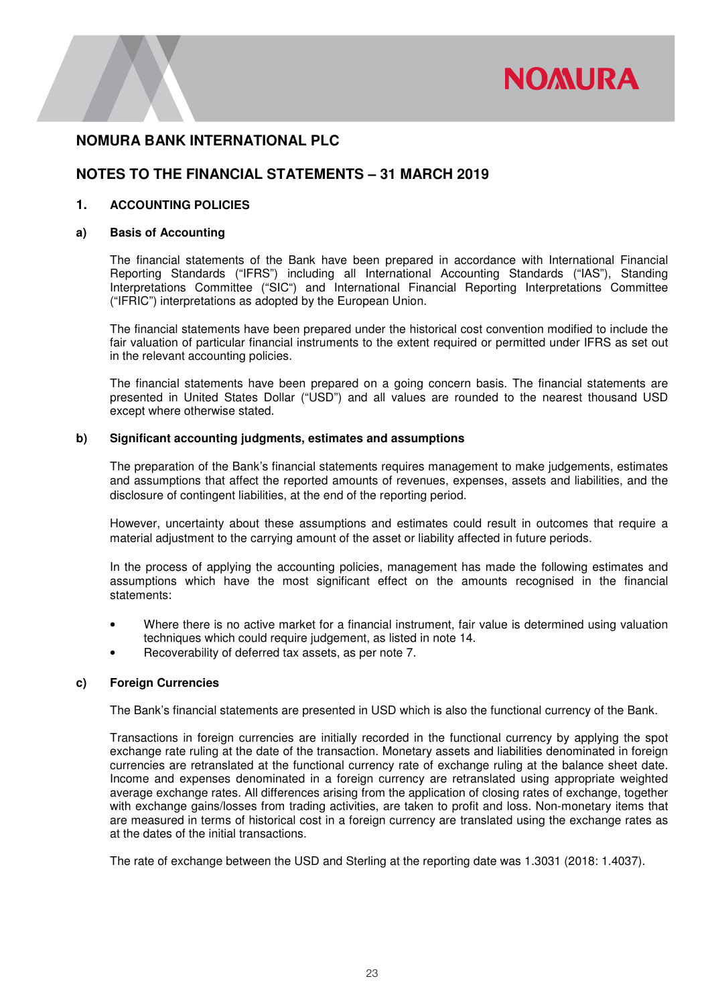

# **NOTES TO THE FINANCIAL STATEMENTS – 31 MARCH 2019**

### **1. ACCOUNTING POLICIES**

### **a) Basis of Accounting**

The financial statements of the Bank have been prepared in accordance with International Financial Reporting Standards ("IFRS") including all International Accounting Standards ("IAS"), Standing Interpretations Committee ("SIC") and International Financial Reporting Interpretations Committee ("IFRIC") interpretations as adopted by the European Union.

The financial statements have been prepared under the historical cost convention modified to include the fair valuation of particular financial instruments to the extent required or permitted under IFRS as set out in the relevant accounting policies.

 The financial statements have been prepared on a going concern basis. The financial statements are presented in United States Dollar ("USD") and all values are rounded to the nearest thousand USD except where otherwise stated.

### **b) Significant accounting judgments, estimates and assumptions**

The preparation of the Bank's financial statements requires management to make judgements, estimates and assumptions that affect the reported amounts of revenues, expenses, assets and liabilities, and the disclosure of contingent liabilities, at the end of the reporting period.

However, uncertainty about these assumptions and estimates could result in outcomes that require a material adjustment to the carrying amount of the asset or liability affected in future periods.

In the process of applying the accounting policies, management has made the following estimates and assumptions which have the most significant effect on the amounts recognised in the financial statements:

- Where there is no active market for a financial instrument, fair value is determined using valuation techniques which could require judgement, as listed in note 14.
- Recoverability of deferred tax assets, as per note 7.

### **c) Foreign Currencies**

The Bank's financial statements are presented in USD which is also the functional currency of the Bank.

Transactions in foreign currencies are initially recorded in the functional currency by applying the spot exchange rate ruling at the date of the transaction. Monetary assets and liabilities denominated in foreign currencies are retranslated at the functional currency rate of exchange ruling at the balance sheet date. Income and expenses denominated in a foreign currency are retranslated using appropriate weighted average exchange rates. All differences arising from the application of closing rates of exchange, together with exchange gains/losses from trading activities, are taken to profit and loss. Non-monetary items that are measured in terms of historical cost in a foreign currency are translated using the exchange rates as at the dates of the initial transactions.

The rate of exchange between the USD and Sterling at the reporting date was 1.3031 (2018: 1.4037).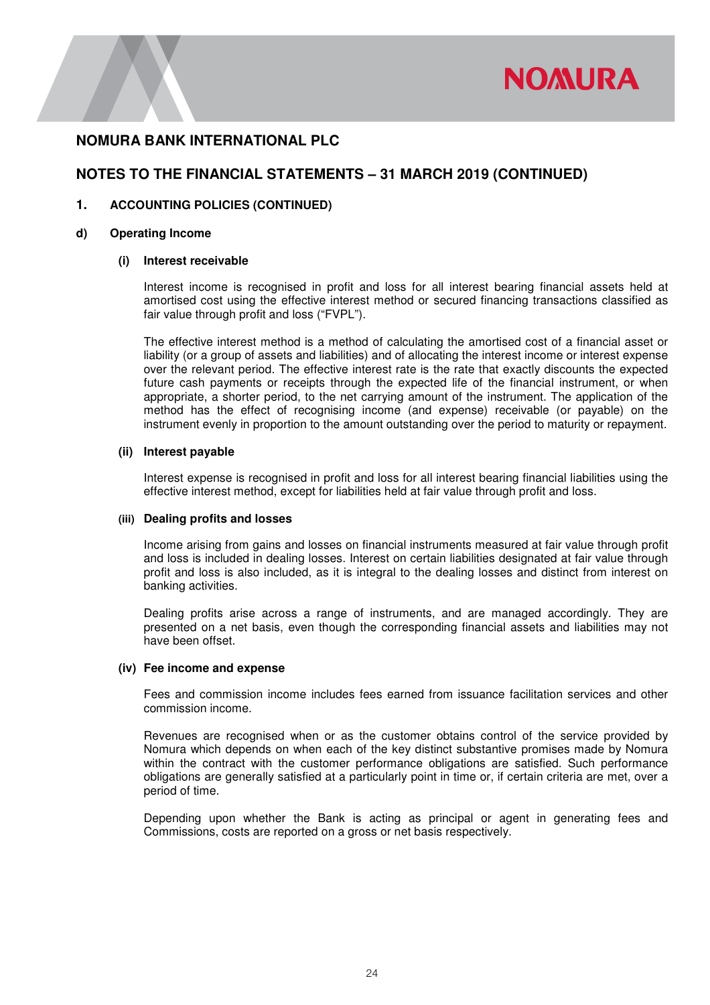

# **NOTES TO THE FINANCIAL STATEMENTS – 31 MARCH 2019 (CONTINUED)**

### **1. ACCOUNTING POLICIES (CONTINUED)**

### **d) Operating Income**

### **(i) Interest receivable**

Interest income is recognised in profit and loss for all interest bearing financial assets held at amortised cost using the effective interest method or secured financing transactions classified as fair value through profit and loss ("FVPL").

The effective interest method is a method of calculating the amortised cost of a financial asset or liability (or a group of assets and liabilities) and of allocating the interest income or interest expense over the relevant period. The effective interest rate is the rate that exactly discounts the expected future cash payments or receipts through the expected life of the financial instrument, or when appropriate, a shorter period, to the net carrying amount of the instrument. The application of the method has the effect of recognising income (and expense) receivable (or payable) on the instrument evenly in proportion to the amount outstanding over the period to maturity or repayment.

### **(ii) Interest payable**

Interest expense is recognised in profit and loss for all interest bearing financial liabilities using the effective interest method, except for liabilities held at fair value through profit and loss.

### **(iii) Dealing profits and losses**

Income arising from gains and losses on financial instruments measured at fair value through profit and loss is included in dealing losses. Interest on certain liabilities designated at fair value through profit and loss is also included, as it is integral to the dealing losses and distinct from interest on banking activities.

Dealing profits arise across a range of instruments, and are managed accordingly. They are presented on a net basis, even though the corresponding financial assets and liabilities may not have been offset.

### **(iv) Fee income and expense**

Fees and commission income includes fees earned from issuance facilitation services and other commission income.

Revenues are recognised when or as the customer obtains control of the service provided by Nomura which depends on when each of the key distinct substantive promises made by Nomura within the contract with the customer performance obligations are satisfied. Such performance obligations are generally satisfied at a particularly point in time or, if certain criteria are met, over a period of time.

Depending upon whether the Bank is acting as principal or agent in generating fees and Commissions, costs are reported on a gross or net basis respectively.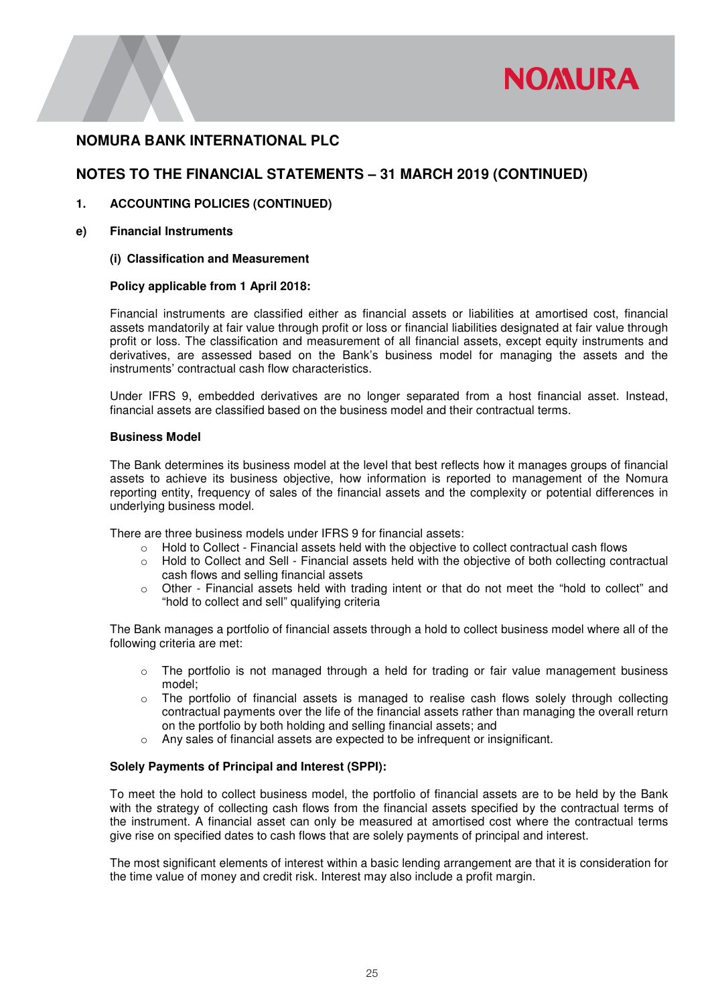

# **NOTES TO THE FINANCIAL STATEMENTS – 31 MARCH 2019 (CONTINUED)**

### **1. ACCOUNTING POLICIES (CONTINUED)**

**e) Financial Instruments** 

### **(i) Classification and Measurement**

### **Policy applicable from 1 April 2018:**

Financial instruments are classified either as financial assets or liabilities at amortised cost, financial assets mandatorily at fair value through profit or loss or financial liabilities designated at fair value through profit or loss. The classification and measurement of all financial assets, except equity instruments and derivatives, are assessed based on the Bank's business model for managing the assets and the instruments' contractual cash flow characteristics.

Under IFRS 9, embedded derivatives are no longer separated from a host financial asset. Instead, financial assets are classified based on the business model and their contractual terms.

### **Business Model**

The Bank determines its business model at the level that best reflects how it manages groups of financial assets to achieve its business objective, how information is reported to management of the Nomura reporting entity, frequency of sales of the financial assets and the complexity or potential differences in underlying business model.

There are three business models under IFRS 9 for financial assets:

- $\circ$  Hold to Collect Financial assets held with the objective to collect contractual cash flows
- o Hold to Collect and Sell Financial assets held with the objective of both collecting contractual cash flows and selling financial assets
- $\circ$  Other Financial assets held with trading intent or that do not meet the "hold to collect" and "hold to collect and sell" qualifying criteria

The Bank manages a portfolio of financial assets through a hold to collect business model where all of the following criteria are met:

- $\circ$  The portfolio is not managed through a held for trading or fair value management business model;
- $\circ$  The portfolio of financial assets is managed to realise cash flows solely through collecting contractual payments over the life of the financial assets rather than managing the overall return on the portfolio by both holding and selling financial assets; and
- Any sales of financial assets are expected to be infrequent or insignificant.

### **Solely Payments of Principal and Interest (SPPI):**

To meet the hold to collect business model, the portfolio of financial assets are to be held by the Bank with the strategy of collecting cash flows from the financial assets specified by the contractual terms of the instrument. A financial asset can only be measured at amortised cost where the contractual terms give rise on specified dates to cash flows that are solely payments of principal and interest.

The most significant elements of interest within a basic lending arrangement are that it is consideration for the time value of money and credit risk. Interest may also include a profit margin.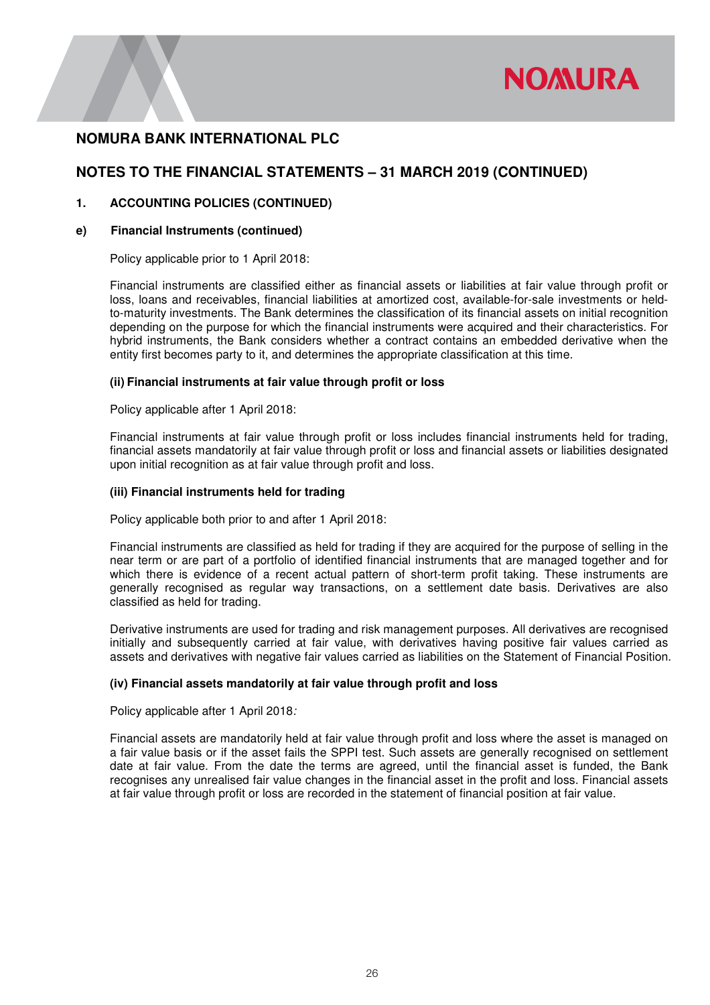

# **NOTES TO THE FINANCIAL STATEMENTS – 31 MARCH 2019 (CONTINUED)**

### **1. ACCOUNTING POLICIES (CONTINUED)**

### **e) Financial Instruments (continued)**

Policy applicable prior to 1 April 2018:

Financial instruments are classified either as financial assets or liabilities at fair value through profit or loss, loans and receivables, financial liabilities at amortized cost, available-for-sale investments or heldto-maturity investments. The Bank determines the classification of its financial assets on initial recognition depending on the purpose for which the financial instruments were acquired and their characteristics. For hybrid instruments, the Bank considers whether a contract contains an embedded derivative when the entity first becomes party to it, and determines the appropriate classification at this time.

### **(ii) Financial instruments at fair value through profit or loss**

Policy applicable after 1 April 2018:

Financial instruments at fair value through profit or loss includes financial instruments held for trading, financial assets mandatorily at fair value through profit or loss and financial assets or liabilities designated upon initial recognition as at fair value through profit and loss.

### **(iii) Financial instruments held for trading**

Policy applicable both prior to and after 1 April 2018:

Financial instruments are classified as held for trading if they are acquired for the purpose of selling in the near term or are part of a portfolio of identified financial instruments that are managed together and for which there is evidence of a recent actual pattern of short-term profit taking. These instruments are generally recognised as regular way transactions, on a settlement date basis. Derivatives are also classified as held for trading.

Derivative instruments are used for trading and risk management purposes. All derivatives are recognised initially and subsequently carried at fair value, with derivatives having positive fair values carried as assets and derivatives with negative fair values carried as liabilities on the Statement of Financial Position.

### **(iv) Financial assets mandatorily at fair value through profit and loss**

Policy applicable after 1 April 2018*:* 

Financial assets are mandatorily held at fair value through profit and loss where the asset is managed on a fair value basis or if the asset fails the SPPI test. Such assets are generally recognised on settlement date at fair value. From the date the terms are agreed, until the financial asset is funded, the Bank recognises any unrealised fair value changes in the financial asset in the profit and loss. Financial assets at fair value through profit or loss are recorded in the statement of financial position at fair value.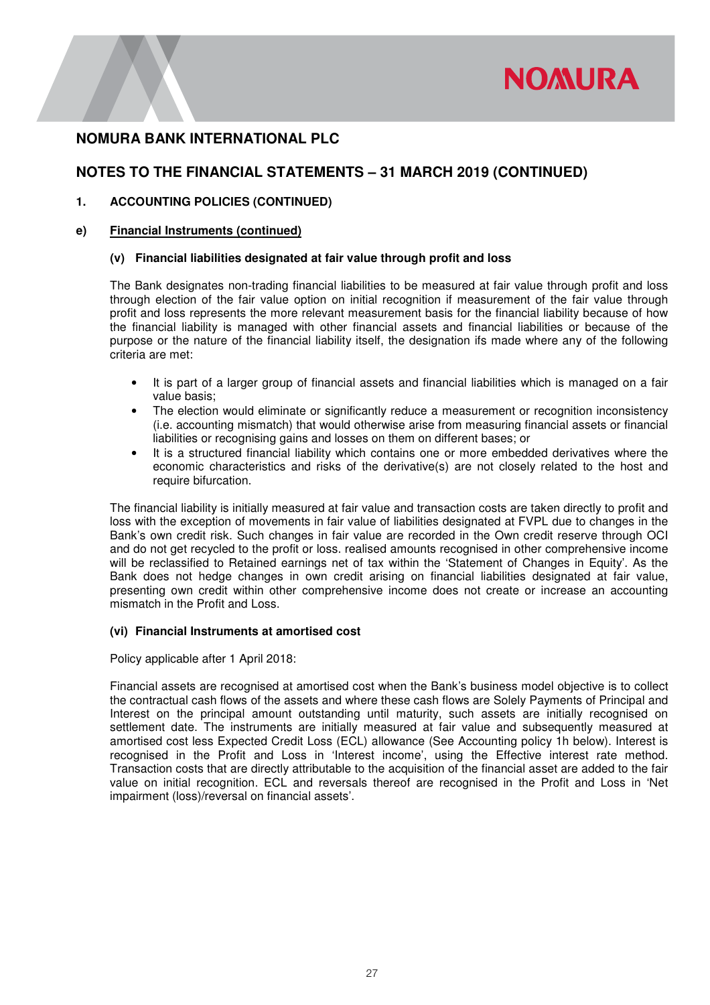

# **NOTES TO THE FINANCIAL STATEMENTS – 31 MARCH 2019 (CONTINUED)**

### **1. ACCOUNTING POLICIES (CONTINUED)**

### **e) Financial Instruments (continued)**

### **(v) Financial liabilities designated at fair value through profit and loss**

The Bank designates non-trading financial liabilities to be measured at fair value through profit and loss through election of the fair value option on initial recognition if measurement of the fair value through profit and loss represents the more relevant measurement basis for the financial liability because of how the financial liability is managed with other financial assets and financial liabilities or because of the purpose or the nature of the financial liability itself, the designation ifs made where any of the following criteria are met:

- It is part of a larger group of financial assets and financial liabilities which is managed on a fair value basis;
- The election would eliminate or significantly reduce a measurement or recognition inconsistency (i.e. accounting mismatch) that would otherwise arise from measuring financial assets or financial liabilities or recognising gains and losses on them on different bases; or
- It is a structured financial liability which contains one or more embedded derivatives where the economic characteristics and risks of the derivative(s) are not closely related to the host and require bifurcation.

The financial liability is initially measured at fair value and transaction costs are taken directly to profit and loss with the exception of movements in fair value of liabilities designated at FVPL due to changes in the Bank's own credit risk. Such changes in fair value are recorded in the Own credit reserve through OCI and do not get recycled to the profit or loss. realised amounts recognised in other comprehensive income will be reclassified to Retained earnings net of tax within the 'Statement of Changes in Equity'. As the Bank does not hedge changes in own credit arising on financial liabilities designated at fair value, presenting own credit within other comprehensive income does not create or increase an accounting mismatch in the Profit and Loss.

### **(vi) Financial Instruments at amortised cost**

Policy applicable after 1 April 2018:

Financial assets are recognised at amortised cost when the Bank's business model objective is to collect the contractual cash flows of the assets and where these cash flows are Solely Payments of Principal and Interest on the principal amount outstanding until maturity, such assets are initially recognised on settlement date. The instruments are initially measured at fair value and subsequently measured at amortised cost less Expected Credit Loss (ECL) allowance (See Accounting policy 1h below). Interest is recognised in the Profit and Loss in 'Interest income', using the Effective interest rate method. Transaction costs that are directly attributable to the acquisition of the financial asset are added to the fair value on initial recognition. ECL and reversals thereof are recognised in the Profit and Loss in 'Net impairment (loss)/reversal on financial assets'.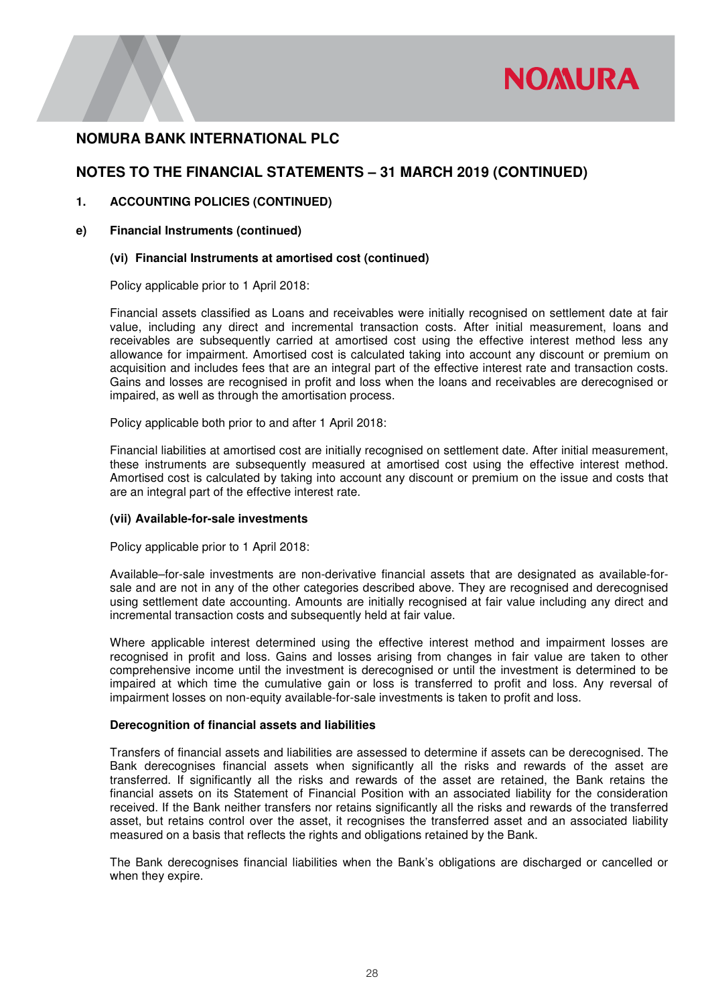

# **NOTES TO THE FINANCIAL STATEMENTS – 31 MARCH 2019 (CONTINUED)**

### **1. ACCOUNTING POLICIES (CONTINUED)**

### **e) Financial Instruments (continued)**

### **(vi) Financial Instruments at amortised cost (continued)**

Policy applicable prior to 1 April 2018:

Financial assets classified as Loans and receivables were initially recognised on settlement date at fair value, including any direct and incremental transaction costs. After initial measurement, loans and receivables are subsequently carried at amortised cost using the effective interest method less any allowance for impairment. Amortised cost is calculated taking into account any discount or premium on acquisition and includes fees that are an integral part of the effective interest rate and transaction costs. Gains and losses are recognised in profit and loss when the loans and receivables are derecognised or impaired, as well as through the amortisation process.

Policy applicable both prior to and after 1 April 2018:

Financial liabilities at amortised cost are initially recognised on settlement date. After initial measurement, these instruments are subsequently measured at amortised cost using the effective interest method. Amortised cost is calculated by taking into account any discount or premium on the issue and costs that are an integral part of the effective interest rate.

### **(vii) Available-for-sale investments**

Policy applicable prior to 1 April 2018:

Available–for-sale investments are non-derivative financial assets that are designated as available-forsale and are not in any of the other categories described above. They are recognised and derecognised using settlement date accounting. Amounts are initially recognised at fair value including any direct and incremental transaction costs and subsequently held at fair value.

Where applicable interest determined using the effective interest method and impairment losses are recognised in profit and loss. Gains and losses arising from changes in fair value are taken to other comprehensive income until the investment is derecognised or until the investment is determined to be impaired at which time the cumulative gain or loss is transferred to profit and loss. Any reversal of impairment losses on non-equity available-for-sale investments is taken to profit and loss.

### **Derecognition of financial assets and liabilities**

Transfers of financial assets and liabilities are assessed to determine if assets can be derecognised. The Bank derecognises financial assets when significantly all the risks and rewards of the asset are transferred. If significantly all the risks and rewards of the asset are retained, the Bank retains the financial assets on its Statement of Financial Position with an associated liability for the consideration received. If the Bank neither transfers nor retains significantly all the risks and rewards of the transferred asset, but retains control over the asset, it recognises the transferred asset and an associated liability measured on a basis that reflects the rights and obligations retained by the Bank.

The Bank derecognises financial liabilities when the Bank's obligations are discharged or cancelled or when they expire.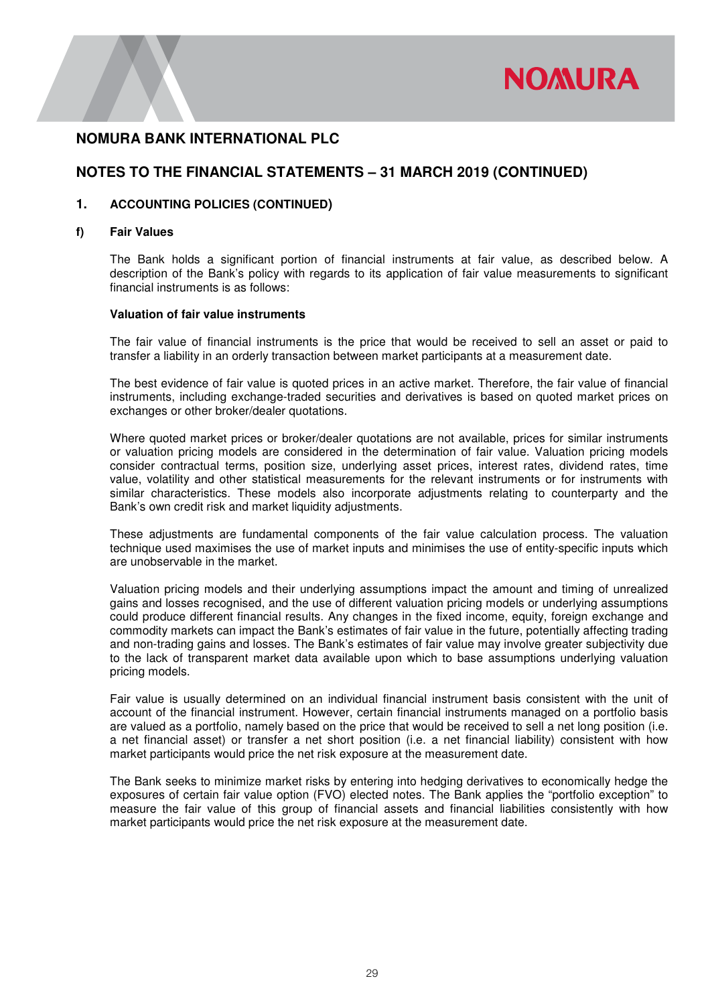

# **NOTES TO THE FINANCIAL STATEMENTS – 31 MARCH 2019 (CONTINUED)**

### **1. ACCOUNTING POLICIES (CONTINUED)**

### **f) Fair Values**

The Bank holds a significant portion of financial instruments at fair value, as described below. A description of the Bank's policy with regards to its application of fair value measurements to significant financial instruments is as follows:

### **Valuation of fair value instruments**

The fair value of financial instruments is the price that would be received to sell an asset or paid to transfer a liability in an orderly transaction between market participants at a measurement date.

The best evidence of fair value is quoted prices in an active market. Therefore, the fair value of financial instruments, including exchange-traded securities and derivatives is based on quoted market prices on exchanges or other broker/dealer quotations.

Where quoted market prices or broker/dealer quotations are not available, prices for similar instruments or valuation pricing models are considered in the determination of fair value. Valuation pricing models consider contractual terms, position size, underlying asset prices, interest rates, dividend rates, time value, volatility and other statistical measurements for the relevant instruments or for instruments with similar characteristics. These models also incorporate adjustments relating to counterparty and the Bank's own credit risk and market liquidity adjustments.

These adjustments are fundamental components of the fair value calculation process. The valuation technique used maximises the use of market inputs and minimises the use of entity-specific inputs which are unobservable in the market.

Valuation pricing models and their underlying assumptions impact the amount and timing of unrealized gains and losses recognised, and the use of different valuation pricing models or underlying assumptions could produce different financial results. Any changes in the fixed income, equity, foreign exchange and commodity markets can impact the Bank's estimates of fair value in the future, potentially affecting trading and non-trading gains and losses. The Bank's estimates of fair value may involve greater subjectivity due to the lack of transparent market data available upon which to base assumptions underlying valuation pricing models.

Fair value is usually determined on an individual financial instrument basis consistent with the unit of account of the financial instrument. However, certain financial instruments managed on a portfolio basis are valued as a portfolio, namely based on the price that would be received to sell a net long position (i.e. a net financial asset) or transfer a net short position (i.e. a net financial liability) consistent with how market participants would price the net risk exposure at the measurement date.

The Bank seeks to minimize market risks by entering into hedging derivatives to economically hedge the exposures of certain fair value option (FVO) elected notes. The Bank applies the "portfolio exception" to measure the fair value of this group of financial assets and financial liabilities consistently with how market participants would price the net risk exposure at the measurement date.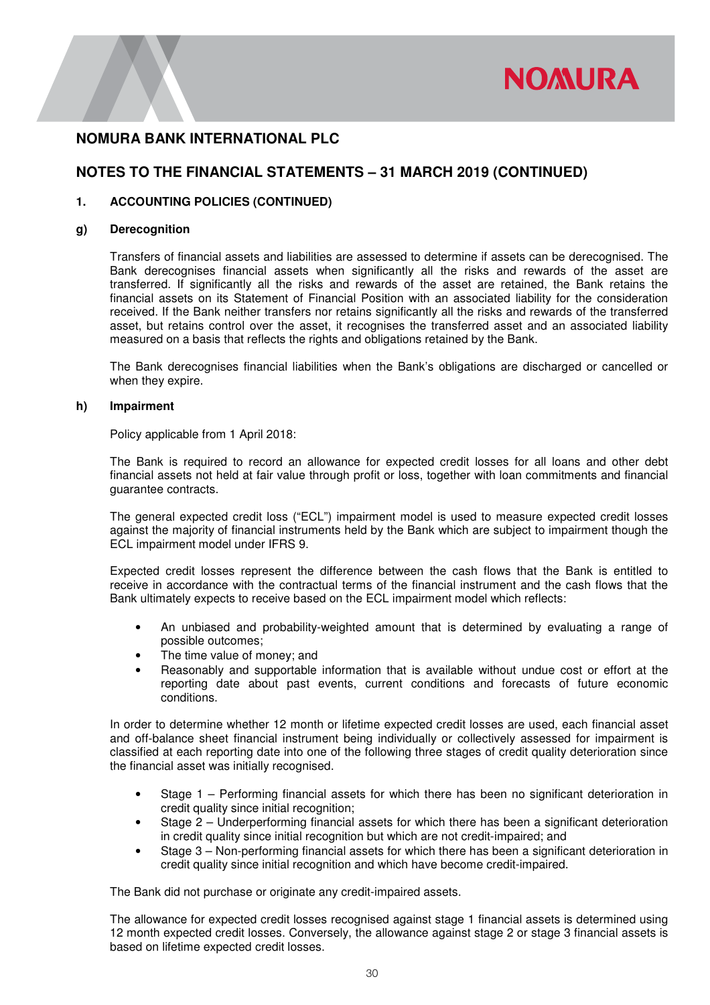

## **NOTES TO THE FINANCIAL STATEMENTS – 31 MARCH 2019 (CONTINUED)**

### **1. ACCOUNTING POLICIES (CONTINUED)**

### **g) Derecognition**

Transfers of financial assets and liabilities are assessed to determine if assets can be derecognised. The Bank derecognises financial assets when significantly all the risks and rewards of the asset are transferred. If significantly all the risks and rewards of the asset are retained, the Bank retains the financial assets on its Statement of Financial Position with an associated liability for the consideration received. If the Bank neither transfers nor retains significantly all the risks and rewards of the transferred asset, but retains control over the asset, it recognises the transferred asset and an associated liability measured on a basis that reflects the rights and obligations retained by the Bank.

The Bank derecognises financial liabilities when the Bank's obligations are discharged or cancelled or when they expire.

### **h) Impairment**

Policy applicable from 1 April 2018:

The Bank is required to record an allowance for expected credit losses for all loans and other debt financial assets not held at fair value through profit or loss, together with loan commitments and financial guarantee contracts.

The general expected credit loss ("ECL") impairment model is used to measure expected credit losses against the majority of financial instruments held by the Bank which are subject to impairment though the ECL impairment model under IFRS 9.

Expected credit losses represent the difference between the cash flows that the Bank is entitled to receive in accordance with the contractual terms of the financial instrument and the cash flows that the Bank ultimately expects to receive based on the ECL impairment model which reflects:

- An unbiased and probability-weighted amount that is determined by evaluating a range of possible outcomes;
- The time value of money; and
- Reasonably and supportable information that is available without undue cost or effort at the reporting date about past events, current conditions and forecasts of future economic conditions.

In order to determine whether 12 month or lifetime expected credit losses are used, each financial asset and off-balance sheet financial instrument being individually or collectively assessed for impairment is classified at each reporting date into one of the following three stages of credit quality deterioration since the financial asset was initially recognised.

- Stage 1 Performing financial assets for which there has been no significant deterioration in credit quality since initial recognition;
- Stage 2 Underperforming financial assets for which there has been a significant deterioration in credit quality since initial recognition but which are not credit-impaired; and
- Stage 3 Non-performing financial assets for which there has been a significant deterioration in credit quality since initial recognition and which have become credit-impaired.

The Bank did not purchase or originate any credit-impaired assets.

The allowance for expected credit losses recognised against stage 1 financial assets is determined using 12 month expected credit losses. Conversely, the allowance against stage 2 or stage 3 financial assets is based on lifetime expected credit losses.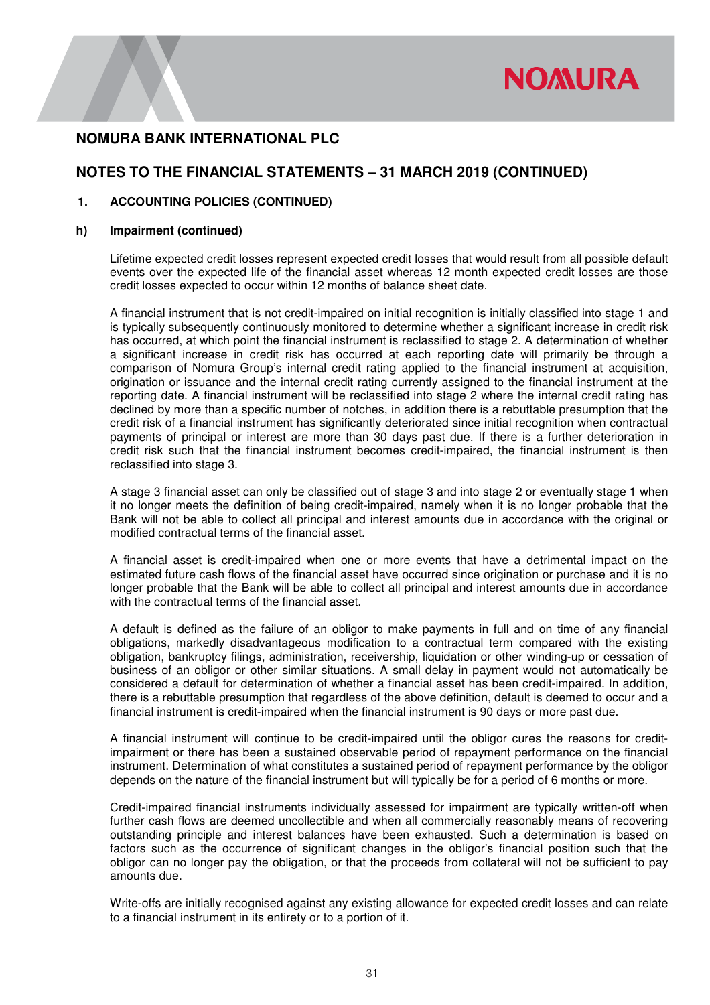

# **NOTES TO THE FINANCIAL STATEMENTS – 31 MARCH 2019 (CONTINUED)**

### **1. ACCOUNTING POLICIES (CONTINUED)**

### **h) Impairment (continued)**

Lifetime expected credit losses represent expected credit losses that would result from all possible default events over the expected life of the financial asset whereas 12 month expected credit losses are those credit losses expected to occur within 12 months of balance sheet date.

A financial instrument that is not credit-impaired on initial recognition is initially classified into stage 1 and is typically subsequently continuously monitored to determine whether a significant increase in credit risk has occurred, at which point the financial instrument is reclassified to stage 2. A determination of whether a significant increase in credit risk has occurred at each reporting date will primarily be through a comparison of Nomura Group's internal credit rating applied to the financial instrument at acquisition, origination or issuance and the internal credit rating currently assigned to the financial instrument at the reporting date. A financial instrument will be reclassified into stage 2 where the internal credit rating has declined by more than a specific number of notches, in addition there is a rebuttable presumption that the credit risk of a financial instrument has significantly deteriorated since initial recognition when contractual payments of principal or interest are more than 30 days past due. If there is a further deterioration in credit risk such that the financial instrument becomes credit-impaired, the financial instrument is then reclassified into stage 3.

A stage 3 financial asset can only be classified out of stage 3 and into stage 2 or eventually stage 1 when it no longer meets the definition of being credit-impaired, namely when it is no longer probable that the Bank will not be able to collect all principal and interest amounts due in accordance with the original or modified contractual terms of the financial asset.

A financial asset is credit-impaired when one or more events that have a detrimental impact on the estimated future cash flows of the financial asset have occurred since origination or purchase and it is no longer probable that the Bank will be able to collect all principal and interest amounts due in accordance with the contractual terms of the financial asset.

A default is defined as the failure of an obligor to make payments in full and on time of any financial obligations, markedly disadvantageous modification to a contractual term compared with the existing obligation, bankruptcy filings, administration, receivership, liquidation or other winding-up or cessation of business of an obligor or other similar situations. A small delay in payment would not automatically be considered a default for determination of whether a financial asset has been credit-impaired. In addition, there is a rebuttable presumption that regardless of the above definition, default is deemed to occur and a financial instrument is credit-impaired when the financial instrument is 90 days or more past due.

A financial instrument will continue to be credit-impaired until the obligor cures the reasons for creditimpairment or there has been a sustained observable period of repayment performance on the financial instrument. Determination of what constitutes a sustained period of repayment performance by the obligor depends on the nature of the financial instrument but will typically be for a period of 6 months or more.

Credit-impaired financial instruments individually assessed for impairment are typically written-off when further cash flows are deemed uncollectible and when all commercially reasonably means of recovering outstanding principle and interest balances have been exhausted. Such a determination is based on factors such as the occurrence of significant changes in the obligor's financial position such that the obligor can no longer pay the obligation, or that the proceeds from collateral will not be sufficient to pay amounts due.

Write-offs are initially recognised against any existing allowance for expected credit losses and can relate to a financial instrument in its entirety or to a portion of it.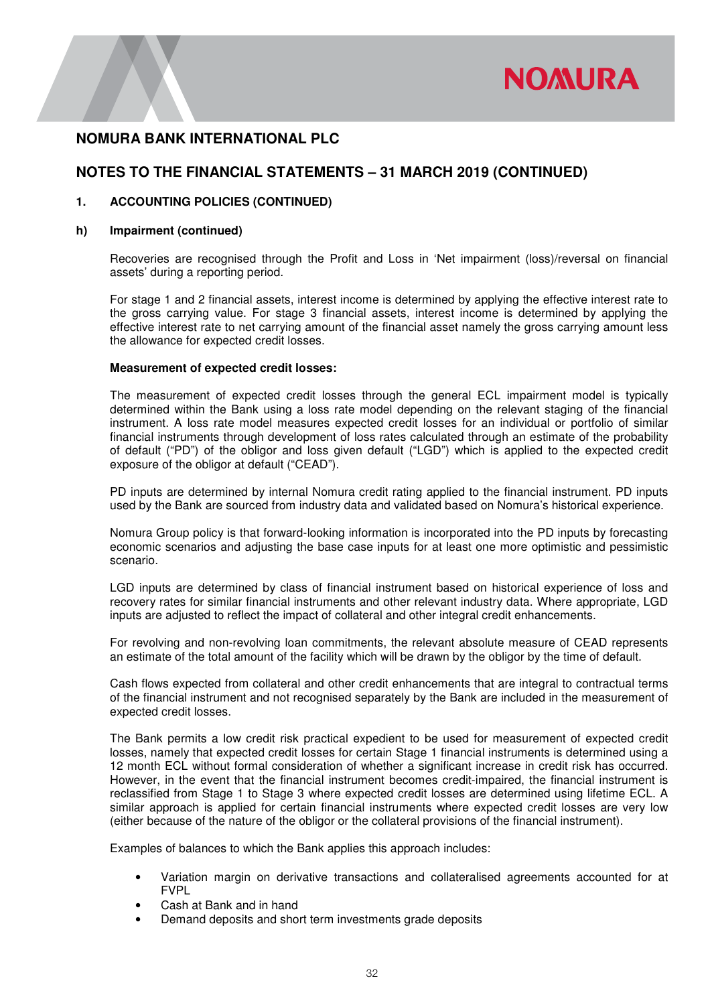

## **NOTES TO THE FINANCIAL STATEMENTS – 31 MARCH 2019 (CONTINUED)**

### **1. ACCOUNTING POLICIES (CONTINUED)**

### **h) Impairment (continued)**

Recoveries are recognised through the Profit and Loss in 'Net impairment (loss)/reversal on financial assets' during a reporting period.

For stage 1 and 2 financial assets, interest income is determined by applying the effective interest rate to the gross carrying value. For stage 3 financial assets, interest income is determined by applying the effective interest rate to net carrying amount of the financial asset namely the gross carrying amount less the allowance for expected credit losses.

#### **Measurement of expected credit losses:**

The measurement of expected credit losses through the general ECL impairment model is typically determined within the Bank using a loss rate model depending on the relevant staging of the financial instrument. A loss rate model measures expected credit losses for an individual or portfolio of similar financial instruments through development of loss rates calculated through an estimate of the probability of default ("PD") of the obligor and loss given default ("LGD") which is applied to the expected credit exposure of the obligor at default ("CEAD").

PD inputs are determined by internal Nomura credit rating applied to the financial instrument. PD inputs used by the Bank are sourced from industry data and validated based on Nomura's historical experience.

Nomura Group policy is that forward-looking information is incorporated into the PD inputs by forecasting economic scenarios and adjusting the base case inputs for at least one more optimistic and pessimistic scenario.

LGD inputs are determined by class of financial instrument based on historical experience of loss and recovery rates for similar financial instruments and other relevant industry data. Where appropriate, LGD inputs are adjusted to reflect the impact of collateral and other integral credit enhancements.

For revolving and non-revolving loan commitments, the relevant absolute measure of CEAD represents an estimate of the total amount of the facility which will be drawn by the obligor by the time of default.

Cash flows expected from collateral and other credit enhancements that are integral to contractual terms of the financial instrument and not recognised separately by the Bank are included in the measurement of expected credit losses.

The Bank permits a low credit risk practical expedient to be used for measurement of expected credit losses, namely that expected credit losses for certain Stage 1 financial instruments is determined using a 12 month ECL without formal consideration of whether a significant increase in credit risk has occurred. However, in the event that the financial instrument becomes credit-impaired, the financial instrument is reclassified from Stage 1 to Stage 3 where expected credit losses are determined using lifetime ECL. A similar approach is applied for certain financial instruments where expected credit losses are very low (either because of the nature of the obligor or the collateral provisions of the financial instrument).

Examples of balances to which the Bank applies this approach includes:

- Variation margin on derivative transactions and collateralised agreements accounted for at FVPL
- Cash at Bank and in hand
- Demand deposits and short term investments grade deposits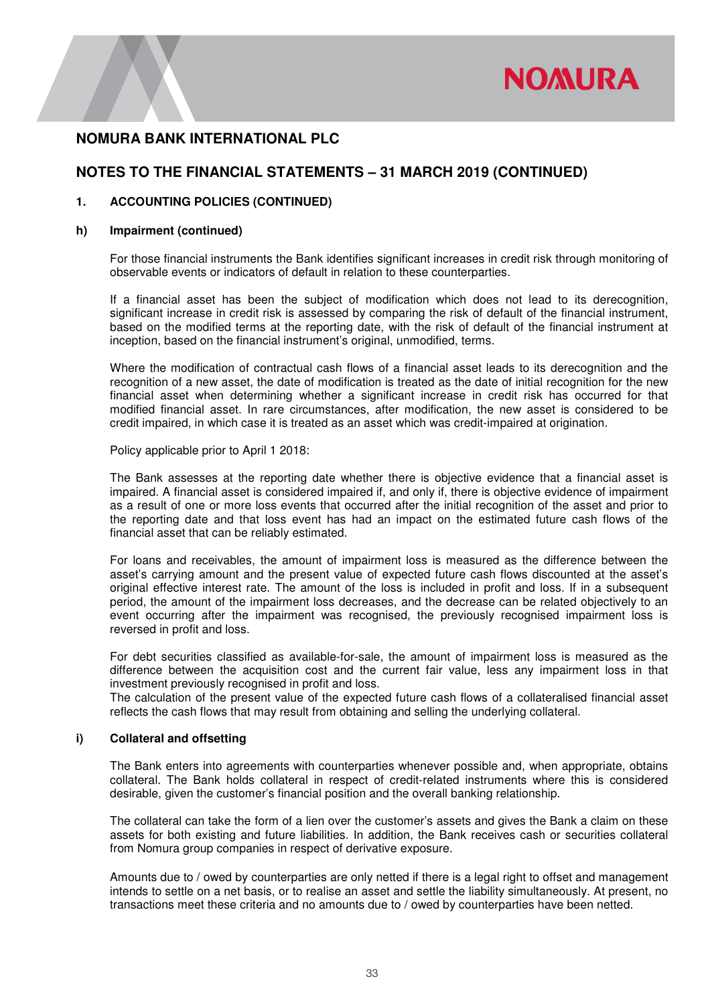

# **NOTES TO THE FINANCIAL STATEMENTS – 31 MARCH 2019 (CONTINUED)**

### **1. ACCOUNTING POLICIES (CONTINUED)**

### **h) Impairment (continued)**

For those financial instruments the Bank identifies significant increases in credit risk through monitoring of observable events or indicators of default in relation to these counterparties.

If a financial asset has been the subject of modification which does not lead to its derecognition, significant increase in credit risk is assessed by comparing the risk of default of the financial instrument, based on the modified terms at the reporting date, with the risk of default of the financial instrument at inception, based on the financial instrument's original, unmodified, terms.

Where the modification of contractual cash flows of a financial asset leads to its derecognition and the recognition of a new asset, the date of modification is treated as the date of initial recognition for the new financial asset when determining whether a significant increase in credit risk has occurred for that modified financial asset. In rare circumstances, after modification, the new asset is considered to be credit impaired, in which case it is treated as an asset which was credit-impaired at origination.

Policy applicable prior to April 1 2018:

The Bank assesses at the reporting date whether there is objective evidence that a financial asset is impaired. A financial asset is considered impaired if, and only if, there is objective evidence of impairment as a result of one or more loss events that occurred after the initial recognition of the asset and prior to the reporting date and that loss event has had an impact on the estimated future cash flows of the financial asset that can be reliably estimated.

For loans and receivables, the amount of impairment loss is measured as the difference between the asset's carrying amount and the present value of expected future cash flows discounted at the asset's original effective interest rate. The amount of the loss is included in profit and loss. If in a subsequent period, the amount of the impairment loss decreases, and the decrease can be related objectively to an event occurring after the impairment was recognised, the previously recognised impairment loss is reversed in profit and loss.

For debt securities classified as available-for-sale, the amount of impairment loss is measured as the difference between the acquisition cost and the current fair value, less any impairment loss in that investment previously recognised in profit and loss.

The calculation of the present value of the expected future cash flows of a collateralised financial asset reflects the cash flows that may result from obtaining and selling the underlying collateral.

### **i) Collateral and offsetting**

The Bank enters into agreements with counterparties whenever possible and, when appropriate, obtains collateral. The Bank holds collateral in respect of credit-related instruments where this is considered desirable, given the customer's financial position and the overall banking relationship.

The collateral can take the form of a lien over the customer's assets and gives the Bank a claim on these assets for both existing and future liabilities. In addition, the Bank receives cash or securities collateral from Nomura group companies in respect of derivative exposure.

Amounts due to / owed by counterparties are only netted if there is a legal right to offset and management intends to settle on a net basis, or to realise an asset and settle the liability simultaneously. At present, no transactions meet these criteria and no amounts due to / owed by counterparties have been netted.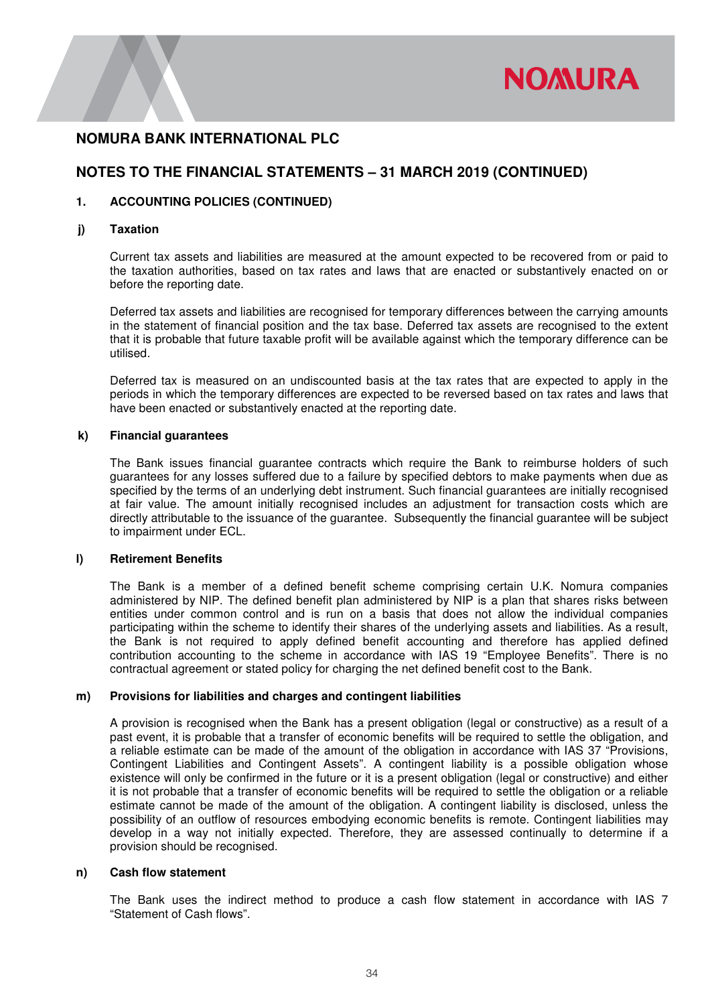

## **NOTES TO THE FINANCIAL STATEMENTS – 31 MARCH 2019 (CONTINUED)**

### **1. ACCOUNTING POLICIES (CONTINUED)**

### **j) Taxation**

Current tax assets and liabilities are measured at the amount expected to be recovered from or paid to the taxation authorities, based on tax rates and laws that are enacted or substantively enacted on or before the reporting date.

Deferred tax assets and liabilities are recognised for temporary differences between the carrying amounts in the statement of financial position and the tax base. Deferred tax assets are recognised to the extent that it is probable that future taxable profit will be available against which the temporary difference can be utilised.

Deferred tax is measured on an undiscounted basis at the tax rates that are expected to apply in the periods in which the temporary differences are expected to be reversed based on tax rates and laws that have been enacted or substantively enacted at the reporting date.

### **k) Financial guarantees**

The Bank issues financial guarantee contracts which require the Bank to reimburse holders of such guarantees for any losses suffered due to a failure by specified debtors to make payments when due as specified by the terms of an underlying debt instrument. Such financial guarantees are initially recognised at fair value. The amount initially recognised includes an adjustment for transaction costs which are directly attributable to the issuance of the guarantee. Subsequently the financial guarantee will be subject to impairment under ECL.

### **l) Retirement Benefits**

The Bank is a member of a defined benefit scheme comprising certain U.K. Nomura companies administered by NIP. The defined benefit plan administered by NIP is a plan that shares risks between entities under common control and is run on a basis that does not allow the individual companies participating within the scheme to identify their shares of the underlying assets and liabilities. As a result, the Bank is not required to apply defined benefit accounting and therefore has applied defined contribution accounting to the scheme in accordance with IAS 19 "Employee Benefits". There is no contractual agreement or stated policy for charging the net defined benefit cost to the Bank.

### **m) Provisions for liabilities and charges and contingent liabilities**

A provision is recognised when the Bank has a present obligation (legal or constructive) as a result of a past event, it is probable that a transfer of economic benefits will be required to settle the obligation, and a reliable estimate can be made of the amount of the obligation in accordance with IAS 37 "Provisions, Contingent Liabilities and Contingent Assets". A contingent liability is a possible obligation whose existence will only be confirmed in the future or it is a present obligation (legal or constructive) and either it is not probable that a transfer of economic benefits will be required to settle the obligation or a reliable estimate cannot be made of the amount of the obligation. A contingent liability is disclosed, unless the possibility of an outflow of resources embodying economic benefits is remote. Contingent liabilities may develop in a way not initially expected. Therefore, they are assessed continually to determine if a provision should be recognised.

### **n) Cash flow statement**

The Bank uses the indirect method to produce a cash flow statement in accordance with IAS 7 "Statement of Cash flows".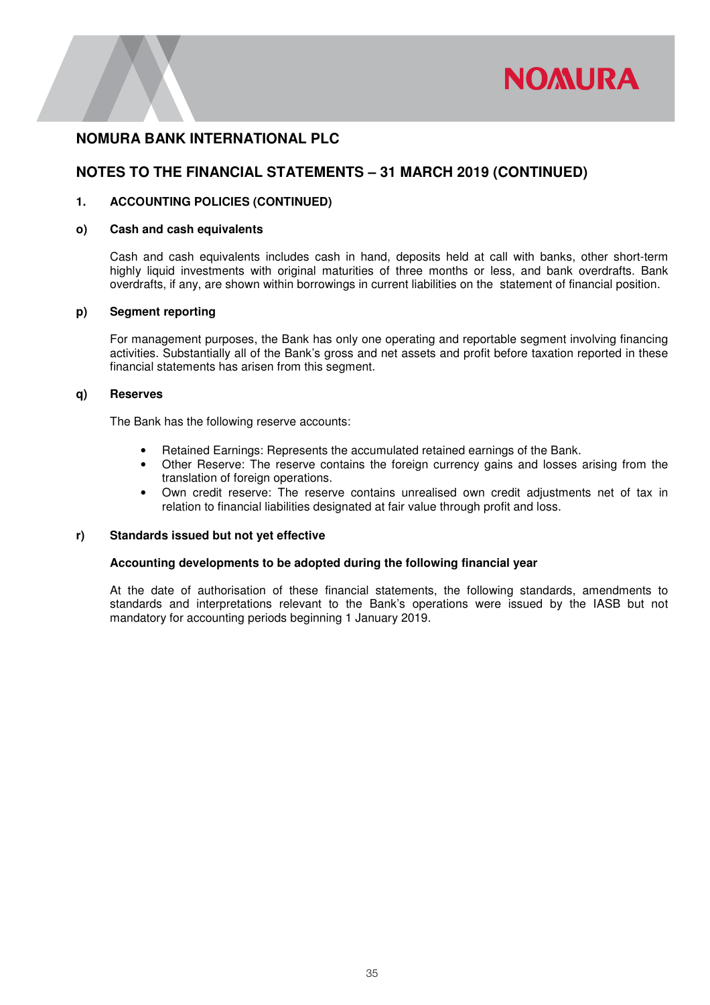

# **NOTES TO THE FINANCIAL STATEMENTS – 31 MARCH 2019 (CONTINUED)**

### **1. ACCOUNTING POLICIES (CONTINUED)**

### **o) Cash and cash equivalents**

Cash and cash equivalents includes cash in hand, deposits held at call with banks, other short-term highly liquid investments with original maturities of three months or less, and bank overdrafts. Bank overdrafts, if any, are shown within borrowings in current liabilities on the statement of financial position.

### **p) Segment reporting**

For management purposes, the Bank has only one operating and reportable segment involving financing activities. Substantially all of the Bank's gross and net assets and profit before taxation reported in these financial statements has arisen from this segment.

### **q) Reserves**

The Bank has the following reserve accounts:

- Retained Earnings: Represents the accumulated retained earnings of the Bank.
- Other Reserve: The reserve contains the foreign currency gains and losses arising from the translation of foreign operations.
- Own credit reserve: The reserve contains unrealised own credit adjustments net of tax in relation to financial liabilities designated at fair value through profit and loss.

### **r) Standards issued but not yet effective**

### **Accounting developments to be adopted during the following financial year**

At the date of authorisation of these financial statements, the following standards, amendments to standards and interpretations relevant to the Bank's operations were issued by the IASB but not mandatory for accounting periods beginning 1 January 2019.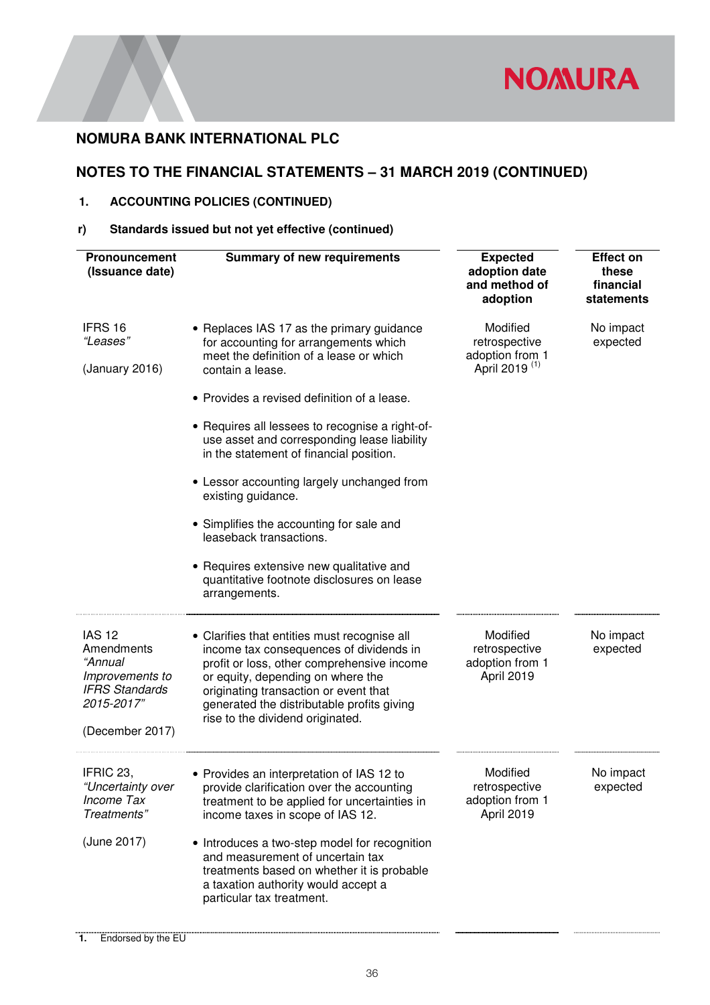

# **NOTES TO THE FINANCIAL STATEMENTS – 31 MARCH 2019 (CONTINUED)**

# **1. ACCOUNTING POLICIES (CONTINUED)**

# **r) Standards issued but not yet effective (continued)**

| Pronouncement<br>(Issuance date)                                                                                    | <b>Summary of new requirements</b>                                                                                                                                                                                                                                                                                                                                                                                                                                                                                                                                                                  | <b>Expected</b><br>adoption date<br>and method of<br>adoption             | <b>Effect on</b><br>these<br>financial<br>statements |
|---------------------------------------------------------------------------------------------------------------------|-----------------------------------------------------------------------------------------------------------------------------------------------------------------------------------------------------------------------------------------------------------------------------------------------------------------------------------------------------------------------------------------------------------------------------------------------------------------------------------------------------------------------------------------------------------------------------------------------------|---------------------------------------------------------------------------|------------------------------------------------------|
| IFRS 16<br>"Leases"<br>(January 2016)                                                                               | • Replaces IAS 17 as the primary guidance<br>for accounting for arrangements which<br>meet the definition of a lease or which<br>contain a lease.<br>• Provides a revised definition of a lease.<br>• Requires all lessees to recognise a right-of-<br>use asset and corresponding lease liability<br>in the statement of financial position.<br>• Lessor accounting largely unchanged from<br>existing guidance.<br>• Simplifies the accounting for sale and<br>leaseback transactions.<br>• Requires extensive new qualitative and<br>quantitative footnote disclosures on lease<br>arrangements. | Modified<br>retrospective<br>adoption from 1<br>April 2019 <sup>(1)</sup> | No impact<br>expected                                |
| <b>IAS 12</b><br>Amendments<br>"Annual<br>Improvements to<br><b>IFRS Standards</b><br>2015-2017"<br>(December 2017) | • Clarifies that entities must recognise all<br>income tax consequences of dividends in<br>profit or loss, other comprehensive income<br>or equity, depending on where the<br>originating transaction or event that<br>generated the distributable profits giving<br>rise to the dividend originated.                                                                                                                                                                                                                                                                                               | Modified<br>retrospective<br>adoption from 1<br>April 2019                | No impact<br>expected                                |
| IFRIC 23,<br>"Uncertainty over<br>Income Tax<br>Treatments"<br>(June 2017)                                          | • Provides an interpretation of IAS 12 to<br>provide clarification over the accounting<br>treatment to be applied for uncertainties in<br>income taxes in scope of IAS 12.<br>• Introduces a two-step model for recognition<br>and measurement of uncertain tax<br>treatments based on whether it is probable<br>a taxation authority would accept a<br>particular tax treatment.                                                                                                                                                                                                                   | Modified<br>retrospective<br>adoption from 1<br>April 2019                | No impact<br>expected                                |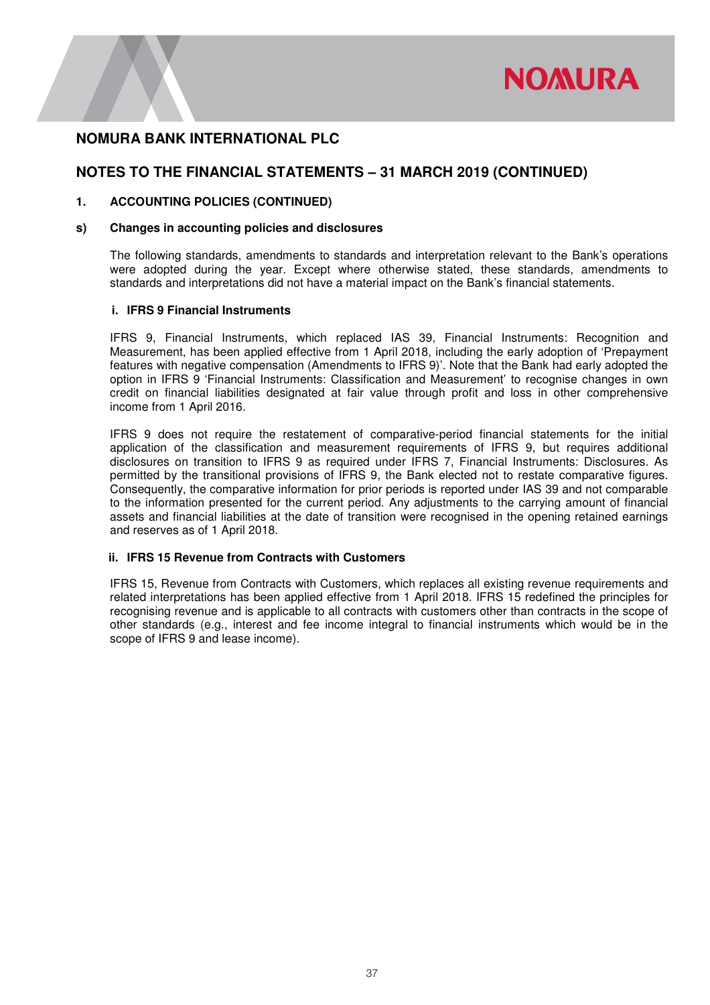

# **NOTES TO THE FINANCIAL STATEMENTS – 31 MARCH 2019 (CONTINUED)**

### **1. ACCOUNTING POLICIES (CONTINUED)**

### **s) Changes in accounting policies and disclosures**

The following standards, amendments to standards and interpretation relevant to the Bank's operations were adopted during the year. Except where otherwise stated, these standards, amendments to standards and interpretations did not have a material impact on the Bank's financial statements.

#### **i. IFRS 9 Financial Instruments**

IFRS 9, Financial Instruments, which replaced IAS 39, Financial Instruments: Recognition and Measurement, has been applied effective from 1 April 2018, including the early adoption of 'Prepayment features with negative compensation (Amendments to IFRS 9)'. Note that the Bank had early adopted the option in IFRS 9 'Financial Instruments: Classification and Measurement' to recognise changes in own credit on financial liabilities designated at fair value through profit and loss in other comprehensive income from 1 April 2016.

IFRS 9 does not require the restatement of comparative-period financial statements for the initial application of the classification and measurement requirements of IFRS 9, but requires additional disclosures on transition to IFRS 9 as required under IFRS 7, Financial Instruments: Disclosures. As permitted by the transitional provisions of IFRS 9, the Bank elected not to restate comparative figures. Consequently, the comparative information for prior periods is reported under IAS 39 and not comparable to the information presented for the current period. Any adjustments to the carrying amount of financial assets and financial liabilities at the date of transition were recognised in the opening retained earnings and reserves as of 1 April 2018.

### **ii. IFRS 15 Revenue from Contracts with Customers**

IFRS 15, Revenue from Contracts with Customers, which replaces all existing revenue requirements and related interpretations has been applied effective from 1 April 2018. IFRS 15 redefined the principles for recognising revenue and is applicable to all contracts with customers other than contracts in the scope of other standards (e.g., interest and fee income integral to financial instruments which would be in the scope of IFRS 9 and lease income).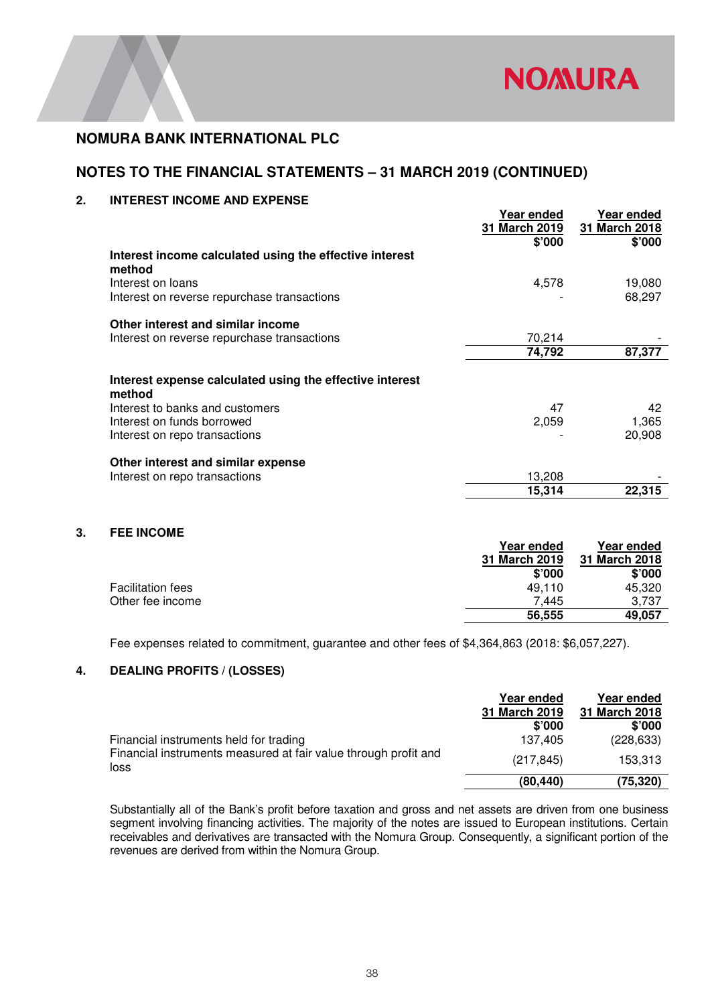

# **NOTES TO THE FINANCIAL STATEMENTS – 31 MARCH 2019 (CONTINUED)**

### **2. INTEREST INCOME AND EXPENSE**

|                                                                    | Year ended<br>31 March 2019 | Year ended<br>31 March 2018 |
|--------------------------------------------------------------------|-----------------------------|-----------------------------|
|                                                                    | \$'000                      | \$'000                      |
| Interest income calculated using the effective interest<br>method  |                             |                             |
| Interest on loans                                                  | 4,578                       | 19,080                      |
| Interest on reverse repurchase transactions                        |                             | 68,297                      |
| Other interest and similar income                                  |                             |                             |
| Interest on reverse repurchase transactions                        | 70,214                      |                             |
|                                                                    | 74,792                      | 87,377                      |
| Interest expense calculated using the effective interest<br>method |                             |                             |
| Interest to banks and customers                                    | 47                          | 42                          |
| Interest on funds borrowed                                         | 2,059                       | 1,365                       |
| Interest on repo transactions                                      |                             | 20,908                      |
| Other interest and similar expense                                 |                             |                             |
| Interest on repo transactions                                      | 13,208                      |                             |
|                                                                    | 15,314                      | 22,315                      |
|                                                                    |                             |                             |

### **3. FEE INCOME**

|                          | Year ended    | Year ended    |
|--------------------------|---------------|---------------|
|                          | 31 March 2019 | 31 March 2018 |
|                          | \$'000        | \$'000        |
| <b>Facilitation fees</b> | 49.110        | 45,320        |
| Other fee income         | 7.445         | 3.737         |
|                          | 56,555        | 49,057        |

Fee expenses related to commitment, guarantee and other fees of \$4,364,863 (2018: \$6,057,227).

### **4. DEALING PROFITS / (LOSSES)**

|                                                                         | Year ended              | Year ended              |
|-------------------------------------------------------------------------|-------------------------|-------------------------|
|                                                                         | 31 March 2019<br>\$'000 | 31 March 2018<br>\$'000 |
| Financial instruments held for trading                                  | 137.405                 | (228, 633)              |
| Financial instruments measured at fair value through profit and<br>loss | (217, 845)              | 153,313                 |
|                                                                         | (80, 440)               | (75, 320)               |

Substantially all of the Bank's profit before taxation and gross and net assets are driven from one business segment involving financing activities. The majority of the notes are issued to European institutions. Certain receivables and derivatives are transacted with the Nomura Group. Consequently, a significant portion of the revenues are derived from within the Nomura Group.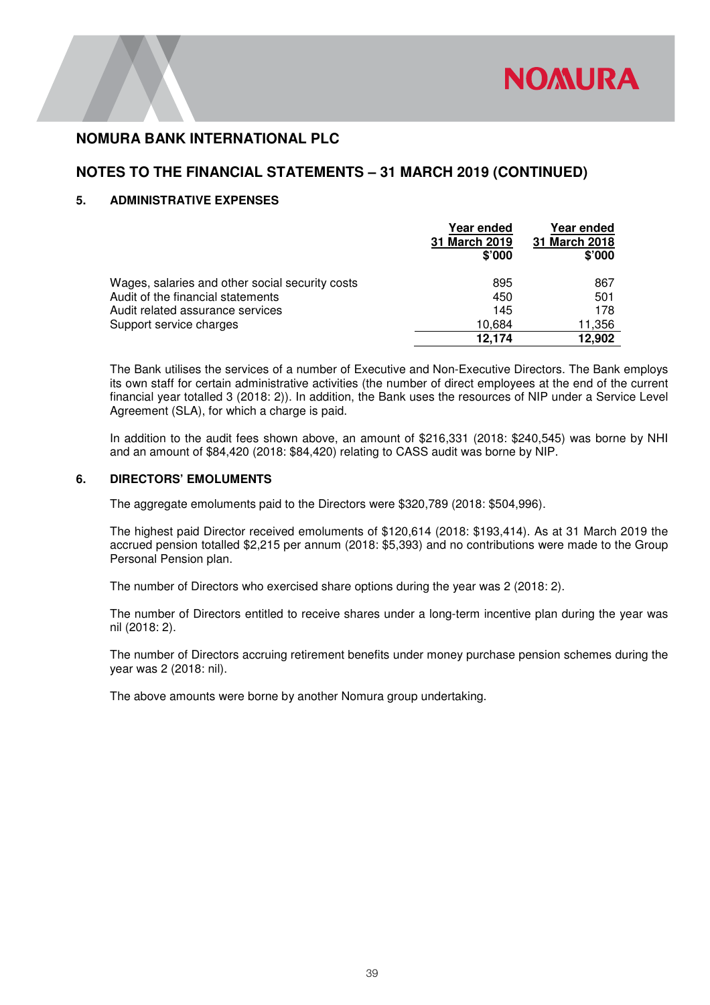# **NOTES TO THE FINANCIAL STATEMENTS – 31 MARCH 2019 (CONTINUED)**

### **5. ADMINISTRATIVE EXPENSES**

|                                                 | Year ended<br>31 March 2019<br>\$'000 | Year ended<br>31 March 2018<br>\$'000 |
|-------------------------------------------------|---------------------------------------|---------------------------------------|
| Wages, salaries and other social security costs | 895                                   | 867                                   |
| Audit of the financial statements               | 450                                   | 501                                   |
| Audit related assurance services                | 145                                   | 178                                   |
| Support service charges                         | 10.684                                | 11,356                                |
|                                                 | 12.174                                | 12,902                                |

 The Bank utilises the services of a number of Executive and Non-Executive Directors. The Bank employs its own staff for certain administrative activities (the number of direct employees at the end of the current financial year totalled 3 (2018: 2)). In addition, the Bank uses the resources of NIP under a Service Level Agreement (SLA), for which a charge is paid.

 In addition to the audit fees shown above, an amount of \$216,331 (2018: \$240,545) was borne by NHI and an amount of \$84,420 (2018: \$84,420) relating to CASS audit was borne by NIP.

### **6. DIRECTORS' EMOLUMENTS**

The aggregate emoluments paid to the Directors were \$320,789 (2018: \$504,996).

The highest paid Director received emoluments of \$120,614 (2018: \$193,414). As at 31 March 2019 the accrued pension totalled \$2,215 per annum (2018: \$5,393) and no contributions were made to the Group Personal Pension plan.

The number of Directors who exercised share options during the year was 2 (2018: 2).

The number of Directors entitled to receive shares under a long-term incentive plan during the year was nil (2018: 2).

The number of Directors accruing retirement benefits under money purchase pension schemes during the year was 2 (2018: nil).

The above amounts were borne by another Nomura group undertaking.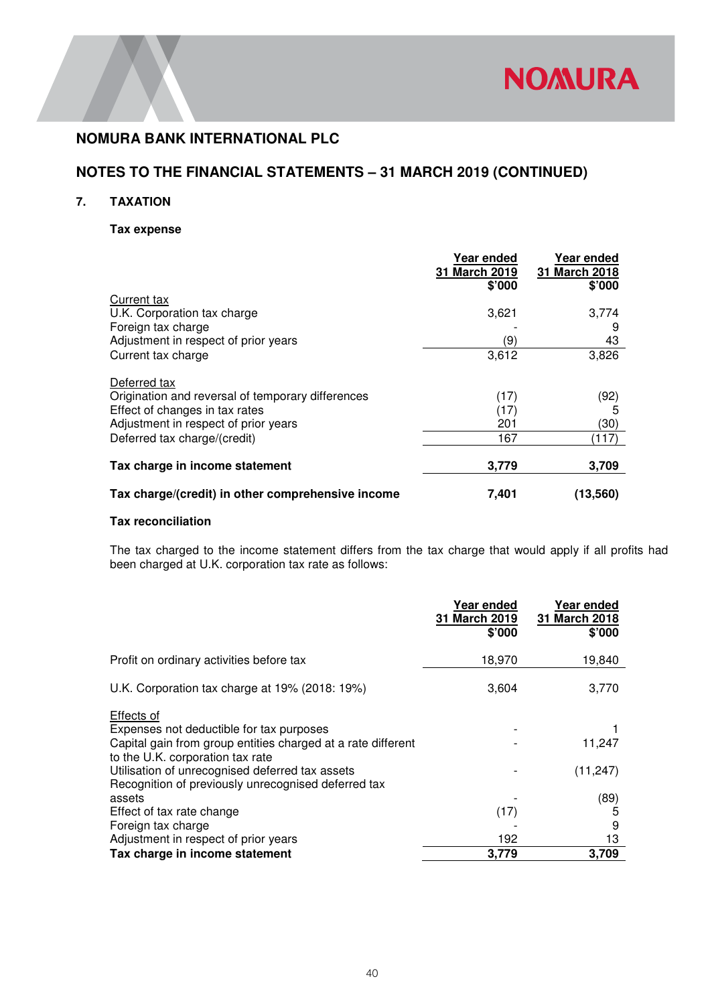

# **NOTES TO THE FINANCIAL STATEMENTS – 31 MARCH 2019 (CONTINUED)**

### **7. TAXATION**

### **Tax expense**

|                                                   | Year ended<br>31 March 2019<br>\$'000 | Year ended<br>31 March 2018<br>\$'000 |
|---------------------------------------------------|---------------------------------------|---------------------------------------|
| Current tax                                       |                                       |                                       |
| U.K. Corporation tax charge                       | 3,621                                 | 3,774                                 |
| Foreign tax charge                                |                                       | 9                                     |
| Adjustment in respect of prior years              | (9)                                   | 43                                    |
| Current tax charge                                | 3,612                                 | 3,826                                 |
| Deferred tax                                      |                                       |                                       |
| Origination and reversal of temporary differences | (17)                                  | (92)                                  |
| Effect of changes in tax rates                    | (17)                                  | 5                                     |
| Adjustment in respect of prior years              | 201                                   | (30)                                  |
| Deferred tax charge/(credit)                      | 167                                   | (117)                                 |
| Tax charge in income statement                    | 3,779                                 | 3,709                                 |
| Tax charge/(credit) in other comprehensive income | 7,401                                 | (13.560)                              |

### **Tax reconciliation**

The tax charged to the income statement differs from the tax charge that would apply if all profits had been charged at U.K. corporation tax rate as follows:

|                                                                                                                                                            | Year ended<br>31 March 2019<br>\$'000 | Year ended<br>31 March 2018<br>\$'000 |
|------------------------------------------------------------------------------------------------------------------------------------------------------------|---------------------------------------|---------------------------------------|
| Profit on ordinary activities before tax                                                                                                                   | 18,970                                | 19,840                                |
| U.K. Corporation tax charge at 19% (2018: 19%)                                                                                                             | 3,604                                 | 3,770                                 |
| Effects of<br>Expenses not deductible for tax purposes<br>Capital gain from group entities charged at a rate different<br>to the U.K. corporation tax rate |                                       | 11,247                                |
| Utilisation of unrecognised deferred tax assets<br>Recognition of previously unrecognised deferred tax                                                     |                                       | (11, 247)                             |
| assets                                                                                                                                                     |                                       | (89)                                  |
| Effect of tax rate change                                                                                                                                  | (17)                                  | 5                                     |
| Foreign tax charge                                                                                                                                         |                                       | 9                                     |
| Adjustment in respect of prior years                                                                                                                       | 192                                   | 13                                    |
| Tax charge in income statement                                                                                                                             | 3,779                                 | 3,709                                 |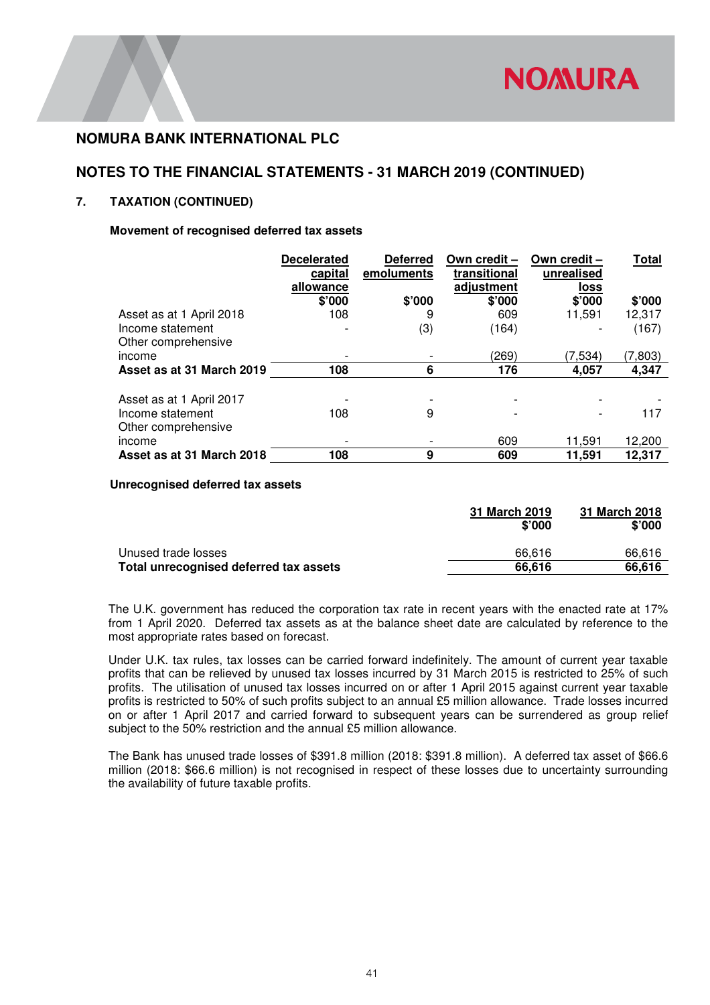# **NOTES TO THE FINANCIAL STATEMENTS - 31 MARCH 2019 (CONTINUED)**

### **7. TAXATION (CONTINUED)**

### **Movement of recognised deferred tax assets**

|                           | <b>Decelerated</b> | <b>Deferred</b> | Own credit - | Own credit - | <b>Total</b> |
|---------------------------|--------------------|-----------------|--------------|--------------|--------------|
|                           | capital            | emoluments      | transitional | unrealised   |              |
|                           | allowance          |                 | adjustment   | <u>loss</u>  |              |
|                           | \$'000             | \$'000          | \$'000       | \$'000       | \$'000       |
| Asset as at 1 April 2018  | 108                | 9               | 609          | 11.591       | 12,317       |
| Income statement          |                    | (3)             | (164)        |              | (167)        |
| Other comprehensive       |                    |                 |              |              |              |
| income                    |                    |                 | (269)        | (7, 534)     | (7,803)      |
| Asset as at 31 March 2019 | 108                | 6               | 176          | 4,057        | 4.347        |
|                           |                    |                 |              |              |              |
| Asset as at 1 April 2017  |                    |                 |              |              |              |
| Income statement          | 108                | 9               |              |              | 117          |
| Other comprehensive       |                    |                 |              |              |              |
| income                    |                    |                 | 609          | 11,591       | 12,200       |
| Asset as at 31 March 2018 | 108                | 9               | 609          | 11,591       | 12,317       |

#### **Unrecognised deferred tax assets**

|                                        | 31 March 2019<br>\$'000 | 31 March 2018<br>\$'000 |
|----------------------------------------|-------------------------|-------------------------|
| Unused trade losses                    | 66.616                  | 66.616                  |
| Total unrecognised deferred tax assets | 66.616                  | 66.616                  |

The U.K. government has reduced the corporation tax rate in recent years with the enacted rate at 17% from 1 April 2020. Deferred tax assets as at the balance sheet date are calculated by reference to the most appropriate rates based on forecast.

Under U.K. tax rules, tax losses can be carried forward indefinitely. The amount of current year taxable profits that can be relieved by unused tax losses incurred by 31 March 2015 is restricted to 25% of such profits. The utilisation of unused tax losses incurred on or after 1 April 2015 against current year taxable profits is restricted to 50% of such profits subject to an annual £5 million allowance. Trade losses incurred on or after 1 April 2017 and carried forward to subsequent years can be surrendered as group relief subject to the 50% restriction and the annual £5 million allowance.

The Bank has unused trade losses of \$391.8 million (2018: \$391.8 million). A deferred tax asset of \$66.6 million (2018: \$66.6 million) is not recognised in respect of these losses due to uncertainty surrounding the availability of future taxable profits.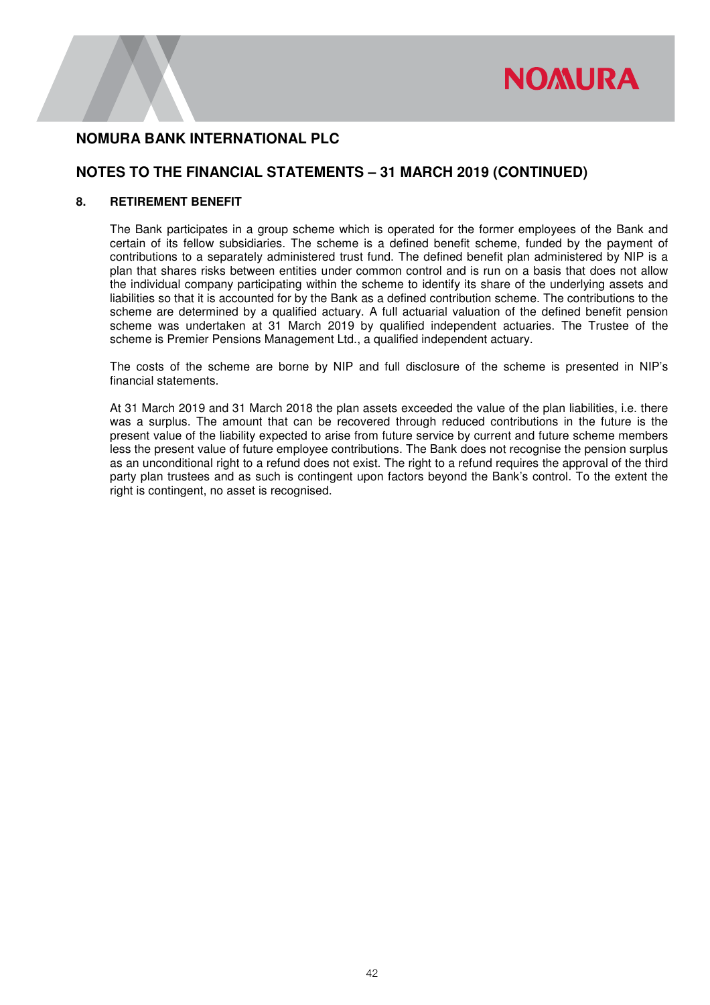

### **NOTES TO THE FINANCIAL STATEMENTS – 31 MARCH 2019 (CONTINUED)**

#### **8. RETIREMENT BENEFIT**

The Bank participates in a group scheme which is operated for the former employees of the Bank and certain of its fellow subsidiaries. The scheme is a defined benefit scheme, funded by the payment of contributions to a separately administered trust fund. The defined benefit plan administered by NIP is a plan that shares risks between entities under common control and is run on a basis that does not allow the individual company participating within the scheme to identify its share of the underlying assets and liabilities so that it is accounted for by the Bank as a defined contribution scheme. The contributions to the scheme are determined by a qualified actuary. A full actuarial valuation of the defined benefit pension scheme was undertaken at 31 March 2019 by qualified independent actuaries. The Trustee of the scheme is Premier Pensions Management Ltd., a qualified independent actuary.

 The costs of the scheme are borne by NIP and full disclosure of the scheme is presented in NIP's financial statements.

At 31 March 2019 and 31 March 2018 the plan assets exceeded the value of the plan liabilities, i.e. there was a surplus. The amount that can be recovered through reduced contributions in the future is the present value of the liability expected to arise from future service by current and future scheme members less the present value of future employee contributions. The Bank does not recognise the pension surplus as an unconditional right to a refund does not exist. The right to a refund requires the approval of the third party plan trustees and as such is contingent upon factors beyond the Bank's control. To the extent the right is contingent, no asset is recognised.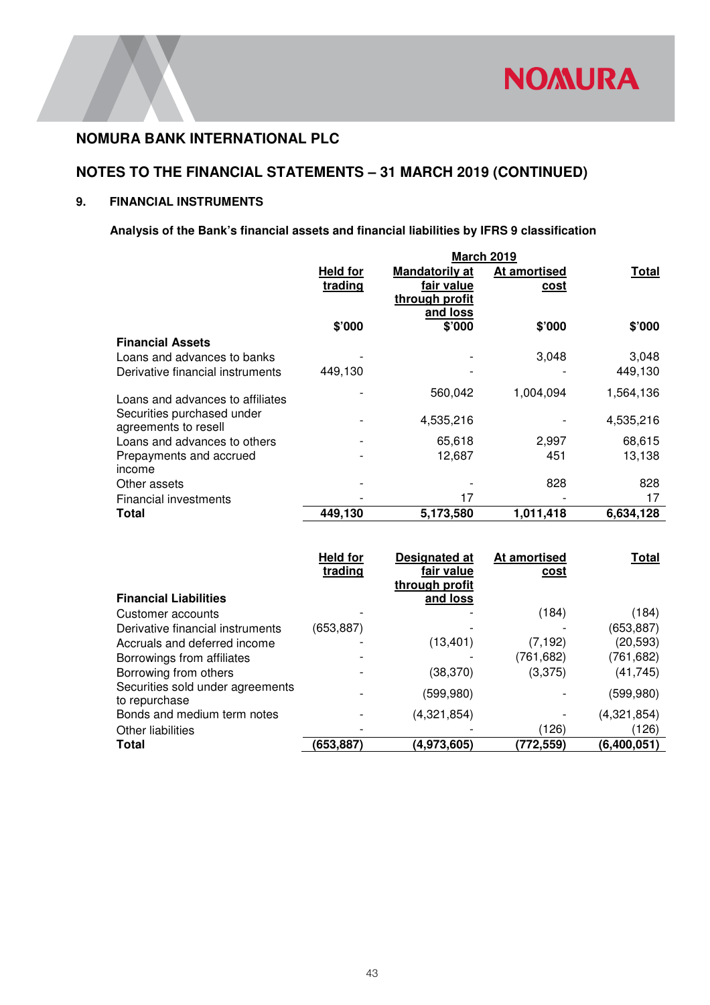

# **NOTES TO THE FINANCIAL STATEMENTS – 31 MARCH 2019 (CONTINUED)**

### **9. FINANCIAL INSTRUMENTS**

# **Analysis of the Bank's financial assets and financial liabilities by IFRS 9 classification**

|                                                    | <b>March 2019</b>          |                                                                   |                      |              |
|----------------------------------------------------|----------------------------|-------------------------------------------------------------------|----------------------|--------------|
|                                                    | <b>Held for</b><br>trading | <b>Mandatorily at</b><br>fair value<br>through profit<br>and loss | At amortised<br>cost | <b>Total</b> |
|                                                    | \$'000                     | \$'000                                                            | \$'000               | \$'000       |
| <b>Financial Assets</b>                            |                            |                                                                   |                      |              |
| Loans and advances to banks                        |                            |                                                                   | 3,048                | 3,048        |
| Derivative financial instruments                   | 449.130                    |                                                                   |                      | 449,130      |
| Loans and advances to affiliates                   |                            | 560,042                                                           | 1,004,094            | 1,564,136    |
| Securities purchased under<br>agreements to resell |                            | 4,535,216                                                         |                      | 4,535,216    |
| Loans and advances to others                       |                            | 65,618                                                            | 2,997                | 68,615       |
| Prepayments and accrued<br>income                  |                            | 12,687                                                            | 451                  | 13,138       |
| Other assets                                       |                            |                                                                   | 828                  | 828          |
| <b>Financial investments</b>                       |                            | 17                                                                |                      | 17           |
| Total                                              | 449,130                    | 5,173,580                                                         | 1,011,418            | 6,634,128    |

|                                                   | <b>Held for</b><br>trading | Designated at<br>fair value<br>through profit | At amortised<br><u>cost</u> | Total       |
|---------------------------------------------------|----------------------------|-----------------------------------------------|-----------------------------|-------------|
| <b>Financial Liabilities</b>                      |                            | and loss                                      |                             |             |
| Customer accounts                                 |                            |                                               | (184)                       | (184)       |
| Derivative financial instruments                  | (653,887)                  |                                               |                             | (653, 887)  |
| Accruals and deferred income                      |                            | (13, 401)                                     | (7, 192)                    | (20, 593)   |
| Borrowings from affiliates                        |                            |                                               | (761,682)                   | (761, 682)  |
| Borrowing from others                             |                            | (38, 370)                                     | (3,375)                     | (41, 745)   |
| Securities sold under agreements<br>to repurchase |                            | (599,980)                                     |                             | (599, 980)  |
| Bonds and medium term notes                       |                            | (4,321,854)                                   |                             | (4,321,854) |
| <b>Other liabilities</b>                          |                            |                                               | (126)                       | (126)       |
| <b>Total</b>                                      | (653,887)                  | (4,973,605)                                   | (772,559)                   | (6,400,051) |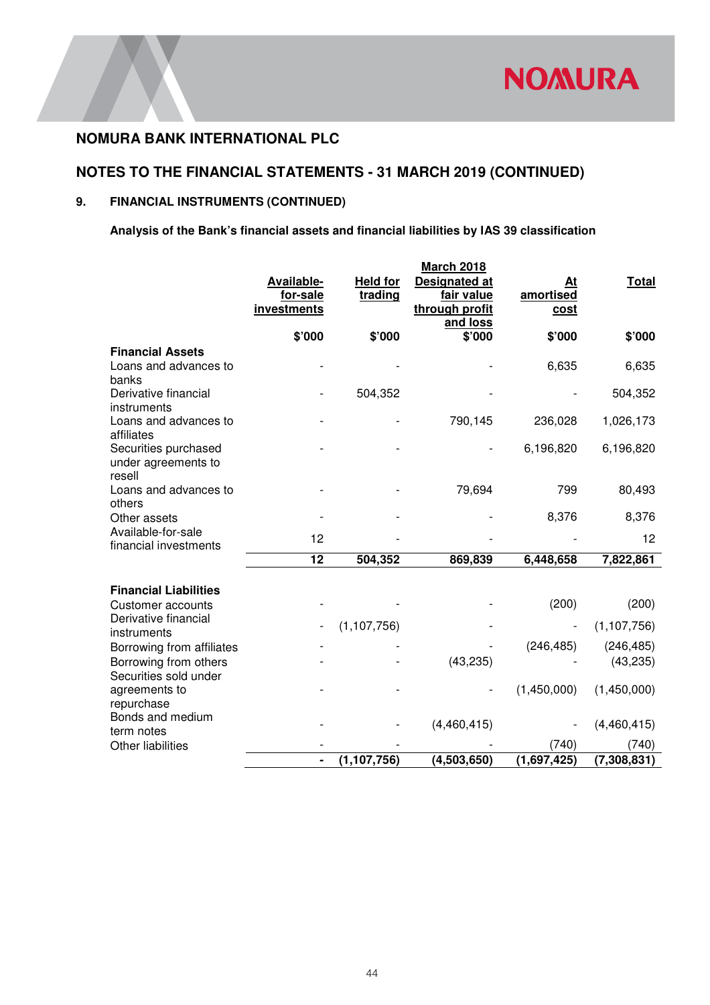

# **NOTES TO THE FINANCIAL STATEMENTS - 31 MARCH 2019 (CONTINUED)**

# **9. FINANCIAL INSTRUMENTS (CONTINUED)**

**Analysis of the Bank's financial assets and financial liabilities by IAS 39 classification** 

|                                                           |                                              |                            | <b>March 2018</b>                                                |                                |               |
|-----------------------------------------------------------|----------------------------------------------|----------------------------|------------------------------------------------------------------|--------------------------------|---------------|
|                                                           | <b>Available-</b><br>for-sale<br>investments | <b>Held for</b><br>trading | <b>Designated at</b><br>fair value<br>through profit<br>and loss | At<br>amortised<br><u>cost</u> | <b>Total</b>  |
|                                                           | \$'000                                       | \$'000                     | \$'000                                                           | \$'000                         | \$'000        |
| <b>Financial Assets</b><br>Loans and advances to<br>banks |                                              |                            |                                                                  | 6,635                          | 6,635         |
| Derivative financial<br>instruments                       |                                              | 504,352                    |                                                                  |                                | 504,352       |
| Loans and advances to<br>affiliates                       |                                              |                            | 790,145                                                          | 236,028                        | 1,026,173     |
| Securities purchased<br>under agreements to<br>resell     |                                              |                            |                                                                  | 6,196,820                      | 6,196,820     |
| Loans and advances to<br>others                           |                                              |                            | 79,694                                                           | 799                            | 80,493        |
| Other assets                                              |                                              |                            |                                                                  | 8,376                          | 8,376         |
| Available-for-sale<br>financial investments               | 12                                           |                            |                                                                  |                                | 12            |
|                                                           | $\overline{12}$                              | 504,352                    | 869,839                                                          | 6,448,658                      | 7,822,861     |
| <b>Financial Liabilities</b>                              |                                              |                            |                                                                  |                                |               |
| <b>Customer accounts</b>                                  |                                              |                            |                                                                  | (200)                          | (200)         |
| Derivative financial<br>instruments                       |                                              | (1, 107, 756)              |                                                                  |                                | (1, 107, 756) |
| Borrowing from affiliates                                 |                                              |                            |                                                                  | (246, 485)                     | (246, 485)    |
| Borrowing from others<br>Securities sold under            |                                              |                            | (43, 235)                                                        |                                | (43, 235)     |
| agreements to<br>repurchase                               |                                              |                            |                                                                  | (1,450,000)                    | (1,450,000)   |
| Bonds and medium<br>term notes                            |                                              |                            | (4,460,415)                                                      |                                | (4,460,415)   |
| <b>Other liabilities</b>                                  |                                              |                            |                                                                  | (740)                          | (740)         |
|                                                           |                                              | (1, 107, 756)              | (4,503,650)                                                      | (1,697,425)                    | (7,308,831)   |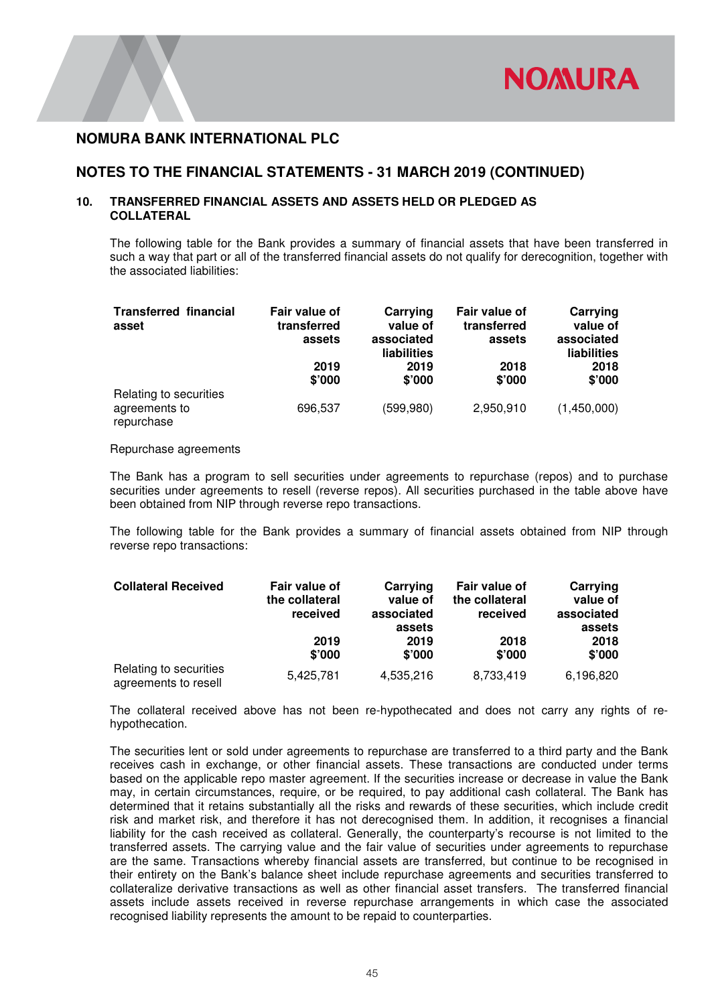

### **NOTES TO THE FINANCIAL STATEMENTS - 31 MARCH 2019 (CONTINUED)**

### **10. TRANSFERRED FINANCIAL ASSETS AND ASSETS HELD OR PLEDGED AS COLLATERAL**

The following table for the Bank provides a summary of financial assets that have been transferred in such a way that part or all of the transferred financial assets do not qualify for derecognition, together with the associated liabilities:

| <b>Transferred financial</b><br>asset                 | Fair value of<br>transferred<br>assets | Carrying<br>value of<br>associated<br>liabilities | Fair value of<br>transferred<br>assets | Carrying<br>value of<br>associated<br>liabilities |
|-------------------------------------------------------|----------------------------------------|---------------------------------------------------|----------------------------------------|---------------------------------------------------|
|                                                       | 2019<br>\$'000                         | 2019<br>\$'000                                    | 2018<br>\$'000                         | 2018<br>\$'000                                    |
| Relating to securities<br>agreements to<br>repurchase | 696,537                                | (599,980)                                         | 2,950,910                              | (1,450,000)                                       |

#### Repurchase agreements

The Bank has a program to sell securities under agreements to repurchase (repos) and to purchase securities under agreements to resell (reverse repos). All securities purchased in the table above have been obtained from NIP through reverse repo transactions.

The following table for the Bank provides a summary of financial assets obtained from NIP through reverse repo transactions:

| <b>Collateral Received</b>                     | Fair value of<br>the collateral<br>received | Carrying<br>value of<br>associated<br>assets | Fair value of<br>the collateral<br>received | Carrying<br>value of<br>associated<br>assets |  |
|------------------------------------------------|---------------------------------------------|----------------------------------------------|---------------------------------------------|----------------------------------------------|--|
|                                                | 2019<br>\$'000                              | 2019<br>\$'000                               | 2018<br>\$'000                              | 2018<br>\$'000                               |  |
| Relating to securities<br>agreements to resell | 5,425,781                                   | 4,535,216                                    | 8,733,419                                   | 6,196,820                                    |  |

The collateral received above has not been re-hypothecated and does not carry any rights of rehypothecation.

The securities lent or sold under agreements to repurchase are transferred to a third party and the Bank receives cash in exchange, or other financial assets. These transactions are conducted under terms based on the applicable repo master agreement. If the securities increase or decrease in value the Bank may, in certain circumstances, require, or be required, to pay additional cash collateral. The Bank has determined that it retains substantially all the risks and rewards of these securities, which include credit risk and market risk, and therefore it has not derecognised them. In addition, it recognises a financial liability for the cash received as collateral. Generally, the counterparty's recourse is not limited to the transferred assets. The carrying value and the fair value of securities under agreements to repurchase are the same. Transactions whereby financial assets are transferred, but continue to be recognised in their entirety on the Bank's balance sheet include repurchase agreements and securities transferred to collateralize derivative transactions as well as other financial asset transfers. The transferred financial assets include assets received in reverse repurchase arrangements in which case the associated recognised liability represents the amount to be repaid to counterparties.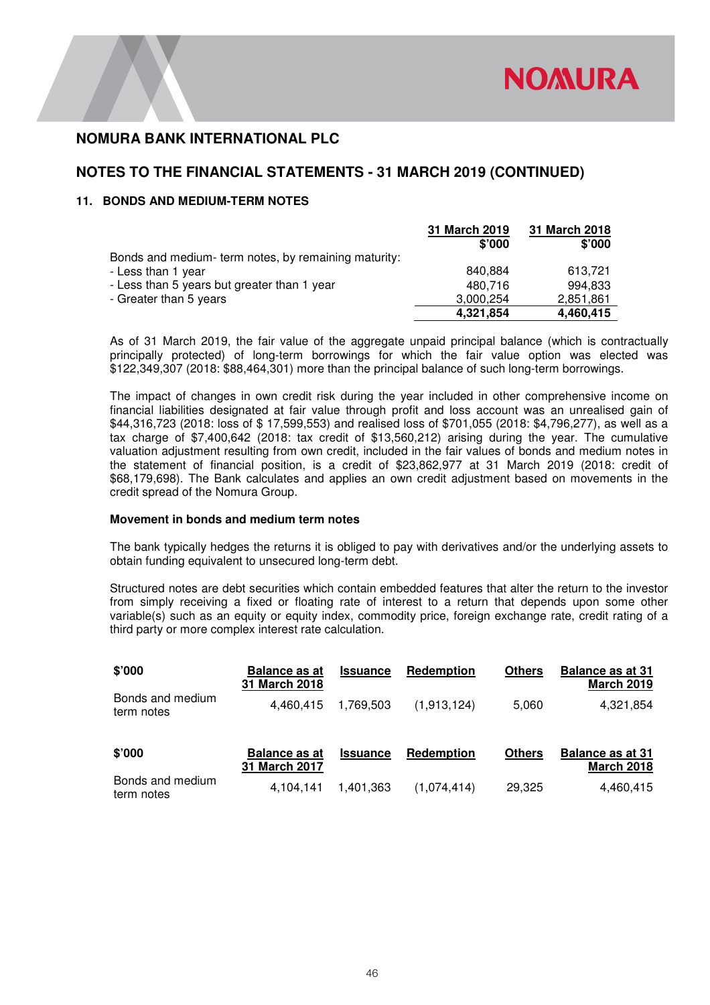# **NOTES TO THE FINANCIAL STATEMENTS - 31 MARCH 2019 (CONTINUED)**

### **11. BONDS AND MEDIUM-TERM NOTES**

|                                                     | 31 March 2019 | 31 March 2018 |
|-----------------------------------------------------|---------------|---------------|
|                                                     | \$'000        | \$'000        |
| Bonds and medium-term notes, by remaining maturity: |               |               |
| - Less than 1 year                                  | 840.884       | 613.721       |
| - Less than 5 years but greater than 1 year         | 480.716       | 994.833       |
| - Greater than 5 years                              | 3,000,254     | 2,851,861     |
|                                                     | 4,321,854     | 4,460,415     |

As of 31 March 2019, the fair value of the aggregate unpaid principal balance (which is contractually principally protected) of long-term borrowings for which the fair value option was elected was \$122,349,307 (2018: \$88,464,301) more than the principal balance of such long-term borrowings.

The impact of changes in own credit risk during the year included in other comprehensive income on financial liabilities designated at fair value through profit and loss account was an unrealised gain of \$44,316,723 (2018: loss of \$ 17,599,553) and realised loss of \$701,055 (2018: \$4,796,277), as well as a tax charge of \$7,400,642 (2018: tax credit of \$13,560,212) arising during the year. The cumulative valuation adjustment resulting from own credit, included in the fair values of bonds and medium notes in the statement of financial position, is a credit of \$23,862,977 at 31 March 2019 (2018: credit of \$68,179,698). The Bank calculates and applies an own credit adjustment based on movements in the credit spread of the Nomura Group.

#### **Movement in bonds and medium term notes**

The bank typically hedges the returns it is obliged to pay with derivatives and/or the underlying assets to obtain funding equivalent to unsecured long-term debt.

Structured notes are debt securities which contain embedded features that alter the return to the investor from simply receiving a fixed or floating rate of interest to a return that depends upon some other variable(s) such as an equity or equity index, commodity price, foreign exchange rate, credit rating of a third party or more complex interest rate calculation.

| \$'000                         | <b>Balance as at</b><br>31 March 2018 | <b>Issuance</b> | Redemption  | <b>Others</b> | <b>Balance as at 31</b><br><b>March 2019</b> |
|--------------------------------|---------------------------------------|-----------------|-------------|---------------|----------------------------------------------|
| Bonds and medium<br>term notes | 4.460.415                             | 1.769.503       | (1,913,124) | 5,060         | 4,321,854                                    |
| \$'000                         | <b>Balance as at</b><br>31 March 2017 | <b>Issuance</b> | Redemption  | <b>Others</b> | <b>Balance as at 31</b><br><b>March 2018</b> |
| Bonds and medium<br>term notes | 4.104.141                             | 1.401.363       | (1,074,414) | 29,325        | 4,460,415                                    |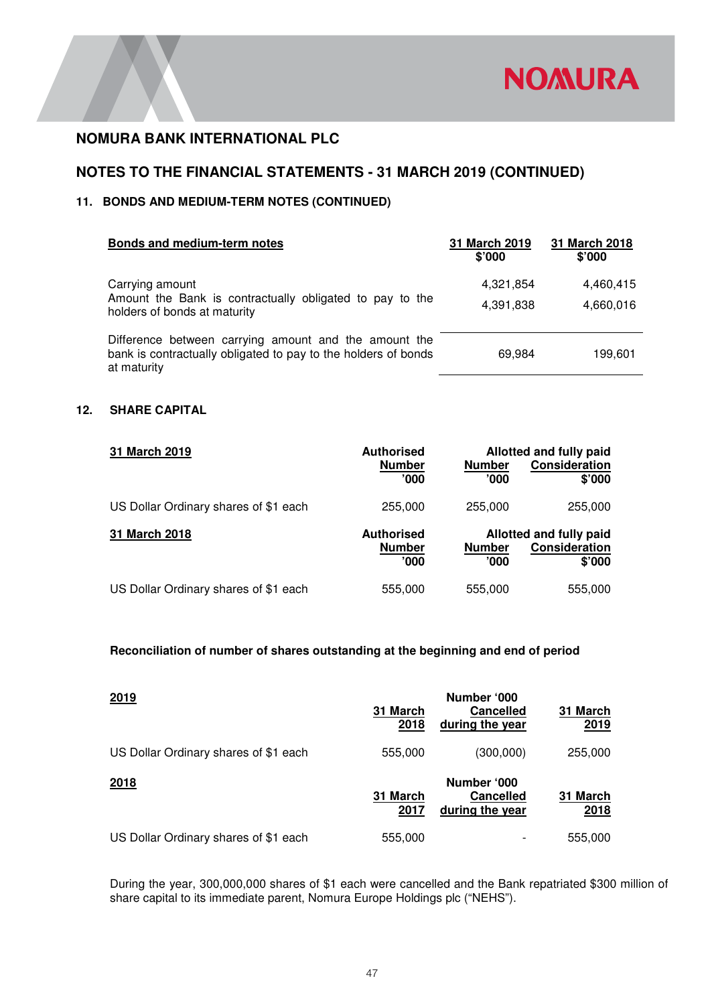

# **NOTES TO THE FINANCIAL STATEMENTS - 31 MARCH 2019 (CONTINUED)**

### **11. BONDS AND MEDIUM-TERM NOTES (CONTINUED)**

| Bonds and medium-term notes                                                                                                            | 31 March 2019<br>\$'000 | 31 March 2018<br>\$'000 |
|----------------------------------------------------------------------------------------------------------------------------------------|-------------------------|-------------------------|
| Carrying amount<br>Amount the Bank is contractually obligated to pay to the<br>holders of bonds at maturity                            | 4,321,854<br>4,391,838  | 4,460,415<br>4,660,016  |
| Difference between carrying amount and the amount the<br>bank is contractually obligated to pay to the holders of bonds<br>at maturity | 69.984                  | 199,601                 |

#### **12. SHARE CAPITAL**

| 31 March 2019                         | <b>Authorised</b><br><b>Number</b><br>'000' | <b>Number</b><br>'000  | Allotted and fully paid<br>Consideration<br>\$'000 |
|---------------------------------------|---------------------------------------------|------------------------|----------------------------------------------------|
| US Dollar Ordinary shares of \$1 each | 255,000                                     | 255,000                | 255,000                                            |
| <b>31 March 2018</b>                  | <b>Authorised</b><br><b>Number</b><br>'000' | <b>Number</b><br>'000' | Allotted and fully paid<br>Consideration<br>\$'000 |
| US Dollar Ordinary shares of \$1 each | 555,000                                     | 555,000                | 555,000                                            |

### **Reconciliation of number of shares outstanding at the beginning and end of period**

| 2019                                  | 31 March<br>2018 | Number '000<br><b>Cancelled</b><br>during the year | 31 March<br>2019 |
|---------------------------------------|------------------|----------------------------------------------------|------------------|
| US Dollar Ordinary shares of \$1 each | 555,000          | (300,000)                                          | 255,000          |
| 2018                                  | 31 March<br>2017 | Number '000<br><b>Cancelled</b><br>during the year | 31 March<br>2018 |
| US Dollar Ordinary shares of \$1 each | 555,000          |                                                    | 555,000          |

During the year, 300,000,000 shares of \$1 each were cancelled and the Bank repatriated \$300 million of share capital to its immediate parent, Nomura Europe Holdings plc ("NEHS").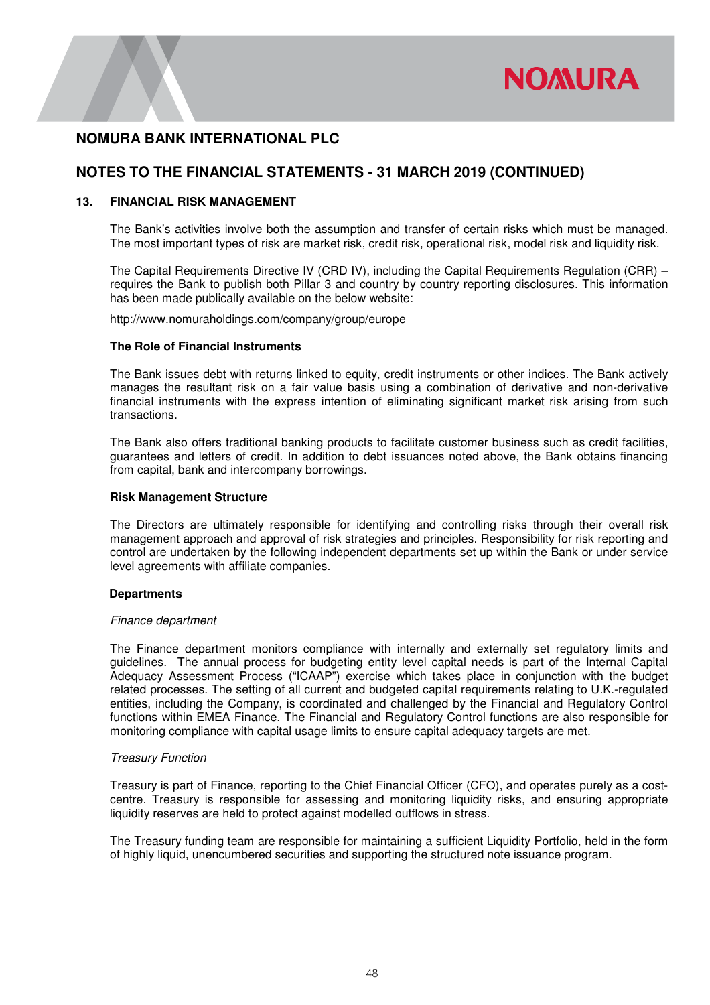

### **NOTES TO THE FINANCIAL STATEMENTS - 31 MARCH 2019 (CONTINUED)**

#### **13. FINANCIAL RISK MANAGEMENT**

 The Bank's activities involve both the assumption and transfer of certain risks which must be managed. The most important types of risk are market risk, credit risk, operational risk, model risk and liquidity risk.

The Capital Requirements Directive IV (CRD IV), including the Capital Requirements Regulation (CRR) – requires the Bank to publish both Pillar 3 and country by country reporting disclosures. This information has been made publically available on the below website:

http://www.nomuraholdings.com/company/group/europe

#### **The Role of Financial Instruments**

 The Bank issues debt with returns linked to equity, credit instruments or other indices. The Bank actively manages the resultant risk on a fair value basis using a combination of derivative and non-derivative financial instruments with the express intention of eliminating significant market risk arising from such transactions.

 The Bank also offers traditional banking products to facilitate customer business such as credit facilities, guarantees and letters of credit. In addition to debt issuances noted above, the Bank obtains financing from capital, bank and intercompany borrowings.

#### **Risk Management Structure**

The Directors are ultimately responsible for identifying and controlling risks through their overall risk management approach and approval of risk strategies and principles. Responsibility for risk reporting and control are undertaken by the following independent departments set up within the Bank or under service level agreements with affiliate companies.

#### **Departments**

#### *Finance department*

 The Finance department monitors compliance with internally and externally set regulatory limits and guidelines. The annual process for budgeting entity level capital needs is part of the Internal Capital Adequacy Assessment Process ("ICAAP") exercise which takes place in conjunction with the budget related processes. The setting of all current and budgeted capital requirements relating to U.K.-regulated entities, including the Company, is coordinated and challenged by the Financial and Regulatory Control functions within EMEA Finance. The Financial and Regulatory Control functions are also responsible for monitoring compliance with capital usage limits to ensure capital adequacy targets are met.

#### *Treasury Function*

 Treasury is part of Finance, reporting to the Chief Financial Officer (CFO), and operates purely as a costcentre. Treasury is responsible for assessing and monitoring liquidity risks, and ensuring appropriate liquidity reserves are held to protect against modelled outflows in stress.

 The Treasury funding team are responsible for maintaining a sufficient Liquidity Portfolio, held in the form of highly liquid, unencumbered securities and supporting the structured note issuance program.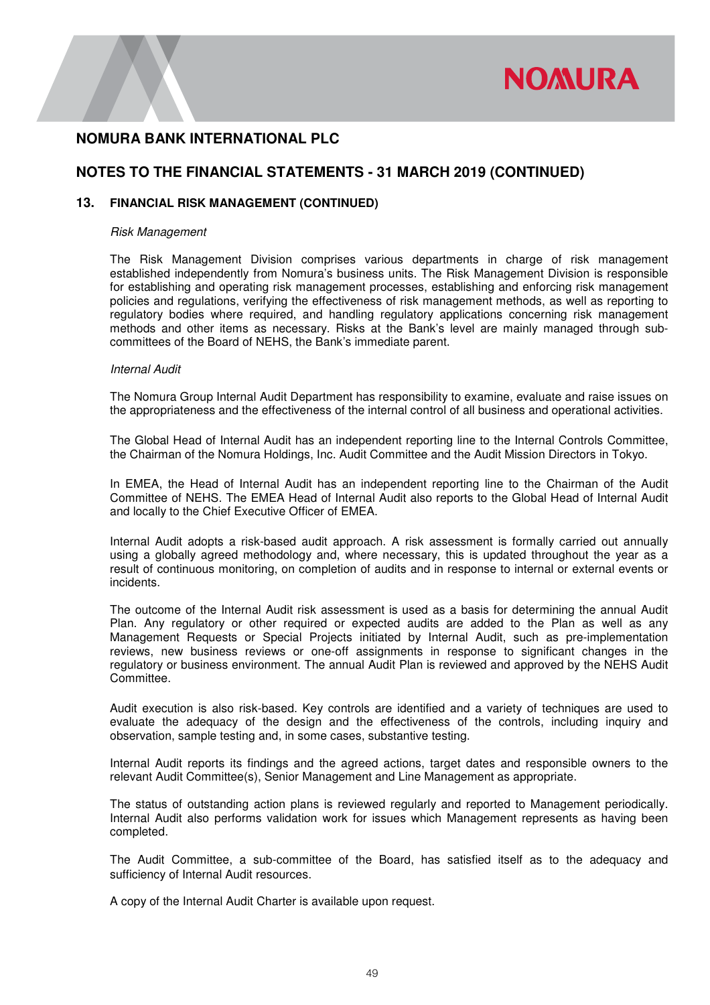

# **NOTES TO THE FINANCIAL STATEMENTS - 31 MARCH 2019 (CONTINUED)**

### **13. FINANCIAL RISK MANAGEMENT (CONTINUED)**

#### *Risk Management*

 The Risk Management Division comprises various departments in charge of risk management established independently from Nomura's business units. The Risk Management Division is responsible for establishing and operating risk management processes, establishing and enforcing risk management policies and regulations, verifying the effectiveness of risk management methods, as well as reporting to regulatory bodies where required, and handling regulatory applications concerning risk management methods and other items as necessary. Risks at the Bank's level are mainly managed through subcommittees of the Board of NEHS, the Bank's immediate parent.

#### *Internal Audit*

The Nomura Group Internal Audit Department has responsibility to examine, evaluate and raise issues on the appropriateness and the effectiveness of the internal control of all business and operational activities.

The Global Head of Internal Audit has an independent reporting line to the Internal Controls Committee, the Chairman of the Nomura Holdings, Inc. Audit Committee and the Audit Mission Directors in Tokyo.

In EMEA, the Head of Internal Audit has an independent reporting line to the Chairman of the Audit Committee of NEHS. The EMEA Head of Internal Audit also reports to the Global Head of Internal Audit and locally to the Chief Executive Officer of EMEA.

 Internal Audit adopts a risk-based audit approach. A risk assessment is formally carried out annually using a globally agreed methodology and, where necessary, this is updated throughout the year as a result of continuous monitoring, on completion of audits and in response to internal or external events or incidents.

The outcome of the Internal Audit risk assessment is used as a basis for determining the annual Audit Plan. Any regulatory or other required or expected audits are added to the Plan as well as any Management Requests or Special Projects initiated by Internal Audit, such as pre-implementation reviews, new business reviews or one-off assignments in response to significant changes in the regulatory or business environment. The annual Audit Plan is reviewed and approved by the NEHS Audit Committee.

Audit execution is also risk-based. Key controls are identified and a variety of techniques are used to evaluate the adequacy of the design and the effectiveness of the controls, including inquiry and observation, sample testing and, in some cases, substantive testing.

 Internal Audit reports its findings and the agreed actions, target dates and responsible owners to the relevant Audit Committee(s), Senior Management and Line Management as appropriate.

 The status of outstanding action plans is reviewed regularly and reported to Management periodically. Internal Audit also performs validation work for issues which Management represents as having been completed.

The Audit Committee, a sub-committee of the Board, has satisfied itself as to the adequacy and sufficiency of Internal Audit resources.

A copy of the Internal Audit Charter is available upon request.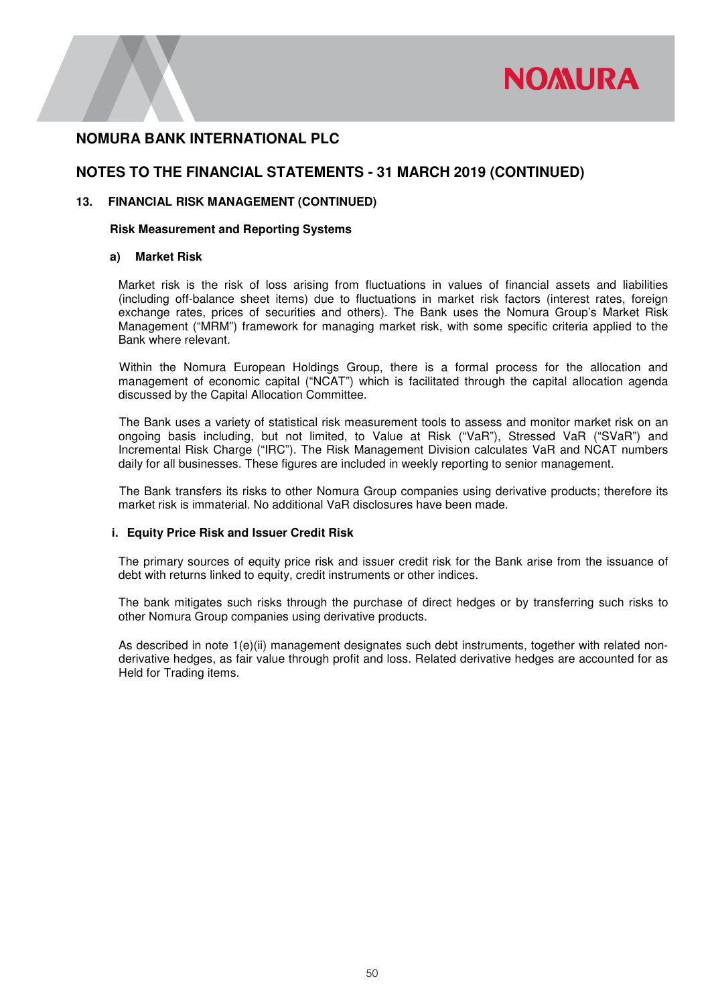

### **NOTES TO THE FINANCIAL STATEMENTS - 31 MARCH 2019 (CONTINUED)**

### **13. FINANCIAL RISK MANAGEMENT (CONTINUED)**

#### **Risk Measurement and Reporting Systems**

#### **a) Market Risk**

Market risk is the risk of loss arising from fluctuations in values of financial assets and liabilities (including off-balance sheet items) due to fluctuations in market risk factors (interest rates, foreign exchange rates, prices of securities and others). The Bank uses the Nomura Group's Market Risk Management ("MRM") framework for managing market risk, with some specific criteria applied to the Bank where relevant.

 Within the Nomura European Holdings Group, there is a formal process for the allocation and management of economic capital ("NCAT") which is facilitated through the capital allocation agenda discussed by the Capital Allocation Committee.

 The Bank uses a variety of statistical risk measurement tools to assess and monitor market risk on an ongoing basis including, but not limited, to Value at Risk ("VaR"), Stressed VaR ("SVaR") and Incremental Risk Charge ("IRC"). The Risk Management Division calculates VaR and NCAT numbers daily for all businesses. These figures are included in weekly reporting to senior management.

 The Bank transfers its risks to other Nomura Group companies using derivative products; therefore its market risk is immaterial. No additional VaR disclosures have been made.

#### **i. Equity Price Risk and Issuer Credit Risk**

The primary sources of equity price risk and issuer credit risk for the Bank arise from the issuance of debt with returns linked to equity, credit instruments or other indices.

The bank mitigates such risks through the purchase of direct hedges or by transferring such risks to other Nomura Group companies using derivative products.

As described in note 1(e)(ii) management designates such debt instruments, together with related nonderivative hedges, as fair value through profit and loss. Related derivative hedges are accounted for as Held for Trading items.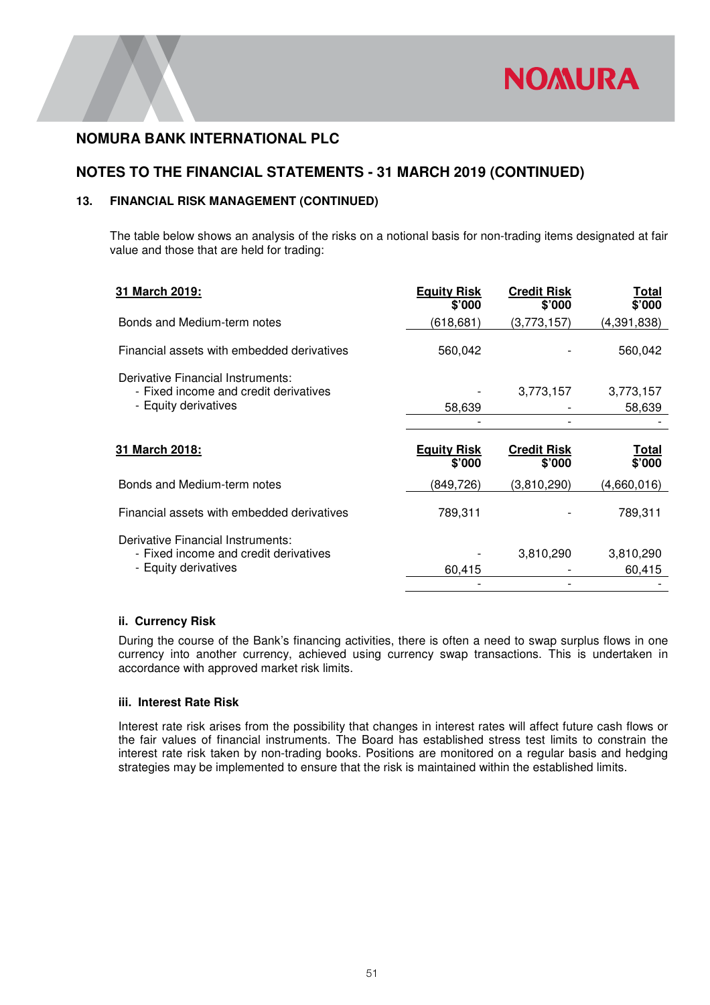

# **NOTES TO THE FINANCIAL STATEMENTS - 31 MARCH 2019 (CONTINUED)**

### **13. FINANCIAL RISK MANAGEMENT (CONTINUED)**

The table below shows an analysis of the risks on a notional basis for non-trading items designated at fair value and those that are held for trading:

| 31 March 2019:                                                                                     | <b>Equity Risk</b><br>\$'000 | <b>Credit Risk</b><br>\$'000 | Total<br>\$'000        |
|----------------------------------------------------------------------------------------------------|------------------------------|------------------------------|------------------------|
| Bonds and Medium-term notes                                                                        | (618,681)                    | (3,773,157)                  | (4,391,838)            |
| Financial assets with embedded derivatives                                                         | 560,042                      |                              | 560,042                |
| Derivative Financial Instruments:<br>- Fixed income and credit derivatives<br>- Equity derivatives | 58,639                       | 3,773,157                    | 3,773,157<br>58,639    |
| 31 March 2018:                                                                                     | <b>Equity Risk</b><br>\$'000 | <b>Credit Risk</b><br>\$'000 | <u>Total</u><br>\$'000 |
| Bonds and Medium-term notes                                                                        | (849, 726)                   | (3,810,290)                  | (4,660,016)            |
| Financial assets with embedded derivatives                                                         | 789,311                      |                              | 789,311                |
| Derivative Financial Instruments:                                                                  |                              |                              |                        |

### **ii. Currency Risk**

During the course of the Bank's financing activities, there is often a need to swap surplus flows in one currency into another currency, achieved using currency swap transactions. This is undertaken in accordance with approved market risk limits.

#### **iii. Interest Rate Risk**

Interest rate risk arises from the possibility that changes in interest rates will affect future cash flows or the fair values of financial instruments. The Board has established stress test limits to constrain the interest rate risk taken by non-trading books. Positions are monitored on a regular basis and hedging strategies may be implemented to ensure that the risk is maintained within the established limits.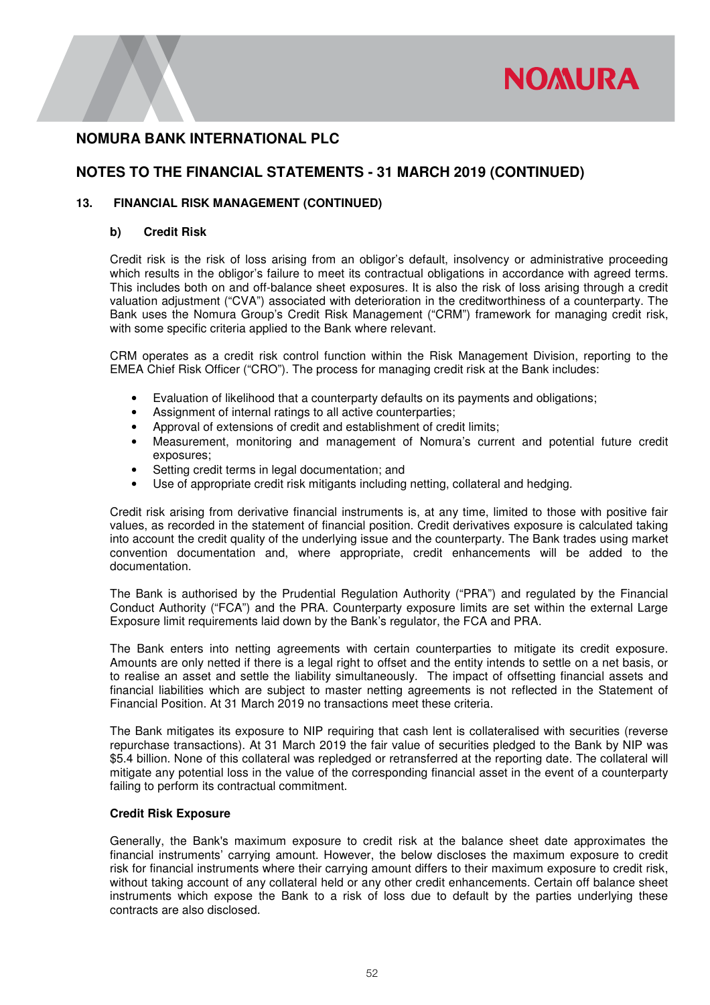

# **NOTES TO THE FINANCIAL STATEMENTS - 31 MARCH 2019 (CONTINUED)**

### **13. FINANCIAL RISK MANAGEMENT (CONTINUED)**

### **b) Credit Risk**

Credit risk is the risk of loss arising from an obligor's default, insolvency or administrative proceeding which results in the obligor's failure to meet its contractual obligations in accordance with agreed terms. This includes both on and off-balance sheet exposures. It is also the risk of loss arising through a credit valuation adjustment ("CVA") associated with deterioration in the creditworthiness of a counterparty. The Bank uses the Nomura Group's Credit Risk Management ("CRM") framework for managing credit risk, with some specific criteria applied to the Bank where relevant.

CRM operates as a credit risk control function within the Risk Management Division, reporting to the EMEA Chief Risk Officer ("CRO"). The process for managing credit risk at the Bank includes:

- Evaluation of likelihood that a counterparty defaults on its payments and obligations;
- Assignment of internal ratings to all active counterparties;
- Approval of extensions of credit and establishment of credit limits;
- Measurement, monitoring and management of Nomura's current and potential future credit exposures;
- Setting credit terms in legal documentation; and
- Use of appropriate credit risk mitigants including netting, collateral and hedging.

Credit risk arising from derivative financial instruments is, at any time, limited to those with positive fair values, as recorded in the statement of financial position. Credit derivatives exposure is calculated taking into account the credit quality of the underlying issue and the counterparty. The Bank trades using market convention documentation and, where appropriate, credit enhancements will be added to the documentation.

The Bank is authorised by the Prudential Regulation Authority ("PRA") and regulated by the Financial Conduct Authority ("FCA") and the PRA. Counterparty exposure limits are set within the external Large Exposure limit requirements laid down by the Bank's regulator, the FCA and PRA.

The Bank enters into netting agreements with certain counterparties to mitigate its credit exposure. Amounts are only netted if there is a legal right to offset and the entity intends to settle on a net basis, or to realise an asset and settle the liability simultaneously. The impact of offsetting financial assets and financial liabilities which are subject to master netting agreements is not reflected in the Statement of Financial Position. At 31 March 2019 no transactions meet these criteria.

The Bank mitigates its exposure to NIP requiring that cash lent is collateralised with securities (reverse repurchase transactions). At 31 March 2019 the fair value of securities pledged to the Bank by NIP was \$5.4 billion. None of this collateral was repledged or retransferred at the reporting date. The collateral will mitigate any potential loss in the value of the corresponding financial asset in the event of a counterparty failing to perform its contractual commitment.

#### **Credit Risk Exposure**

 Generally, the Bank's maximum exposure to credit risk at the balance sheet date approximates the financial instruments' carrying amount. However, the below discloses the maximum exposure to credit risk for financial instruments where their carrying amount differs to their maximum exposure to credit risk, without taking account of any collateral held or any other credit enhancements. Certain off balance sheet instruments which expose the Bank to a risk of loss due to default by the parties underlying these contracts are also disclosed.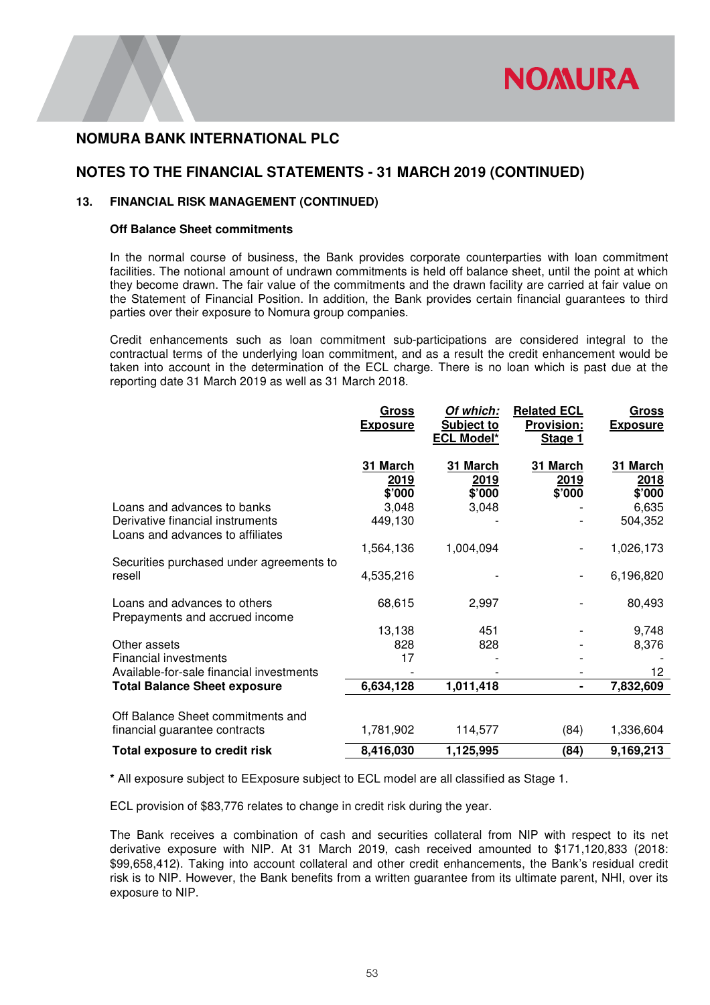

# **NOTES TO THE FINANCIAL STATEMENTS - 31 MARCH 2019 (CONTINUED)**

### **13. FINANCIAL RISK MANAGEMENT (CONTINUED)**

### **Off Balance Sheet commitments**

 In the normal course of business, the Bank provides corporate counterparties with loan commitment facilities. The notional amount of undrawn commitments is held off balance sheet, until the point at which they become drawn. The fair value of the commitments and the drawn facility are carried at fair value on the Statement of Financial Position. In addition, the Bank provides certain financial guarantees to third parties over their exposure to Nomura group companies.

Credit enhancements such as loan commitment sub-participations are considered integral to the contractual terms of the underlying loan commitment, and as a result the credit enhancement would be taken into account in the determination of the ECL charge. There is no loan which is past due at the reporting date 31 March 2019 as well as 31 March 2018.

|                                                                                                     | <u>Gross</u><br><b>Exposure</b> | Of which:<br>Subject to<br><b>ECL Model*</b> | <b>Related ECL</b><br><b>Provision:</b><br>Stage 1 | <b>Gross</b><br><b>Exposure</b> |
|-----------------------------------------------------------------------------------------------------|---------------------------------|----------------------------------------------|----------------------------------------------------|---------------------------------|
|                                                                                                     | 31 March<br>2019<br>\$'000      | 31 March<br>2019<br>\$'000                   | 31 March<br>2019<br>\$'000                         | 31 March<br>2018<br>\$'000      |
| Loans and advances to banks<br>Derivative financial instruments<br>Loans and advances to affiliates | 3,048<br>449,130                | 3,048                                        |                                                    | 6,635<br>504,352                |
| Securities purchased under agreements to                                                            | 1,564,136                       | 1,004,094                                    |                                                    | 1,026,173                       |
| resell                                                                                              | 4,535,216                       |                                              |                                                    | 6,196,820                       |
| Loans and advances to others<br>Prepayments and accrued income                                      | 68,615                          | 2,997                                        |                                                    | 80,493                          |
|                                                                                                     | 13,138                          | 451                                          |                                                    | 9,748                           |
| Other assets                                                                                        | 828                             | 828                                          |                                                    | 8,376                           |
| <b>Financial investments</b>                                                                        | 17                              |                                              |                                                    |                                 |
| Available-for-sale financial investments                                                            |                                 |                                              |                                                    | 12                              |
| <b>Total Balance Sheet exposure</b>                                                                 | 6,634,128                       | 1,011,418                                    | ۰                                                  | 7,832,609                       |
| Off Balance Sheet commitments and                                                                   |                                 |                                              |                                                    |                                 |
| financial guarantee contracts                                                                       | 1,781,902                       | 114,577                                      | (84)                                               | 1,336,604                       |
| Total exposure to credit risk                                                                       | 8,416,030                       | 1,125,995                                    | (84)                                               | 9,169,213                       |

**\*** All exposure subject to EExposure subject to ECL model are all classified as Stage 1.

ECL provision of \$83,776 relates to change in credit risk during the year.

The Bank receives a combination of cash and securities collateral from NIP with respect to its net derivative exposure with NIP. At 31 March 2019, cash received amounted to \$171,120,833 (2018: \$99,658,412). Taking into account collateral and other credit enhancements, the Bank's residual credit risk is to NIP. However, the Bank benefits from a written guarantee from its ultimate parent, NHI, over its exposure to NIP.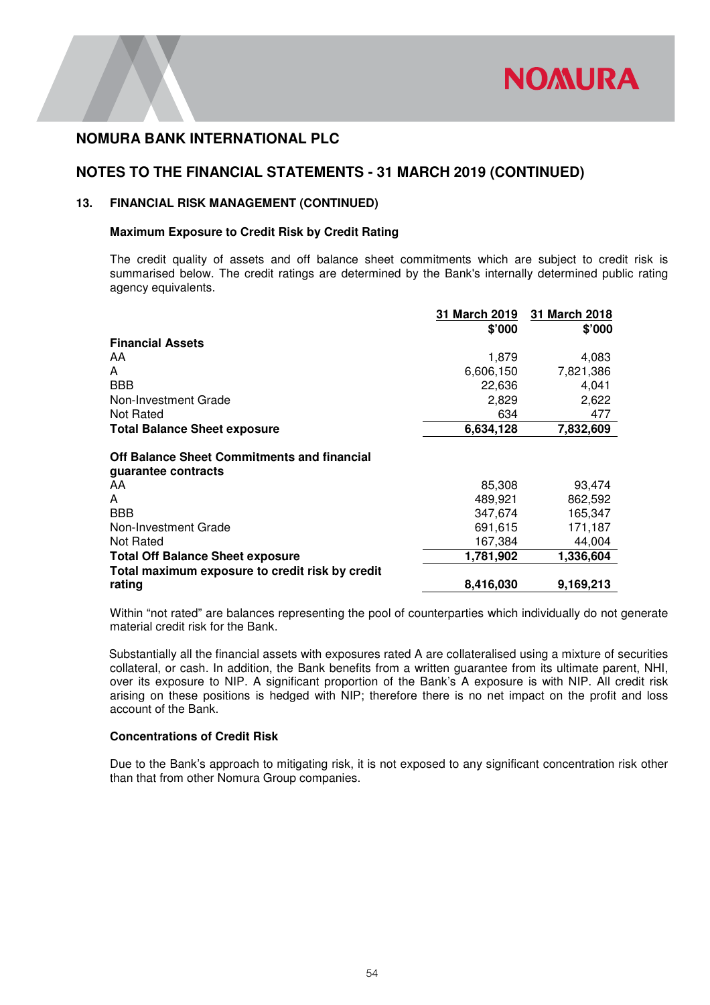

## **NOTES TO THE FINANCIAL STATEMENTS - 31 MARCH 2019 (CONTINUED)**

### **13. FINANCIAL RISK MANAGEMENT (CONTINUED)**

### **Maximum Exposure to Credit Risk by Credit Rating**

The credit quality of assets and off balance sheet commitments which are subject to credit risk is summarised below. The credit ratings are determined by the Bank's internally determined public rating agency equivalents.

|                                                                    | 31 March 2019 | 31 March 2018 |
|--------------------------------------------------------------------|---------------|---------------|
|                                                                    | \$'000        | \$'000        |
| <b>Financial Assets</b>                                            |               |               |
| AA.                                                                | 1,879         | 4,083         |
| A                                                                  | 6,606,150     | 7,821,386     |
| <b>BBB</b>                                                         | 22,636        | 4,041         |
| Non-Investment Grade                                               | 2,829         | 2,622         |
| Not Rated                                                          | 634           | 477           |
| <b>Total Balance Sheet exposure</b>                                | 6,634,128     | 7,832,609     |
| Off Balance Sheet Commitments and financial<br>guarantee contracts |               |               |
| AA.                                                                | 85,308        | 93,474        |
| A                                                                  | 489,921       | 862,592       |
| <b>BBB</b>                                                         | 347,674       | 165,347       |
| Non-Investment Grade                                               | 691,615       | 171,187       |
| Not Rated                                                          | 167,384       | 44,004        |
| <b>Total Off Balance Sheet exposure</b>                            | 1,781,902     | 1,336,604     |
| Total maximum exposure to credit risk by credit                    |               |               |
| rating                                                             | 8,416,030     | 9,169,213     |

Within "not rated" are balances representing the pool of counterparties which individually do not generate material credit risk for the Bank.

Substantially all the financial assets with exposures rated A are collateralised using a mixture of securities collateral, or cash. In addition, the Bank benefits from a written guarantee from its ultimate parent, NHI, over its exposure to NIP. A significant proportion of the Bank's A exposure is with NIP. All credit risk arising on these positions is hedged with NIP; therefore there is no net impact on the profit and loss account of the Bank.

### **Concentrations of Credit Risk**

Due to the Bank's approach to mitigating risk, it is not exposed to any significant concentration risk other than that from other Nomura Group companies.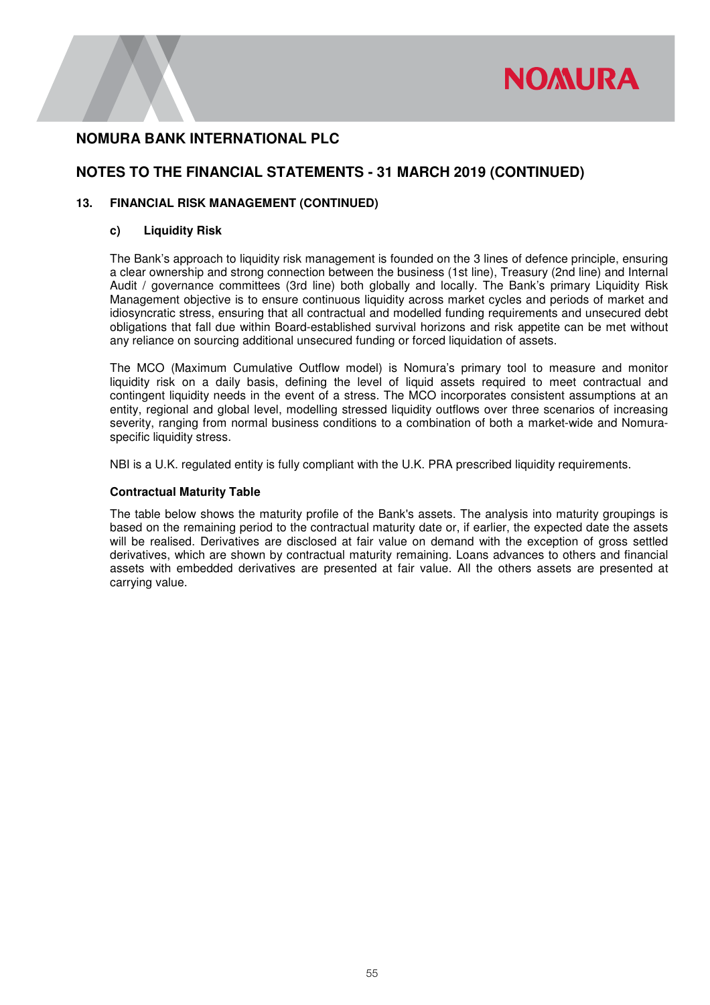

# **NOTES TO THE FINANCIAL STATEMENTS - 31 MARCH 2019 (CONTINUED)**

### **13. FINANCIAL RISK MANAGEMENT (CONTINUED)**

#### **c) Liquidity Risk**

The Bank's approach to liquidity risk management is founded on the 3 lines of defence principle, ensuring a clear ownership and strong connection between the business (1st line), Treasury (2nd line) and Internal Audit / governance committees (3rd line) both globally and locally. The Bank's primary Liquidity Risk Management objective is to ensure continuous liquidity across market cycles and periods of market and idiosyncratic stress, ensuring that all contractual and modelled funding requirements and unsecured debt obligations that fall due within Board-established survival horizons and risk appetite can be met without any reliance on sourcing additional unsecured funding or forced liquidation of assets.

The MCO (Maximum Cumulative Outflow model) is Nomura's primary tool to measure and monitor liquidity risk on a daily basis, defining the level of liquid assets required to meet contractual and contingent liquidity needs in the event of a stress. The MCO incorporates consistent assumptions at an entity, regional and global level, modelling stressed liquidity outflows over three scenarios of increasing severity, ranging from normal business conditions to a combination of both a market-wide and Nomuraspecific liquidity stress.

NBI is a U.K. regulated entity is fully compliant with the U.K. PRA prescribed liquidity requirements.

#### **Contractual Maturity Table**

The table below shows the maturity profile of the Bank's assets. The analysis into maturity groupings is based on the remaining period to the contractual maturity date or, if earlier, the expected date the assets will be realised. Derivatives are disclosed at fair value on demand with the exception of gross settled derivatives, which are shown by contractual maturity remaining. Loans advances to others and financial assets with embedded derivatives are presented at fair value. All the others assets are presented at carrying value.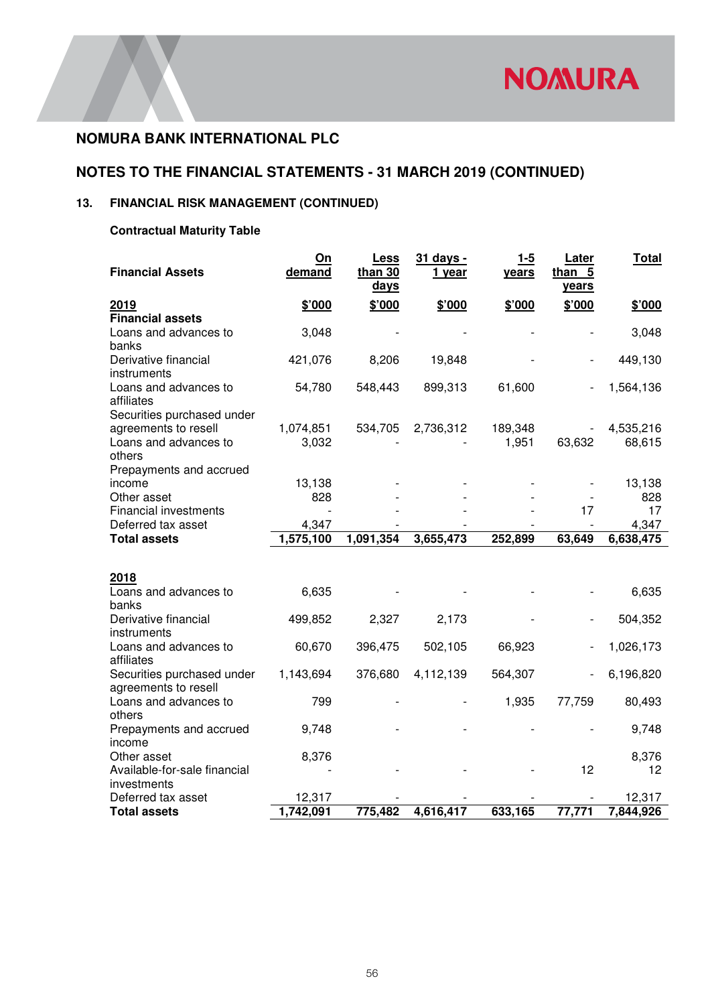# **NOTES TO THE FINANCIAL STATEMENTS - 31 MARCH 2019 (CONTINUED)**

# **13. FINANCIAL RISK MANAGEMENT (CONTINUED)**

# **Contractual Maturity Table**

| <b>Financial Assets</b>              | On<br>demand        | Less<br>than $30$ | 31 days -<br>1 year | $1 - 5$<br>years | Later<br>than 5          | Total               |
|--------------------------------------|---------------------|-------------------|---------------------|------------------|--------------------------|---------------------|
|                                      |                     | <u>days</u>       |                     |                  | years                    |                     |
| 2019                                 | \$'000              | \$'000            | \$'000              | \$'000           | \$'000                   | \$'000              |
| <b>Financial assets</b>              |                     |                   |                     |                  |                          |                     |
| Loans and advances to                | 3,048               |                   |                     |                  |                          | 3,048               |
| banks                                |                     |                   |                     |                  |                          |                     |
| Derivative financial                 | 421,076             | 8,206             | 19,848              |                  |                          | 449,130             |
| instruments<br>Loans and advances to | 54,780              | 548,443           | 899,313             | 61,600           |                          | 1,564,136           |
| affiliates                           |                     |                   |                     |                  |                          |                     |
| Securities purchased under           |                     |                   |                     |                  |                          |                     |
| agreements to resell                 | 1,074,851           | 534,705           | 2,736,312           | 189,348          |                          | 4,535,216           |
| Loans and advances to                | 3,032               |                   |                     | 1,951            | 63,632                   | 68,615              |
| others                               |                     |                   |                     |                  |                          |                     |
| Prepayments and accrued              |                     |                   |                     |                  |                          |                     |
| income                               | 13,138              |                   |                     |                  |                          | 13,138              |
| Other asset                          | 828                 |                   |                     |                  |                          | 828                 |
| <b>Financial investments</b>         |                     |                   |                     |                  | 17                       | 17                  |
| Deferred tax asset                   | 4,347               |                   |                     |                  |                          | 4,347               |
| <b>Total assets</b>                  | 1,575,100           | 1,091,354         | 3,655,473           | 252,899          | 63,649                   | 6,638,475           |
|                                      |                     |                   |                     |                  |                          |                     |
| 2018                                 |                     |                   |                     |                  |                          |                     |
| Loans and advances to                | 6,635               |                   |                     |                  |                          | 6,635               |
| banks                                |                     |                   |                     |                  |                          |                     |
| Derivative financial                 | 499,852             | 2,327             | 2,173               |                  | $\overline{\phantom{a}}$ | 504,352             |
| instruments                          |                     |                   |                     |                  |                          |                     |
| Loans and advances to<br>affiliates  | 60,670              | 396,475           | 502,105             | 66,923           | $\qquad \qquad -$        | 1,026,173           |
| Securities purchased under           | 1,143,694           | 376,680           | 4,112,139           | 564,307          | $\frac{1}{2}$            | 6,196,820           |
| agreements to resell                 |                     |                   |                     |                  |                          |                     |
| Loans and advances to                | 799                 |                   |                     | 1,935            | 77,759                   | 80,493              |
| others                               |                     |                   |                     |                  |                          |                     |
| Prepayments and accrued              | 9,748               |                   |                     |                  |                          | 9,748               |
| income                               |                     |                   |                     |                  |                          |                     |
| Other asset                          | 8,376               |                   |                     |                  |                          | 8,376               |
| Available-for-sale financial         |                     |                   |                     |                  | 12                       | 12                  |
| investments                          |                     |                   |                     |                  |                          |                     |
| Deferred tax asset                   | 12,317<br>1,742,091 | 775,482           | 4,616,417           | 633,165          | 77,771                   | 12,317<br>7,844,926 |
| <b>Total assets</b>                  |                     |                   |                     |                  |                          |                     |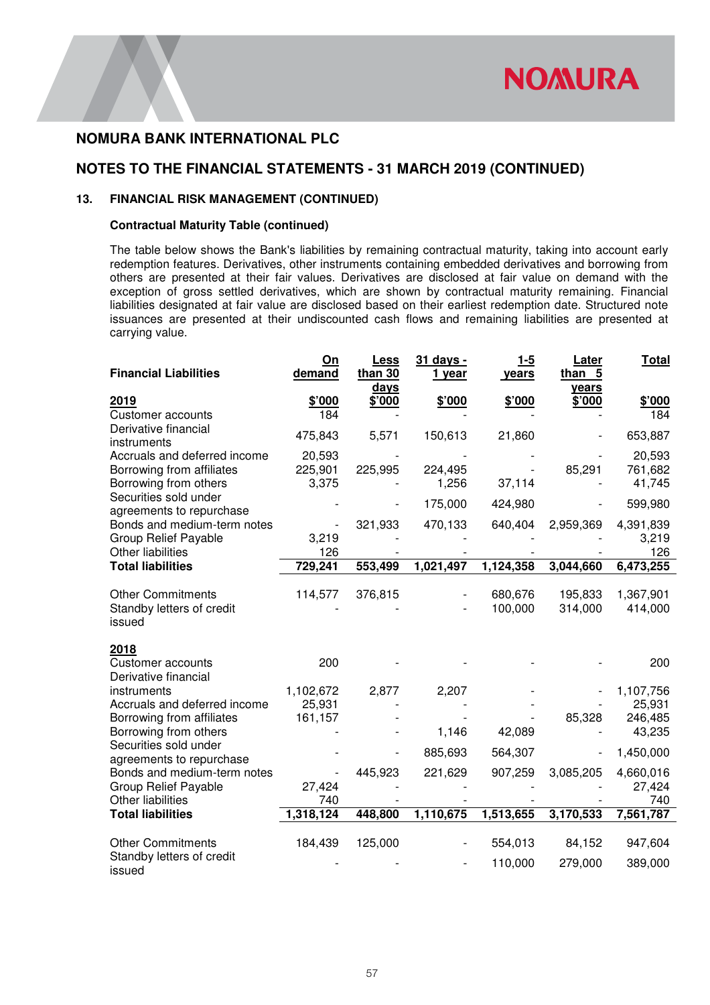

# **NOTES TO THE FINANCIAL STATEMENTS - 31 MARCH 2019 (CONTINUED)**

### **13. FINANCIAL RISK MANAGEMENT (CONTINUED)**

### **Contractual Maturity Table (continued)**

The table below shows the Bank's liabilities by remaining contractual maturity, taking into account early redemption features. Derivatives, other instruments containing embedded derivatives and borrowing from others are presented at their fair values. Derivatives are disclosed at fair value on demand with the exception of gross settled derivatives, which are shown by contractual maturity remaining. Financial liabilities designated at fair value are disclosed based on their earliest redemption date. Structured note issuances are presented at their undiscounted cash flows and remaining liabilities are presented at carrying value.

| <b>Financial Liabilities</b>                                                                      | On<br>demand                   | <b>Less</b><br>than 30<br>days | 31 days -<br>1 year | $1 - 5$<br>years   | Later<br>than 5<br>years | <b>Total</b>                             |
|---------------------------------------------------------------------------------------------------|--------------------------------|--------------------------------|---------------------|--------------------|--------------------------|------------------------------------------|
| 2019<br><b>Customer accounts</b>                                                                  | \$'000<br>184                  | \$'000                         | \$'000              | \$'000             | \$'000                   | \$'000<br>184                            |
| Derivative financial<br>instruments                                                               | 475,843                        | 5,571                          | 150,613             | 21,860             |                          | 653,887                                  |
| Accruals and deferred income<br>Borrowing from affiliates<br>Borrowing from others                | 20,593<br>225,901<br>3,375     | 225,995                        | 224,495<br>1,256    | 37,114             | 85,291                   | 20,593<br>761,682<br>41,745              |
| Securities sold under<br>agreements to repurchase                                                 |                                |                                | 175,000             | 424,980            |                          | 599,980                                  |
| Bonds and medium-term notes<br><b>Group Relief Payable</b><br>Other liabilities                   | 3,219<br>126                   | 321,933                        | 470,133             | 640,404            | 2,959,369                | 4,391,839<br>3,219<br>126                |
| <b>Total liabilities</b>                                                                          | 729,241                        | 553,499                        | 1,021,497           | 1,124,358          | 3,044,660                | 6,473,255                                |
| <b>Other Commitments</b><br>Standby letters of credit<br>issued                                   | 114,577                        | 376,815                        |                     | 680,676<br>100,000 | 195,833<br>314,000       | 1,367,901<br>414,000                     |
| 2018<br><b>Customer accounts</b><br>Derivative financial                                          | 200                            |                                |                     |                    |                          | 200                                      |
| instruments<br>Accruals and deferred income<br>Borrowing from affiliates<br>Borrowing from others | 1,102,672<br>25,931<br>161,157 | 2,877                          | 2,207<br>1,146      | 42,089             | 85,328                   | 1,107,756<br>25,931<br>246,485<br>43,235 |
| Securities sold under<br>agreements to repurchase                                                 |                                |                                | 885,693             | 564,307            |                          | 1,450,000                                |
| Bonds and medium-term notes<br><b>Group Relief Payable</b><br>Other liabilities                   | 27,424<br>740                  | 445,923                        | 221,629             | 907,259            | 3,085,205                | 4,660,016<br>27,424<br>740               |
| <b>Total liabilities</b>                                                                          | 1,318,124                      | 448,800                        | 1,110,675           | 1,513,655          | 3,170,533                | 7,561,787                                |
| <b>Other Commitments</b><br>Standby letters of credit<br>issued                                   | 184,439                        | 125,000                        |                     | 554,013<br>110,000 | 84,152<br>279,000        | 947,604<br>389,000                       |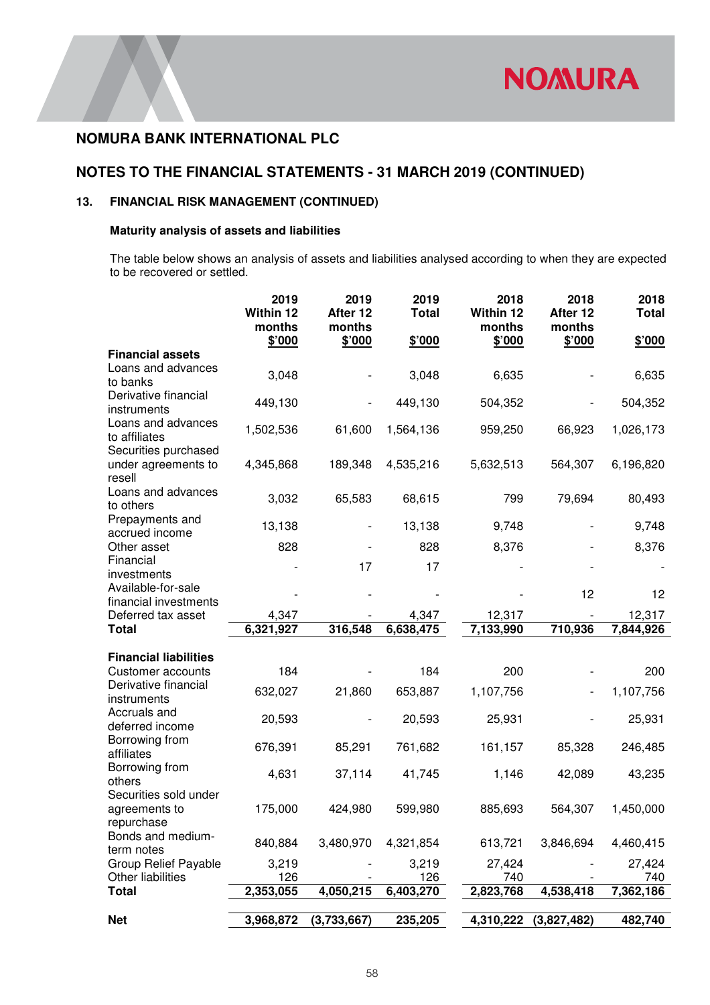# **NOTES TO THE FINANCIAL STATEMENTS - 31 MARCH 2019 (CONTINUED)**

# **13. FINANCIAL RISK MANAGEMENT (CONTINUED)**

### **Maturity analysis of assets and liabilities**

The table below shows an analysis of assets and liabilities analysed according to when they are expected to be recovered or settled.

|                                                           | 2019<br>Within 12<br>months | 2019<br>After 12<br>months | 2019<br><b>Total</b> | 2018<br>Within 12<br>months | 2018<br>After 12<br>months | 2018<br><b>Total</b> |
|-----------------------------------------------------------|-----------------------------|----------------------------|----------------------|-----------------------------|----------------------------|----------------------|
|                                                           | \$'000                      | \$'000                     | \$'000               | \$'000                      | \$'000                     | \$'000               |
| <b>Financial assets</b><br>Loans and advances<br>to banks | 3,048                       |                            | 3,048                | 6,635                       |                            | 6,635                |
| Derivative financial<br>instruments                       | 449,130                     |                            | 449,130              | 504,352                     |                            | 504,352              |
| Loans and advances<br>to affiliates                       | 1,502,536                   | 61,600                     | 1,564,136            | 959,250                     | 66,923                     | 1,026,173            |
| Securities purchased<br>under agreements to<br>resell     | 4,345,868                   | 189,348                    | 4,535,216            | 5,632,513                   | 564,307                    | 6,196,820            |
| Loans and advances<br>to others                           | 3,032                       | 65,583                     | 68,615               | 799                         | 79,694                     | 80,493               |
| Prepayments and<br>accrued income                         | 13,138                      |                            | 13,138               | 9,748                       |                            | 9,748                |
| Other asset                                               | 828                         |                            | 828                  | 8,376                       |                            | 8,376                |
| Financial<br>investments                                  |                             | 17                         | 17                   |                             |                            |                      |
| Available-for-sale<br>financial investments               |                             |                            |                      |                             | 12                         | 12                   |
| Deferred tax asset                                        | 4,347                       |                            | 4,347                | 12,317                      |                            | 12,317               |
| <b>Total</b>                                              | 6,321,927                   | 316,548                    | 6,638,475            | 7,133,990                   | 710,936                    | 7,844,926            |
| <b>Financial liabilities</b>                              |                             |                            |                      |                             |                            |                      |
| Customer accounts                                         | 184                         |                            | 184                  | 200                         |                            | 200                  |
| Derivative financial<br>instruments                       | 632,027                     | 21,860                     | 653,887              | 1,107,756                   |                            | 1,107,756            |
| Accruals and<br>deferred income                           | 20,593                      |                            | 20,593               | 25,931                      |                            | 25,931               |
| Borrowing from<br>affiliates                              | 676,391                     | 85,291                     | 761,682              | 161,157                     | 85,328                     | 246,485              |
| Borrowing from<br>others                                  | 4,631                       | 37,114                     | 41,745               | 1,146                       | 42,089                     | 43,235               |
| Securities sold under<br>agreements to<br>repurchase      | 175,000                     | 424,980                    | 599,980              | 885,693                     | 564,307                    | 1,450,000            |
| Bonds and medium-<br>term notes                           | 840,884                     | 3,480,970                  | 4,321,854            | 613,721                     | 3,846,694                  | 4,460,415            |
| Group Relief Payable                                      | 3,219                       |                            | 3,219                | 27,424                      |                            | 27,424               |
| Other liabilities<br><b>Total</b>                         | 126                         |                            | 126                  | 740<br>2,823,768            | 4,538,418                  | 740                  |
|                                                           | 2,353,055                   | 4,050,215                  | 6,403,270            |                             |                            | 7,362,186            |
| <b>Net</b>                                                | 3,968,872                   | (3,733,667)                | 235,205              | 4,310,222                   | (3,827,482)                | 482,740              |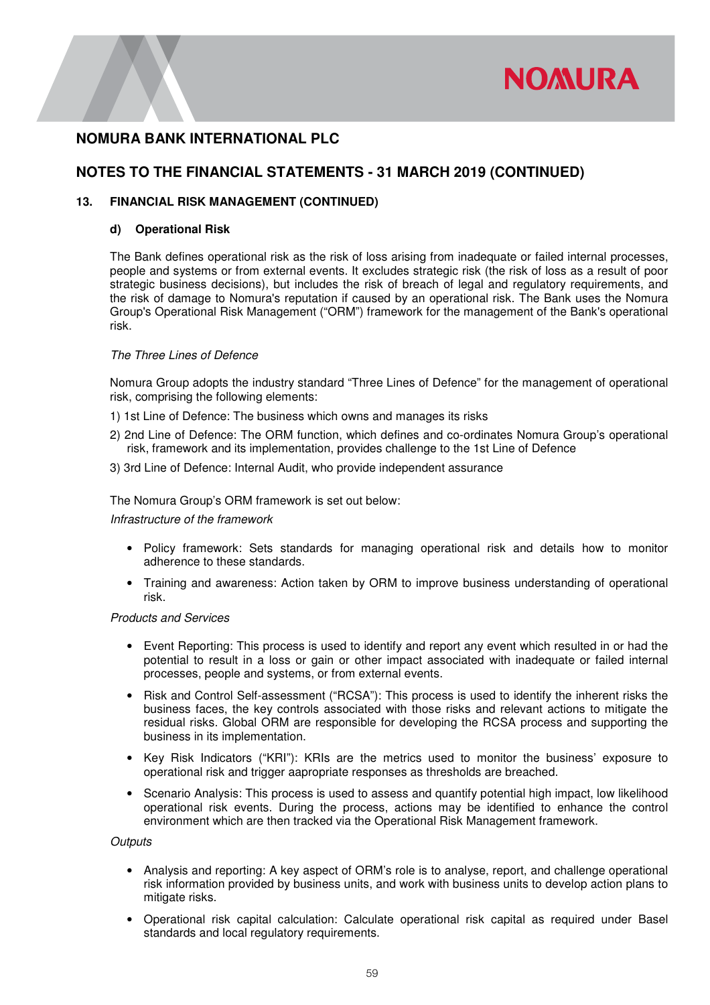

## **NOTES TO THE FINANCIAL STATEMENTS - 31 MARCH 2019 (CONTINUED)**

### **13. FINANCIAL RISK MANAGEMENT (CONTINUED)**

### **d) Operational Risk**

The Bank defines operational risk as the risk of loss arising from inadequate or failed internal processes, people and systems or from external events. It excludes strategic risk (the risk of loss as a result of poor strategic business decisions), but includes the risk of breach of legal and regulatory requirements, and the risk of damage to Nomura's reputation if caused by an operational risk. The Bank uses the Nomura Group's Operational Risk Management ("ORM") framework for the management of the Bank's operational risk.

#### *The Three Lines of Defence*

Nomura Group adopts the industry standard "Three Lines of Defence" for the management of operational risk, comprising the following elements:

1) 1st Line of Defence: The business which owns and manages its risks

- 2) 2nd Line of Defence: The ORM function, which defines and co-ordinates Nomura Group's operational risk, framework and its implementation, provides challenge to the 1st Line of Defence
- 3) 3rd Line of Defence: Internal Audit, who provide independent assurance

The Nomura Group's ORM framework is set out below:

#### *Infrastructure of the framework*

- Policy framework: Sets standards for managing operational risk and details how to monitor adherence to these standards.
- Training and awareness: Action taken by ORM to improve business understanding of operational risk.

#### *Products and Services*

- Event Reporting: This process is used to identify and report any event which resulted in or had the potential to result in a loss or gain or other impact associated with inadequate or failed internal processes, people and systems, or from external events.
- Risk and Control Self-assessment ("RCSA"): This process is used to identify the inherent risks the business faces, the key controls associated with those risks and relevant actions to mitigate the residual risks. Global ORM are responsible for developing the RCSA process and supporting the business in its implementation.
- Key Risk Indicators ("KRI"): KRIs are the metrics used to monitor the business' exposure to operational risk and trigger aapropriate responses as thresholds are breached.
- Scenario Analysis: This process is used to assess and quantify potential high impact, low likelihood operational risk events. During the process, actions may be identified to enhance the control environment which are then tracked via the Operational Risk Management framework.

*Outputs* 

- Analysis and reporting: A key aspect of ORM's role is to analyse, report, and challenge operational risk information provided by business units, and work with business units to develop action plans to mitigate risks.
- Operational risk capital calculation: Calculate operational risk capital as required under Basel standards and local regulatory requirements.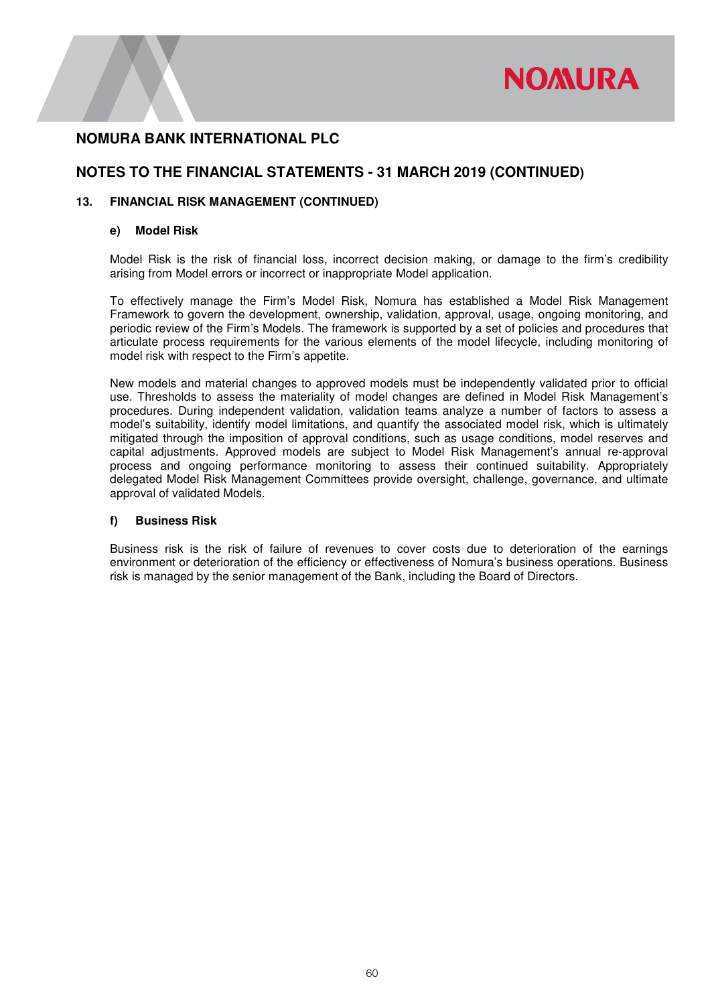

# **NOTES TO THE FINANCIAL STATEMENTS - 31 MARCH 2019 (CONTINUED)**

### **13. FINANCIAL RISK MANAGEMENT (CONTINUED)**

#### **e) Model Risk**

Model Risk is the risk of financial loss, incorrect decision making, or damage to the firm's credibility arising from Model errors or incorrect or inappropriate Model application.

To effectively manage the Firm's Model Risk, Nomura has established a Model Risk Management Framework to govern the development, ownership, validation, approval, usage, ongoing monitoring, and periodic review of the Firm's Models. The framework is supported by a set of policies and procedures that articulate process requirements for the various elements of the model lifecycle, including monitoring of model risk with respect to the Firm's appetite.

New models and material changes to approved models must be independently validated prior to official use. Thresholds to assess the materiality of model changes are defined in Model Risk Management's procedures. During independent validation, validation teams analyze a number of factors to assess a model's suitability, identify model limitations, and quantify the associated model risk, which is ultimately mitigated through the imposition of approval conditions, such as usage conditions, model reserves and capital adjustments. Approved models are subject to Model Risk Management's annual re-approval process and ongoing performance monitoring to assess their continued suitability. Appropriately delegated Model Risk Management Committees provide oversight, challenge, governance, and ultimate approval of validated Models.

### **f) Business Risk**

Business risk is the risk of failure of revenues to cover costs due to deterioration of the earnings environment or deterioration of the efficiency or effectiveness of Nomura's business operations. Business risk is managed by the senior management of the Bank, including the Board of Directors.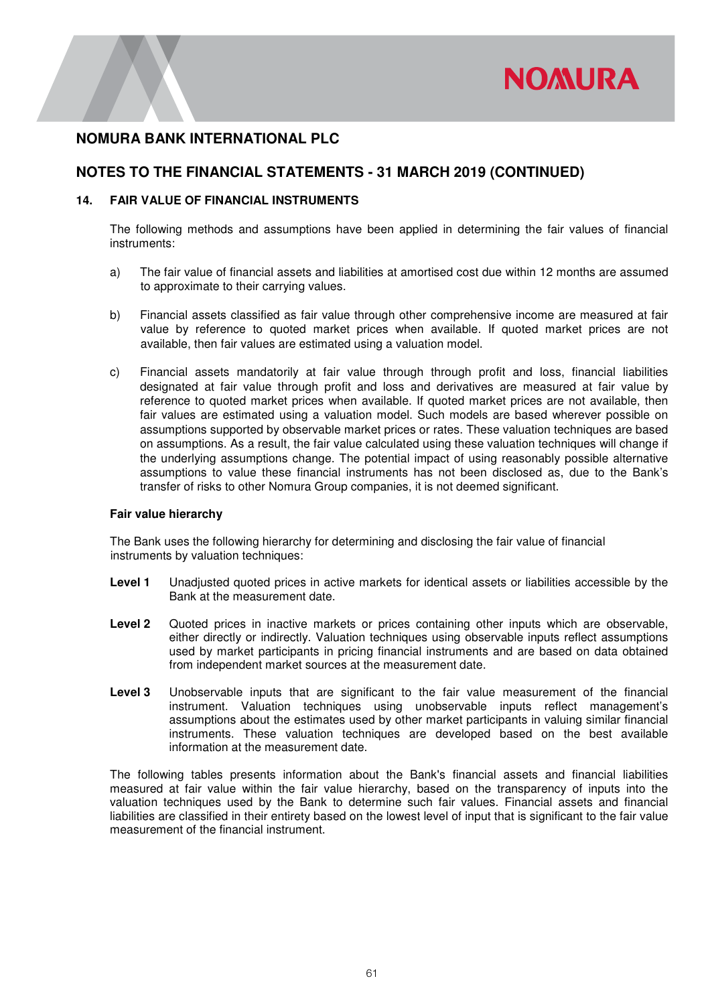

### **NOTES TO THE FINANCIAL STATEMENTS - 31 MARCH 2019 (CONTINUED)**

#### **14. FAIR VALUE OF FINANCIAL INSTRUMENTS**

The following methods and assumptions have been applied in determining the fair values of financial instruments:

- a) The fair value of financial assets and liabilities at amortised cost due within 12 months are assumed to approximate to their carrying values.
- b) Financial assets classified as fair value through other comprehensive income are measured at fair value by reference to quoted market prices when available. If quoted market prices are not available, then fair values are estimated using a valuation model.
- c) Financial assets mandatorily at fair value through through profit and loss, financial liabilities designated at fair value through profit and loss and derivatives are measured at fair value by reference to quoted market prices when available. If quoted market prices are not available, then fair values are estimated using a valuation model. Such models are based wherever possible on assumptions supported by observable market prices or rates. These valuation techniques are based on assumptions. As a result, the fair value calculated using these valuation techniques will change if the underlying assumptions change. The potential impact of using reasonably possible alternative assumptions to value these financial instruments has not been disclosed as, due to the Bank's transfer of risks to other Nomura Group companies, it is not deemed significant.

#### **Fair value hierarchy**

The Bank uses the following hierarchy for determining and disclosing the fair value of financial instruments by valuation techniques:

- **Level 1** Unadjusted quoted prices in active markets for identical assets or liabilities accessible by the Bank at the measurement date.
- Level 2 Quoted prices in inactive markets or prices containing other inputs which are observable, either directly or indirectly. Valuation techniques using observable inputs reflect assumptions used by market participants in pricing financial instruments and are based on data obtained from independent market sources at the measurement date.
- **Level 3** Unobservable inputs that are significant to the fair value measurement of the financial instrument. Valuation techniques using unobservable inputs reflect management's assumptions about the estimates used by other market participants in valuing similar financial instruments. These valuation techniques are developed based on the best available information at the measurement date.

The following tables presents information about the Bank's financial assets and financial liabilities measured at fair value within the fair value hierarchy, based on the transparency of inputs into the valuation techniques used by the Bank to determine such fair values. Financial assets and financial liabilities are classified in their entirety based on the lowest level of input that is significant to the fair value measurement of the financial instrument.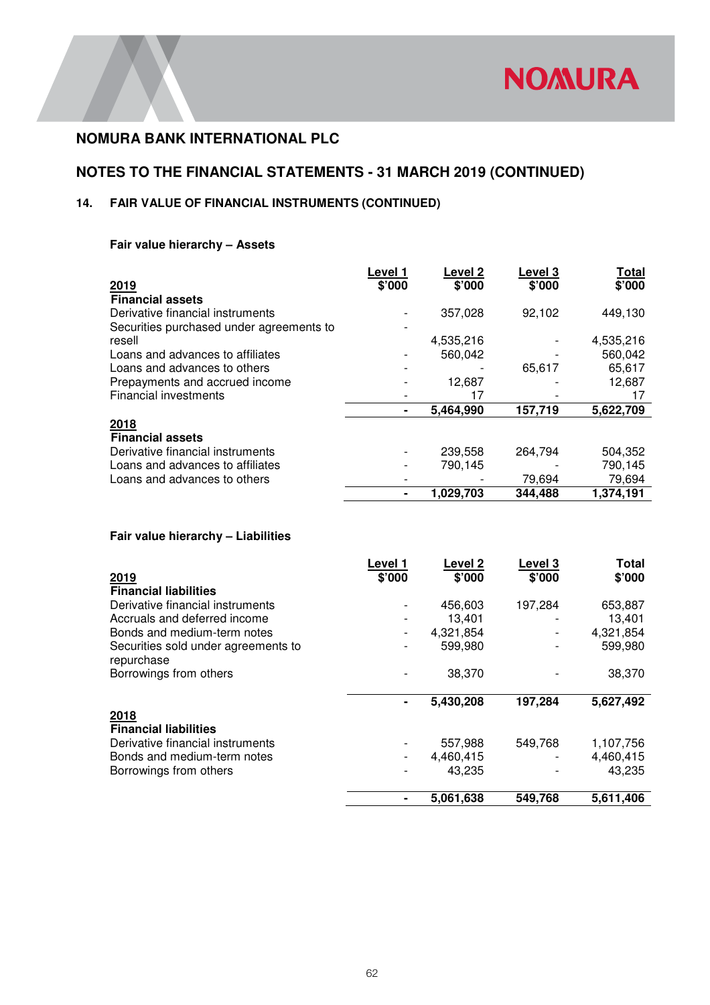

# **NOTES TO THE FINANCIAL STATEMENTS - 31 MARCH 2019 (CONTINUED)**

# **14. FAIR VALUE OF FINANCIAL INSTRUMENTS (CONTINUED)**

### **Fair value hierarchy – Assets**

|                                          | Level 1 | Level <sub>2</sub> | Level 3 | Total     |
|------------------------------------------|---------|--------------------|---------|-----------|
| 2019                                     | \$'000  | \$'000             | \$'000  | \$'000    |
| <b>Financial assets</b>                  |         |                    |         |           |
| Derivative financial instruments         |         | 357,028            | 92,102  | 449,130   |
| Securities purchased under agreements to |         |                    |         |           |
| resell                                   |         | 4,535,216          |         | 4,535,216 |
| Loans and advances to affiliates         |         | 560,042            |         | 560,042   |
| Loans and advances to others             |         |                    | 65.617  | 65,617    |
| Prepayments and accrued income           |         | 12,687             |         | 12,687    |
| <b>Financial investments</b>             |         |                    |         |           |
|                                          | ۰       | 5,464,990          | 157,719 | 5,622,709 |
| 2018                                     |         |                    |         |           |
| <b>Financial assets</b>                  |         |                    |         |           |
| Derivative financial instruments         |         | 239,558            | 264,794 | 504,352   |
| Loans and advances to affiliates         |         | 790,145            |         | 790,145   |
| Loans and advances to others             |         |                    | 79,694  | 79,694    |
|                                          |         | 1,029,703          | 344,488 | 1,374,191 |

### **Fair value hierarchy – Liabilities**

|                                                   | Level 1 | Level 2   | Level 3 | <b>Total</b> |
|---------------------------------------------------|---------|-----------|---------|--------------|
| 2019                                              | \$'000  | \$'000    | \$'000  | \$'000       |
| <b>Financial liabilities</b>                      |         |           |         |              |
| Derivative financial instruments                  |         | 456,603   | 197,284 | 653,887      |
| Accruals and deferred income                      |         | 13.401    |         | 13,401       |
| Bonds and medium-term notes                       |         | 4,321,854 |         | 4,321,854    |
| Securities sold under agreements to<br>repurchase |         | 599,980   |         | 599,980      |
| Borrowings from others                            |         | 38,370    |         | 38,370       |
|                                                   |         | 5,430,208 | 197,284 | 5,627,492    |
| 2018                                              |         |           |         |              |
| <b>Financial liabilities</b>                      |         |           |         |              |
| Derivative financial instruments                  |         | 557,988   | 549,768 | 1,107,756    |
| Bonds and medium-term notes                       |         | 4,460,415 |         | 4,460,415    |
| Borrowings from others                            |         | 43.235    |         | 43,235       |
|                                                   |         | 5,061,638 | 549,768 | 5,611,406    |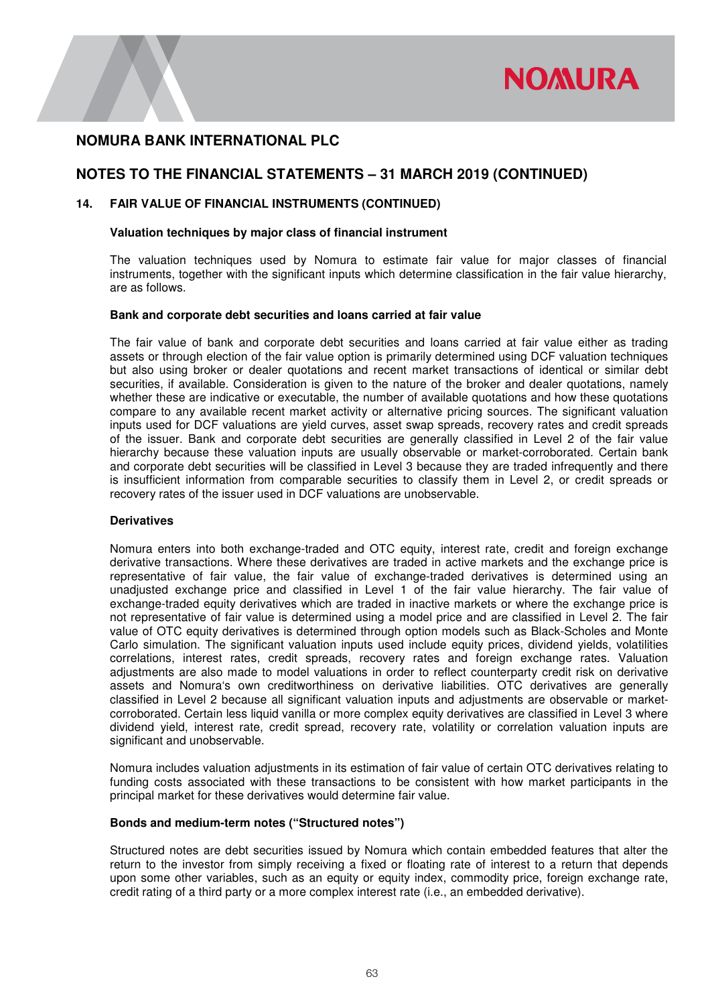

# **NOTES TO THE FINANCIAL STATEMENTS – 31 MARCH 2019 (CONTINUED)**

### **14. FAIR VALUE OF FINANCIAL INSTRUMENTS (CONTINUED)**

#### **Valuation techniques by major class of financial instrument**

The valuation techniques used by Nomura to estimate fair value for major classes of financial instruments, together with the significant inputs which determine classification in the fair value hierarchy, are as follows.

#### **Bank and corporate debt securities and loans carried at fair value**

The fair value of bank and corporate debt securities and loans carried at fair value either as trading assets or through election of the fair value option is primarily determined using DCF valuation techniques but also using broker or dealer quotations and recent market transactions of identical or similar debt securities, if available. Consideration is given to the nature of the broker and dealer quotations, namely whether these are indicative or executable, the number of available quotations and how these quotations compare to any available recent market activity or alternative pricing sources. The significant valuation inputs used for DCF valuations are yield curves, asset swap spreads, recovery rates and credit spreads of the issuer. Bank and corporate debt securities are generally classified in Level 2 of the fair value hierarchy because these valuation inputs are usually observable or market-corroborated. Certain bank and corporate debt securities will be classified in Level 3 because they are traded infrequently and there is insufficient information from comparable securities to classify them in Level 2, or credit spreads or recovery rates of the issuer used in DCF valuations are unobservable.

### **Derivatives**

Nomura enters into both exchange-traded and OTC equity, interest rate, credit and foreign exchange derivative transactions. Where these derivatives are traded in active markets and the exchange price is representative of fair value, the fair value of exchange-traded derivatives is determined using an unadjusted exchange price and classified in Level 1 of the fair value hierarchy. The fair value of exchange-traded equity derivatives which are traded in inactive markets or where the exchange price is not representative of fair value is determined using a model price and are classified in Level 2. The fair value of OTC equity derivatives is determined through option models such as Black-Scholes and Monte Carlo simulation. The significant valuation inputs used include equity prices, dividend yields, volatilities correlations, interest rates, credit spreads, recovery rates and foreign exchange rates. Valuation adjustments are also made to model valuations in order to reflect counterparty credit risk on derivative assets and Nomura's own creditworthiness on derivative liabilities. OTC derivatives are generally classified in Level 2 because all significant valuation inputs and adjustments are observable or marketcorroborated. Certain less liquid vanilla or more complex equity derivatives are classified in Level 3 where dividend yield, interest rate, credit spread, recovery rate, volatility or correlation valuation inputs are significant and unobservable.

Nomura includes valuation adjustments in its estimation of fair value of certain OTC derivatives relating to funding costs associated with these transactions to be consistent with how market participants in the principal market for these derivatives would determine fair value.

#### **Bonds and medium-term notes ("Structured notes")**

Structured notes are debt securities issued by Nomura which contain embedded features that alter the return to the investor from simply receiving a fixed or floating rate of interest to a return that depends upon some other variables, such as an equity or equity index, commodity price, foreign exchange rate, credit rating of a third party or a more complex interest rate (i.e., an embedded derivative).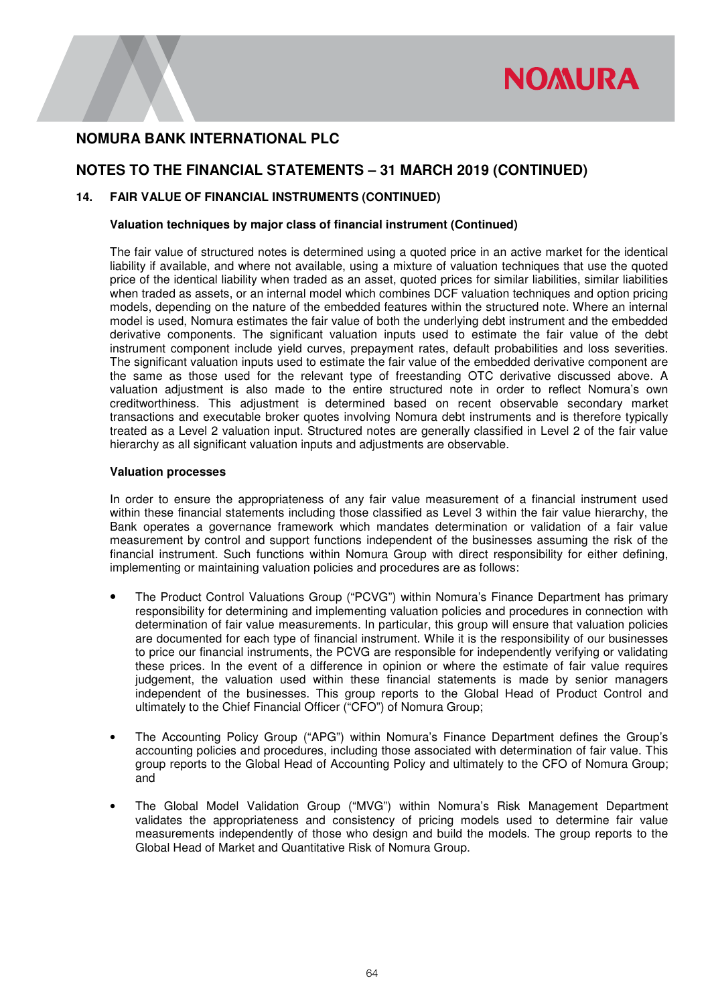

# **NOTES TO THE FINANCIAL STATEMENTS – 31 MARCH 2019 (CONTINUED)**

### **14. FAIR VALUE OF FINANCIAL INSTRUMENTS (CONTINUED)**

#### **Valuation techniques by major class of financial instrument (Continued)**

The fair value of structured notes is determined using a quoted price in an active market for the identical liability if available, and where not available, using a mixture of valuation techniques that use the quoted price of the identical liability when traded as an asset, quoted prices for similar liabilities, similar liabilities when traded as assets, or an internal model which combines DCF valuation techniques and option pricing models, depending on the nature of the embedded features within the structured note. Where an internal model is used, Nomura estimates the fair value of both the underlying debt instrument and the embedded derivative components. The significant valuation inputs used to estimate the fair value of the debt instrument component include yield curves, prepayment rates, default probabilities and loss severities. The significant valuation inputs used to estimate the fair value of the embedded derivative component are the same as those used for the relevant type of freestanding OTC derivative discussed above. A valuation adjustment is also made to the entire structured note in order to reflect Nomura's own creditworthiness. This adjustment is determined based on recent observable secondary market transactions and executable broker quotes involving Nomura debt instruments and is therefore typically treated as a Level 2 valuation input. Structured notes are generally classified in Level 2 of the fair value hierarchy as all significant valuation inputs and adjustments are observable.

#### **Valuation processes**

In order to ensure the appropriateness of any fair value measurement of a financial instrument used within these financial statements including those classified as Level 3 within the fair value hierarchy, the Bank operates a governance framework which mandates determination or validation of a fair value measurement by control and support functions independent of the businesses assuming the risk of the financial instrument. Such functions within Nomura Group with direct responsibility for either defining, implementing or maintaining valuation policies and procedures are as follows:

- The Product Control Valuations Group ("PCVG") within Nomura's Finance Department has primary responsibility for determining and implementing valuation policies and procedures in connection with determination of fair value measurements. In particular, this group will ensure that valuation policies are documented for each type of financial instrument. While it is the responsibility of our businesses to price our financial instruments, the PCVG are responsible for independently verifying or validating these prices. In the event of a difference in opinion or where the estimate of fair value requires judgement, the valuation used within these financial statements is made by senior managers independent of the businesses. This group reports to the Global Head of Product Control and ultimately to the Chief Financial Officer ("CFO") of Nomura Group;
- The Accounting Policy Group ("APG") within Nomura's Finance Department defines the Group's accounting policies and procedures, including those associated with determination of fair value. This group reports to the Global Head of Accounting Policy and ultimately to the CFO of Nomura Group; and
- The Global Model Validation Group ("MVG") within Nomura's Risk Management Department validates the appropriateness and consistency of pricing models used to determine fair value measurements independently of those who design and build the models. The group reports to the Global Head of Market and Quantitative Risk of Nomura Group.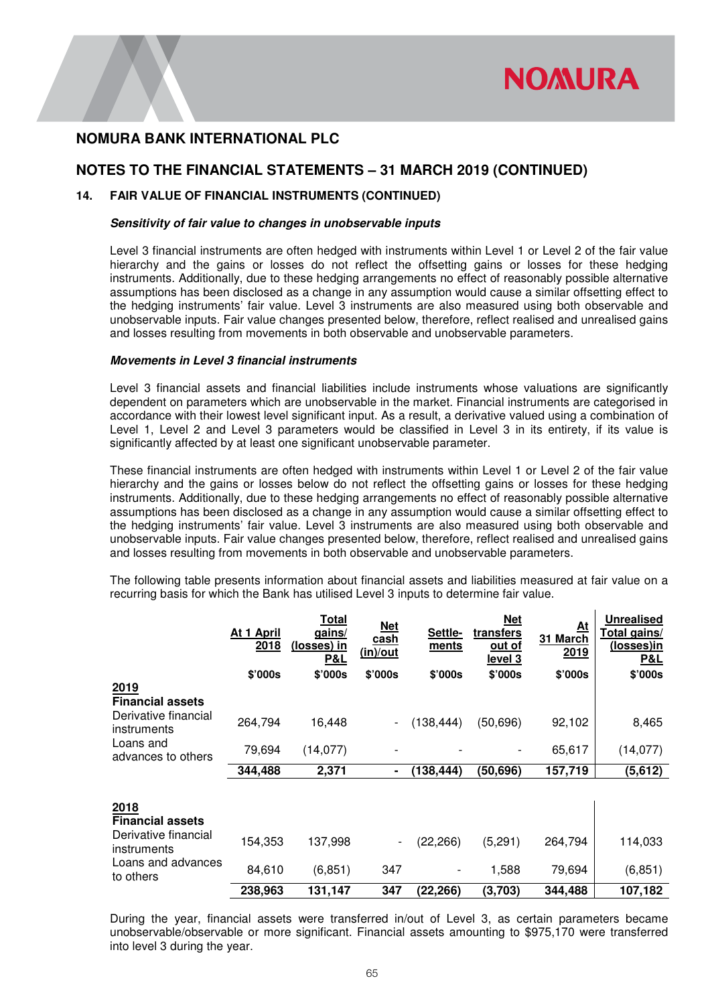

 $\mathbf{r}$ 

## **NOMURA BANK INTERNATIONAL PLC**

# **NOTES TO THE FINANCIAL STATEMENTS – 31 MARCH 2019 (CONTINUED)**

### **14. FAIR VALUE OF FINANCIAL INSTRUMENTS (CONTINUED)**

#### **Sensitivity of fair value to changes in unobservable inputs**

Level 3 financial instruments are often hedged with instruments within Level 1 or Level 2 of the fair value hierarchy and the gains or losses do not reflect the offsetting gains or losses for these hedging instruments. Additionally, due to these hedging arrangements no effect of reasonably possible alternative assumptions has been disclosed as a change in any assumption would cause a similar offsetting effect to the hedging instruments' fair value. Level 3 instruments are also measured using both observable and unobservable inputs. Fair value changes presented below, therefore, reflect realised and unrealised gains and losses resulting from movements in both observable and unobservable parameters.

#### **Movements in Level 3 financial instruments**

Level 3 financial assets and financial liabilities include instruments whose valuations are significantly dependent on parameters which are unobservable in the market. Financial instruments are categorised in accordance with their lowest level significant input. As a result, a derivative valued using a combination of Level 1, Level 2 and Level 3 parameters would be classified in Level 3 in its entirety, if its value is significantly affected by at least one significant unobservable parameter.

These financial instruments are often hedged with instruments within Level 1 or Level 2 of the fair value hierarchy and the gains or losses below do not reflect the offsetting gains or losses for these hedging instruments. Additionally, due to these hedging arrangements no effect of reasonably possible alternative assumptions has been disclosed as a change in any assumption would cause a similar offsetting effect to the hedging instruments' fair value. Level 3 instruments are also measured using both observable and unobservable inputs. Fair value changes presented below, therefore, reflect realised and unrealised gains and losses resulting from movements in both observable and unobservable parameters.

The following table presents information about financial assets and liabilities measured at fair value on a recurring basis for which the Bank has utilised Level 3 inputs to determine fair value.

|                                     | At 1 April<br><u> 2018</u> | <u>Total</u><br><u>gains/</u><br><u>(losses) in</u><br><u>P&amp;L</u> | <b>Net</b><br>cash<br>(in)/out | Settle-<br>ments | <u>Net</u><br><b>transfers</b><br>out of<br><u>level 3</u> | At<br>31 March<br>2019 | <b>Unrealised</b><br>Total gains/<br><u>(losses)in</u><br><u>P&amp;L</u> |
|-------------------------------------|----------------------------|-----------------------------------------------------------------------|--------------------------------|------------------|------------------------------------------------------------|------------------------|--------------------------------------------------------------------------|
|                                     | \$'000s                    | \$'000s                                                               | \$'000s                        | \$'000s          | \$'000s                                                    | \$'000s                | \$'000s                                                                  |
| 2019<br><b>Financial assets</b>     |                            |                                                                       |                                |                  |                                                            |                        |                                                                          |
| Derivative financial<br>instruments | 264,794                    | 16,448                                                                | $\overline{\phantom{a}}$       | (138, 444)       | (50, 696)                                                  | 92,102                 | 8,465                                                                    |
| Loans and<br>advances to others     | 79,694                     | (14, 077)                                                             |                                |                  |                                                            | 65,617                 | (14, 077)                                                                |
|                                     | 344,488                    | 2,371                                                                 | ۰                              | (138,444)        | (50,696)                                                   | 157,719                | (5,612)                                                                  |
| 2018<br><b>Financial assets</b>     |                            |                                                                       |                                |                  |                                                            |                        |                                                                          |
| Derivative financial<br>instruments | 154,353                    | 137,998                                                               | $\overline{\phantom{a}}$       | (22, 266)        | (5,291)                                                    | 264,794                | 114,033                                                                  |
| Loans and advances<br>to others     | 84,610                     | (6, 851)                                                              | 347                            | -                | 1,588                                                      | 79,694                 | (6, 851)                                                                 |
|                                     | 238,963                    | 131,147                                                               | 347                            | (22,266)         | (3,703)                                                    | 344,488                | 107,182                                                                  |

During the year, financial assets were transferred in/out of Level 3, as certain parameters became unobservable/observable or more significant. Financial assets amounting to \$975,170 were transferred into level 3 during the year.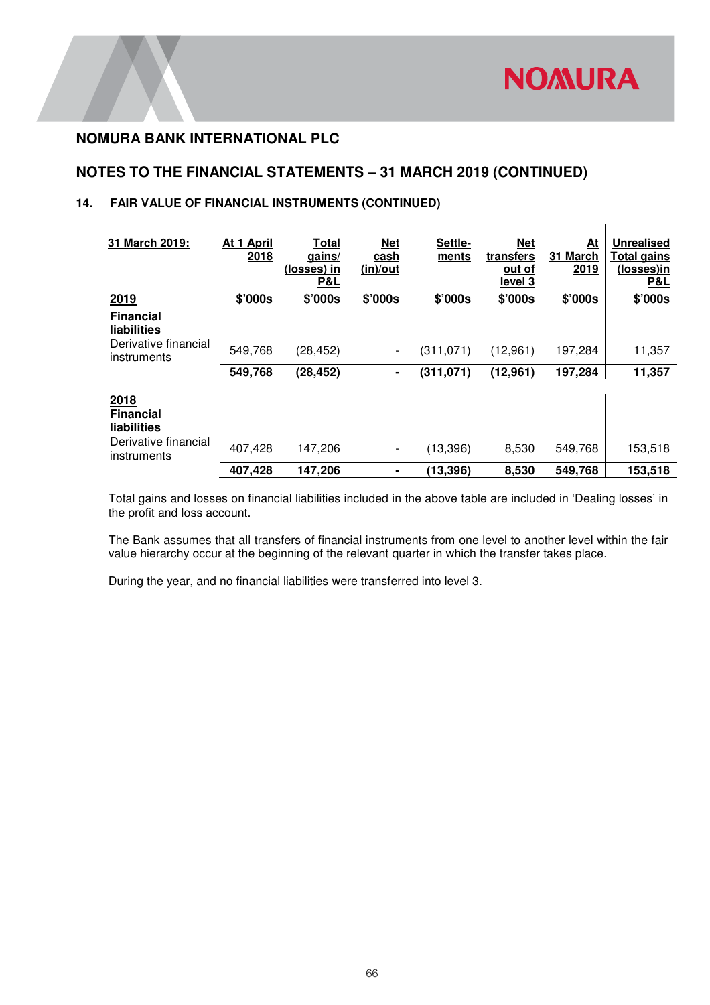$\mathbf{I}$ 

# **NOMURA BANK INTERNATIONAL PLC**

# **NOTES TO THE FINANCIAL STATEMENTS – 31 MARCH 2019 (CONTINUED)**

## **14. FAIR VALUE OF FINANCIAL INSTRUMENTS (CONTINUED)**

| 31 March 2019:                                                  | At 1 April<br>2018 | Total<br>gains/<br>(losses) in<br>P&L | <u>Net</u><br>cash<br>(in)/out | Settle-<br>ments | <b>Net</b><br>transfers<br><u>out of</u><br>level 3 | At<br>31 March<br>2019 | <b>Unrealised</b><br><b>Total gains</b><br>(losses)in<br>P&L |
|-----------------------------------------------------------------|--------------------|---------------------------------------|--------------------------------|------------------|-----------------------------------------------------|------------------------|--------------------------------------------------------------|
| 2019                                                            | \$'000s            | \$'000s                               | \$'000s                        | \$'000s          | \$'000s                                             | \$'000s                | \$'000s                                                      |
| <b>Financial</b><br>liabilities                                 |                    |                                       |                                |                  |                                                     |                        |                                                              |
| Derivative financial<br>instruments                             | 549,768            | (28, 452)                             | $\overline{\phantom{a}}$       | (311,071)        | (12,961)                                            | 197,284                | 11,357                                                       |
|                                                                 | 549,768            | (28, 452)                             | ۰                              | (311, 071)       | (12,961)                                            | 197,284                | 11,357                                                       |
| 2018<br><b>Financial</b><br>liabilities<br>Derivative financial |                    |                                       |                                |                  |                                                     |                        |                                                              |
| instruments                                                     | 407,428            | 147,206                               | $\overline{\phantom{a}}$       | (13, 396)        | 8,530                                               | 549,768                | 153,518                                                      |
|                                                                 | 407,428            | 147,206                               | ٠                              | (13, 396)        | 8,530                                               | 549,768                | 153,518                                                      |

Total gains and losses on financial liabilities included in the above table are included in 'Dealing losses' in the profit and loss account.

The Bank assumes that all transfers of financial instruments from one level to another level within the fair value hierarchy occur at the beginning of the relevant quarter in which the transfer takes place.

During the year, and no financial liabilities were transferred into level 3.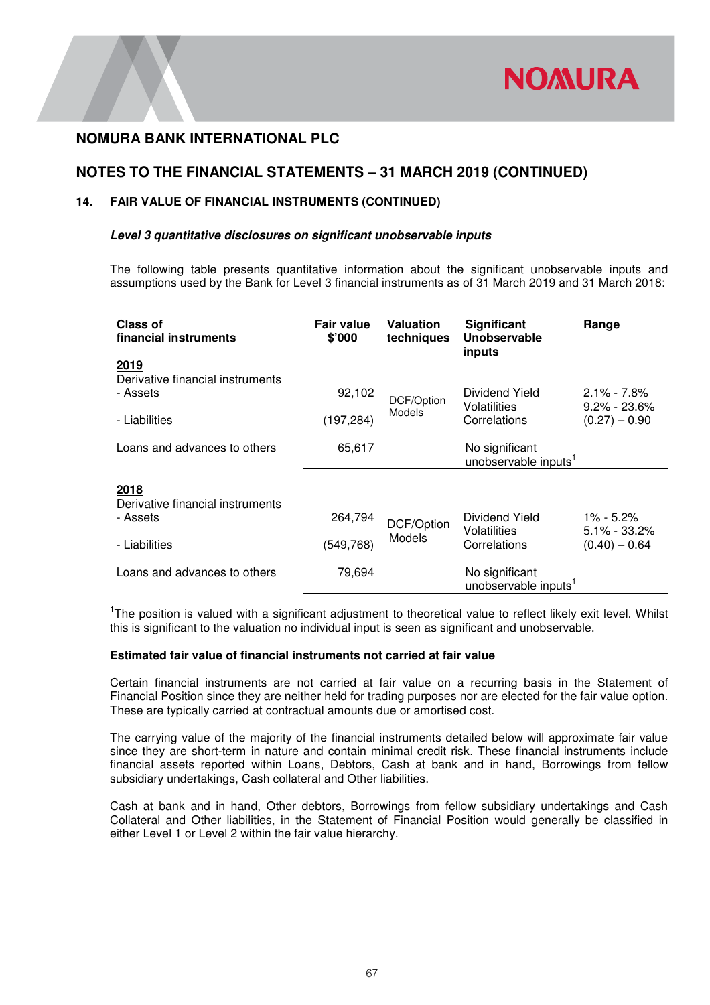

# **NOTES TO THE FINANCIAL STATEMENTS – 31 MARCH 2019 (CONTINUED)**

### **14. FAIR VALUE OF FINANCIAL INSTRUMENTS (CONTINUED)**

#### **Level 3 quantitative disclosures on significant unobservable inputs**

The following table presents quantitative information about the significant unobservable inputs and assumptions used by the Bank for Level 3 financial instruments as of 31 March 2019 and 31 March 2018:

| Class of<br>financial instruments        | <b>Fair value</b><br>\$'000 | <b>Valuation</b><br>techniques | Significant<br>Unobservable<br>inputs  | Range                               |
|------------------------------------------|-----------------------------|--------------------------------|----------------------------------------|-------------------------------------|
| 2019                                     |                             |                                |                                        |                                     |
| Derivative financial instruments         |                             |                                |                                        |                                     |
| - Assets                                 | 92,102                      | DCF/Option                     | Dividend Yield<br>Volatilities         | $2.1\% - 7.8\%$<br>$9.2\% - 23.6\%$ |
| - Liabilities                            | (197, 284)                  | Models                         | Correlations                           | $(0.27) - 0.90$                     |
| Loans and advances to others             | 65,617                      |                                | No significant                         |                                     |
|                                          |                             |                                | unobservable inputs <sup>1</sup>       |                                     |
| 2018<br>Derivative financial instruments |                             |                                |                                        |                                     |
| - Assets                                 | 264,794                     | DCF/Option                     | Dividend Yield<br>Volatilities         | $1\% - 5.2\%$<br>$5.1\% - 33.2\%$   |
| - Liabilities                            | (549, 768)                  | Models                         | Correlations                           | $(0.40) - 0.64$                     |
| Loans and advances to others             | 79,694                      |                                | No significant<br>unobservable inputs' |                                     |

<sup>1</sup>The position is valued with a significant adjustment to theoretical value to reflect likely exit level. Whilst this is significant to the valuation no individual input is seen as significant and unobservable.

#### **Estimated fair value of financial instruments not carried at fair value**

Certain financial instruments are not carried at fair value on a recurring basis in the Statement of Financial Position since they are neither held for trading purposes nor are elected for the fair value option. These are typically carried at contractual amounts due or amortised cost.

The carrying value of the majority of the financial instruments detailed below will approximate fair value since they are short-term in nature and contain minimal credit risk. These financial instruments include financial assets reported within Loans, Debtors, Cash at bank and in hand, Borrowings from fellow subsidiary undertakings, Cash collateral and Other liabilities.

Cash at bank and in hand, Other debtors, Borrowings from fellow subsidiary undertakings and Cash Collateral and Other liabilities, in the Statement of Financial Position would generally be classified in either Level 1 or Level 2 within the fair value hierarchy.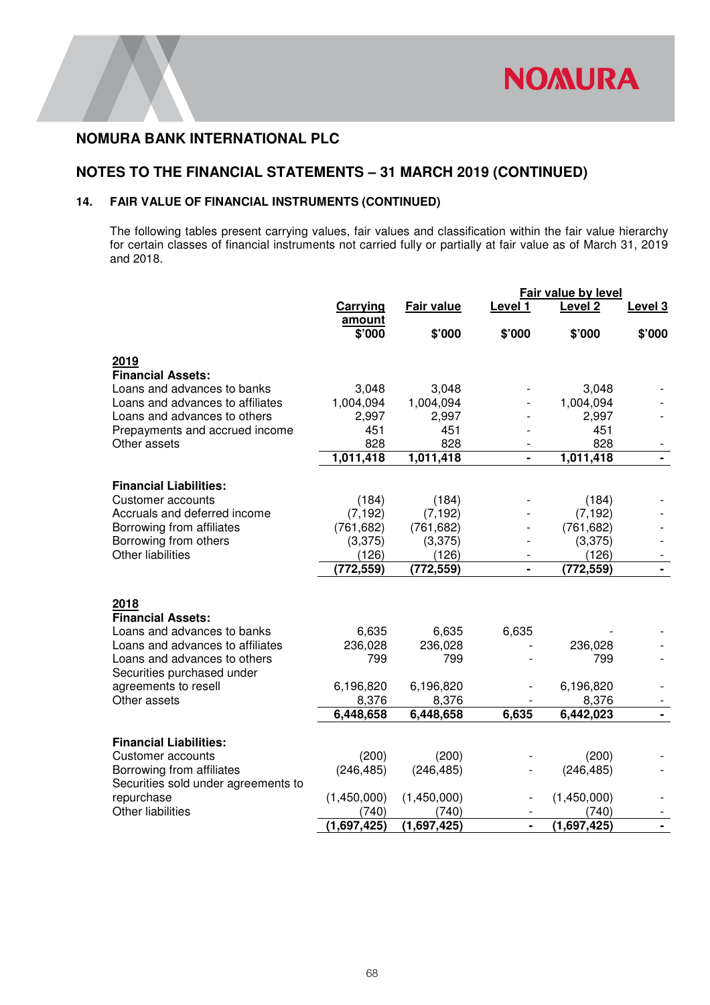# **NOTES TO THE FINANCIAL STATEMENTS – 31 MARCH 2019 (CONTINUED)**

### **14. FAIR VALUE OF FINANCIAL INSTRUMENTS (CONTINUED)**

The following tables present carrying values, fair values and classification within the fair value hierarchy for certain classes of financial instruments not carried fully or partially at fair value as of March 31, 2019 and 2018.

|                                        | <b>Fair value by level</b> |             |                |                    |                |
|----------------------------------------|----------------------------|-------------|----------------|--------------------|----------------|
|                                        | Carrying                   | Fair value  | Level 1        | Level <sub>2</sub> | Level 3        |
|                                        | amount<br>\$'000           | \$'000      | \$'000         | \$'000             | \$'000         |
| 2019                                   |                            |             |                |                    |                |
| <b>Financial Assets:</b>               |                            |             |                |                    |                |
| Loans and advances to banks            | 3,048                      | 3,048       |                | 3,048              |                |
| Loans and advances to affiliates       | 1,004,094                  | 1,004,094   |                | 1,004,094          |                |
| Loans and advances to others           | 2,997                      | 2,997       |                | 2,997              |                |
| Prepayments and accrued income         | 451                        | 451         |                | 451                |                |
| Other assets                           | 828                        | 828         |                | 828                |                |
|                                        | 1,011,418                  | 1,011,418   | $\blacksquare$ | 1,011,418          | ۰.             |
| <b>Financial Liabilities:</b>          |                            |             |                |                    |                |
| <b>Customer accounts</b>               | (184)                      | (184)       |                | (184)              |                |
| Accruals and deferred income           | (7, 192)                   | (7, 192)    |                | (7, 192)           |                |
| Borrowing from affiliates              | (761, 682)                 | (761, 682)  |                | (761, 682)         |                |
| Borrowing from others                  | (3,375)                    | (3,375)     |                | (3,375)            |                |
| <b>Other liabilities</b>               | (126)                      | (126)       |                | (126)              |                |
|                                        | (772, 559)                 | (772, 559)  | $\blacksquare$ | (772, 559)         |                |
|                                        |                            |             |                |                    |                |
| 2018                                   |                            |             |                |                    |                |
| <b>Financial Assets:</b>               |                            |             |                |                    |                |
| Loans and advances to banks            | 6,635                      | 6,635       | 6,635          |                    |                |
| Loans and advances to affiliates       | 236,028                    | 236,028     |                | 236,028            |                |
| Loans and advances to others           | 799                        | 799         |                | 799                |                |
| Securities purchased under             |                            |             |                |                    |                |
| agreements to resell                   | 6,196,820                  | 6,196,820   |                | 6,196,820          |                |
| Other assets                           | 8,376                      | 8,376       |                | 8,376              |                |
|                                        | 6,448,658                  | 6,448,658   | 6,635          | 6,442,023          | $\blacksquare$ |
|                                        |                            |             |                |                    |                |
| <b>Financial Liabilities:</b>          |                            |             |                |                    |                |
| <b>Customer accounts</b>               | (200)                      | (200)       |                | (200)              |                |
| Borrowing from affiliates              | (246, 485)                 | (246, 485)  |                | (246, 485)         |                |
| Securities sold under agreements to    |                            |             |                |                    |                |
| repurchase<br><b>Other liabilities</b> | (1,450,000)                | (1,450,000) |                | (1,450,000)        |                |
|                                        | (740)                      | (740)       |                | (740)              |                |
|                                        | $\overline{(1,697,425)}$   | (1,697,425) |                | (1,697,425)        |                |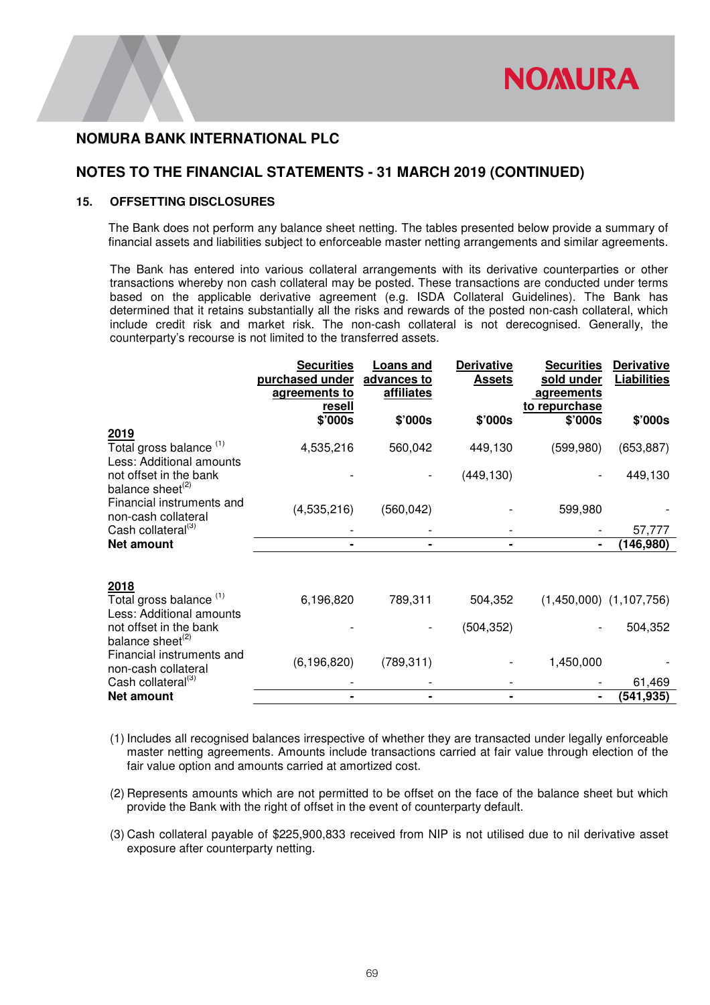

### **NOTES TO THE FINANCIAL STATEMENTS - 31 MARCH 2019 (CONTINUED)**

#### **15. OFFSETTING DISCLOSURES**

The Bank does not perform any balance sheet netting. The tables presented below provide a summary of financial assets and liabilities subject to enforceable master netting arrangements and similar agreements.

The Bank has entered into various collateral arrangements with its derivative counterparties or other transactions whereby non cash collateral may be posted. These transactions are conducted under terms based on the applicable derivative agreement (e.g. ISDA Collateral Guidelines). The Bank has determined that it retains substantially all the risks and rewards of the posted non-cash collateral, which include credit risk and market risk. The non-cash collateral is not derecognised. Generally, the counterparty's recourse is not limited to the transferred assets.

|                                                                        | <b>Securities</b><br>purchased under<br>agreements to | Loans and<br>advances to<br>affiliates | <b>Derivative</b><br><b>Assets</b> | <b>Securities</b><br>sold under<br>agreements<br>to repurchase | <b>Derivative</b><br><b>Liabilities</b> |
|------------------------------------------------------------------------|-------------------------------------------------------|----------------------------------------|------------------------------------|----------------------------------------------------------------|-----------------------------------------|
|                                                                        | <u>resell</u><br>\$'000s                              | \$'000s                                | \$'000s                            | \$'000s                                                        | \$'000s                                 |
| 2019<br>Total gross balance <sup>(1)</sup><br>Less: Additional amounts | 4,535,216                                             | 560,042                                | 449,130                            | (599, 980)                                                     | (653, 887)                              |
| not offset in the bank<br>balance sheet <sup>(2)</sup>                 |                                                       |                                        | (449, 130)                         |                                                                | 449,130                                 |
| Financial instruments and<br>non-cash collateral                       | (4,535,216)                                           | (560, 042)                             |                                    | 599,980                                                        |                                         |
| Cash collateral <sup>(3)</sup>                                         |                                                       |                                        |                                    |                                                                | 57,777                                  |
| <b>Net amount</b>                                                      |                                                       |                                        |                                    |                                                                | (146, 980)                              |
| 2018                                                                   |                                                       |                                        |                                    |                                                                |                                         |
| Total gross balance <sup>(1)</sup><br>Less: Additional amounts         | 6,196,820                                             | 789,311                                | 504,352                            |                                                                | $(1,450,000)$ $(1,107,756)$             |
| not offset in the bank<br>balance sheet <sup>(2)</sup>                 |                                                       |                                        | (504, 352)                         |                                                                | 504,352                                 |
| Financial instruments and<br>non-cash collateral                       | (6, 196, 820)                                         | (789, 311)                             |                                    | 1,450,000                                                      |                                         |
| Cash collateral <sup>(3)</sup>                                         |                                                       |                                        |                                    |                                                                | 61,469                                  |
| <b>Net amount</b>                                                      |                                                       |                                        |                                    |                                                                | (541,935)                               |

- (1) Includes all recognised balances irrespective of whether they are transacted under legally enforceable master netting agreements. Amounts include transactions carried at fair value through election of the fair value option and amounts carried at amortized cost.
- (2) Represents amounts which are not permitted to be offset on the face of the balance sheet but which provide the Bank with the right of offset in the event of counterparty default.
- (3) Cash collateral payable of \$225,900,833 received from NIP is not utilised due to nil derivative asset exposure after counterparty netting.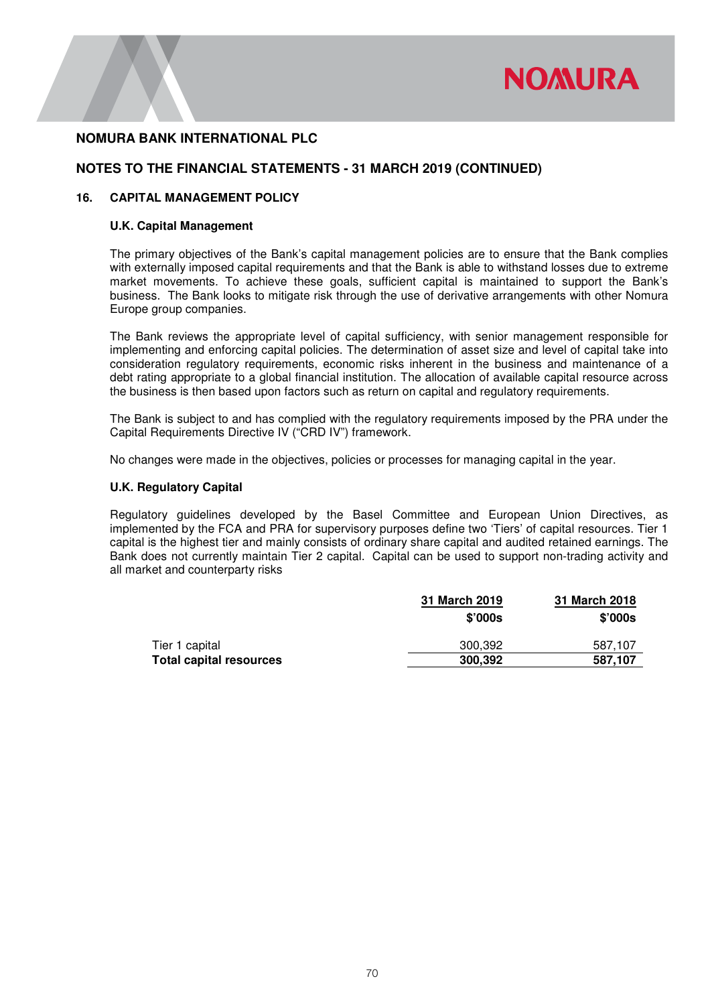

### **NOTES TO THE FINANCIAL STATEMENTS - 31 MARCH 2019 (CONTINUED)**

#### **16. CAPITAL MANAGEMENT POLICY**

#### **U.K. Capital Management**

The primary objectives of the Bank's capital management policies are to ensure that the Bank complies with externally imposed capital requirements and that the Bank is able to withstand losses due to extreme market movements. To achieve these goals, sufficient capital is maintained to support the Bank's business. The Bank looks to mitigate risk through the use of derivative arrangements with other Nomura Europe group companies.

The Bank reviews the appropriate level of capital sufficiency, with senior management responsible for implementing and enforcing capital policies. The determination of asset size and level of capital take into consideration regulatory requirements, economic risks inherent in the business and maintenance of a debt rating appropriate to a global financial institution. The allocation of available capital resource across the business is then based upon factors such as return on capital and regulatory requirements.

The Bank is subject to and has complied with the regulatory requirements imposed by the PRA under the Capital Requirements Directive IV ("CRD IV") framework.

No changes were made in the objectives, policies or processes for managing capital in the year.

#### **U.K. Regulatory Capital**

Regulatory guidelines developed by the Basel Committee and European Union Directives, as implemented by the FCA and PRA for supervisory purposes define two 'Tiers' of capital resources. Tier 1 capital is the highest tier and mainly consists of ordinary share capital and audited retained earnings. The Bank does not currently maintain Tier 2 capital. Capital can be used to support non-trading activity and all market and counterparty risks

|                                | 31 March 2019    | 31 March 2018 |
|--------------------------------|------------------|---------------|
|                                | $$^{\prime}000s$ | \$'000s       |
| Tier 1 capital                 | 300.392          | 587.107       |
| <b>Total capital resources</b> | 300.392          | 587,107       |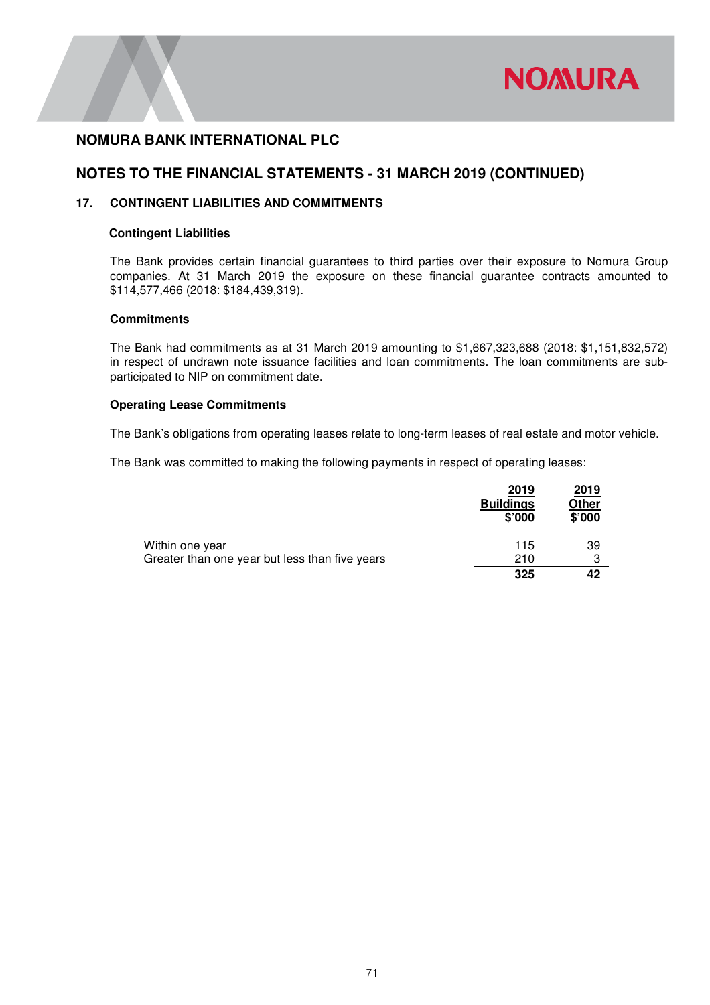

## **NOTES TO THE FINANCIAL STATEMENTS - 31 MARCH 2019 (CONTINUED)**

### **17. CONTINGENT LIABILITIES AND COMMITMENTS**

#### **Contingent Liabilities**

The Bank provides certain financial guarantees to third parties over their exposure to Nomura Group companies. At 31 March 2019 the exposure on these financial guarantee contracts amounted to \$114,577,466 (2018: \$184,439,319).

#### **Commitments**

The Bank had commitments as at 31 March 2019 amounting to \$1,667,323,688 (2018: \$1,151,832,572) in respect of undrawn note issuance facilities and loan commitments. The loan commitments are subparticipated to NIP on commitment date.

#### **Operating Lease Commitments**

The Bank's obligations from operating leases relate to long-term leases of real estate and motor vehicle.

The Bank was committed to making the following payments in respect of operating leases:

|                                                | 2019<br><b>Buildings</b><br>\$'000 | 2019<br>Other<br>\$'000 |
|------------------------------------------------|------------------------------------|-------------------------|
| Within one year                                | 115                                | 39                      |
| Greater than one year but less than five years | 210                                | 3                       |
|                                                | 325                                | 42                      |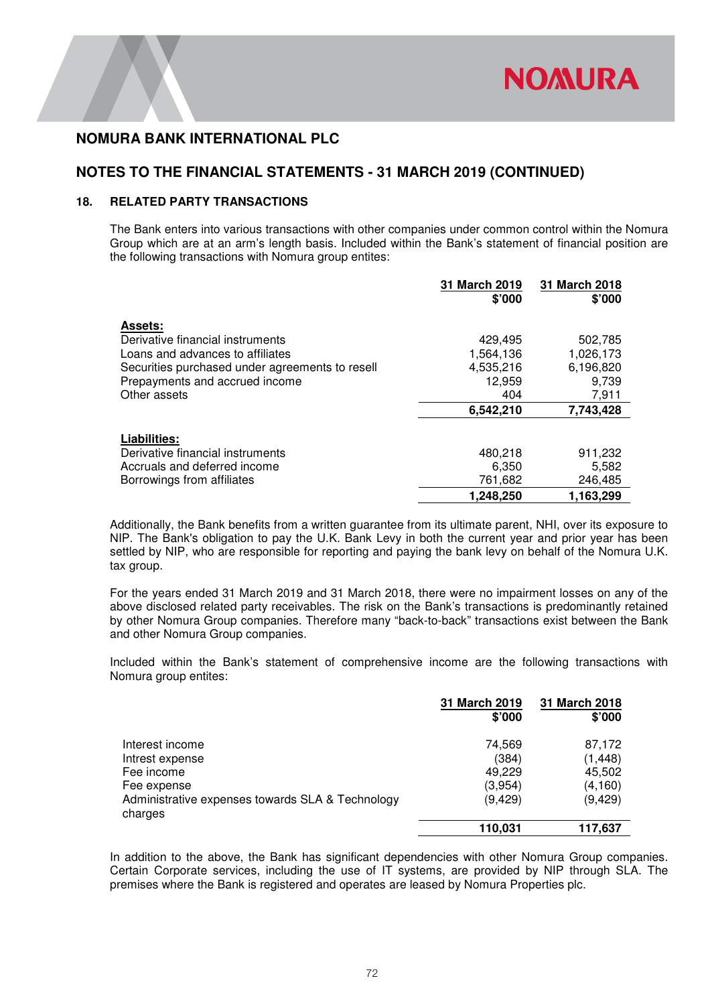## **NOTES TO THE FINANCIAL STATEMENTS - 31 MARCH 2019 (CONTINUED)**

#### **18. RELATED PARTY TRANSACTIONS**

The Bank enters into various transactions with other companies under common control within the Nomura Group which are at an arm's length basis. Included within the Bank's statement of financial position are the following transactions with Nomura group entites:

|                                                 | 31 March 2019 | 31 March 2018 |
|-------------------------------------------------|---------------|---------------|
|                                                 | \$'000        | \$'000        |
| <b>Assets:</b>                                  |               |               |
| Derivative financial instruments                | 429,495       | 502,785       |
| Loans and advances to affiliates                | 1,564,136     | 1,026,173     |
| Securities purchased under agreements to resell | 4,535,216     | 6,196,820     |
| Prepayments and accrued income                  | 12,959        | 9,739         |
| Other assets                                    | 404           | 7,911         |
|                                                 | 6,542,210     | 7,743,428     |
| Liabilities:                                    |               |               |
| Derivative financial instruments                | 480,218       | 911,232       |
| Accruals and deferred income                    | 6,350         | 5,582         |
| Borrowings from affiliates                      | 761,682       | 246,485       |
|                                                 | 1,248,250     | 1,163,299     |

Additionally, the Bank benefits from a written guarantee from its ultimate parent, NHI, over its exposure to NIP. The Bank's obligation to pay the U.K. Bank Levy in both the current year and prior year has been settled by NIP, who are responsible for reporting and paying the bank levy on behalf of the Nomura U.K. tax group.

For the years ended 31 March 2019 and 31 March 2018, there were no impairment losses on any of the above disclosed related party receivables. The risk on the Bank's transactions is predominantly retained by other Nomura Group companies. Therefore many "back-to-back" transactions exist between the Bank and other Nomura Group companies.

Included within the Bank's statement of comprehensive income are the following transactions with Nomura group entites:

|                                                             | 31 March 2019<br>\$'000 | 31 March 2018<br>\$'000 |
|-------------------------------------------------------------|-------------------------|-------------------------|
| Interest income                                             | 74.569                  | 87,172                  |
| Intrest expense                                             | (384)                   | (1, 448)                |
| Fee income                                                  | 49,229                  | 45,502                  |
| Fee expense                                                 | (3,954)                 | (4,160)                 |
| Administrative expenses towards SLA & Technology<br>charges | (9, 429)                | (9, 429)                |
|                                                             | 110,031                 | 117,637                 |

In addition to the above, the Bank has significant dependencies with other Nomura Group companies. Certain Corporate services, including the use of IT systems, are provided by NIP through SLA. The premises where the Bank is registered and operates are leased by Nomura Properties plc.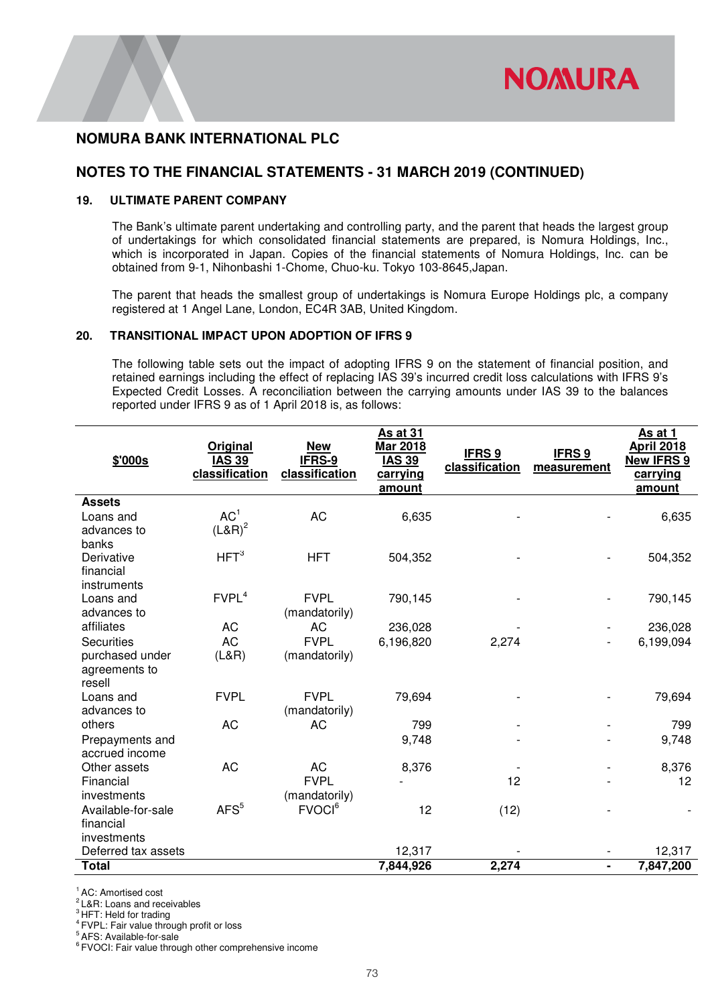

### **NOTES TO THE FINANCIAL STATEMENTS - 31 MARCH 2019 (CONTINUED)**

#### **19. ULTIMATE PARENT COMPANY**

The Bank's ultimate parent undertaking and controlling party, and the parent that heads the largest group of undertakings for which consolidated financial statements are prepared, is Nomura Holdings, Inc., which is incorporated in Japan. Copies of the financial statements of Nomura Holdings, Inc. can be obtained from 9-1, Nihonbashi 1-Chome, Chuo-ku. Tokyo 103-8645,Japan.

The parent that heads the smallest group of undertakings is Nomura Europe Holdings plc, a company registered at 1 Angel Lane, London, EC4R 3AB, United Kingdom.

#### **20. TRANSITIONAL IMPACT UPON ADOPTION OF IFRS 9**

The following table sets out the impact of adopting IFRS 9 on the statement of financial position, and retained earnings including the effect of replacing IAS 39's incurred credit loss calculations with IFRS 9's Expected Credit Losses. A reconciliation between the carrying amounts under IAS 39 to the balances reported under IFRS 9 as of 1 April 2018 is, as follows:

| \$'000s                  | Original<br><b>IAS 39</b><br>classification | <b>New</b><br>IFRS-9<br>classification | <b>As at 31</b><br>Mar 2018<br><b>IAS 39</b><br>carrying<br>amount | IFRS <sub>9</sub><br>classification | <b>IFRS 9</b><br>measurement | As at 1<br><b>April 2018</b><br><b>New IFRS 9</b><br>carrying<br>amount |
|--------------------------|---------------------------------------------|----------------------------------------|--------------------------------------------------------------------|-------------------------------------|------------------------------|-------------------------------------------------------------------------|
| <b>Assets</b>            |                                             |                                        |                                                                    |                                     |                              |                                                                         |
| Loans and<br>advances to | AC <sup>1</sup><br>$(L&R)^2$                | AC                                     | 6,635                                                              |                                     |                              | 6,635                                                                   |
| banks                    |                                             |                                        |                                                                    |                                     |                              |                                                                         |
| Derivative               | HFT <sup>3</sup>                            | <b>HFT</b>                             | 504,352                                                            |                                     |                              | 504,352                                                                 |
| financial                |                                             |                                        |                                                                    |                                     |                              |                                                                         |
| instruments              |                                             |                                        |                                                                    |                                     |                              |                                                                         |
| Loans and<br>advances to | FVPL <sup>4</sup>                           | <b>FVPL</b><br>(mandatorily)           | 790,145                                                            |                                     |                              | 790,145                                                                 |
| affiliates               | <b>AC</b>                                   | AC                                     | 236,028                                                            |                                     |                              | 236,028                                                                 |
| <b>Securities</b>        | <b>AC</b>                                   | <b>FVPL</b>                            | 6,196,820                                                          | 2,274                               |                              | 6,199,094                                                               |
| purchased under          | (L&R)                                       | (mandatorily)                          |                                                                    |                                     |                              |                                                                         |
| agreements to            |                                             |                                        |                                                                    |                                     |                              |                                                                         |
| resell<br>Loans and      | <b>FVPL</b>                                 | <b>FVPL</b>                            | 79,694                                                             |                                     |                              | 79,694                                                                  |
| advances to              |                                             | (mandatorily)                          |                                                                    |                                     |                              |                                                                         |
| others                   | <b>AC</b>                                   | <b>AC</b>                              | 799                                                                |                                     |                              | 799                                                                     |
| Prepayments and          |                                             |                                        | 9,748                                                              |                                     |                              | 9,748                                                                   |
| accrued income           |                                             |                                        |                                                                    |                                     |                              |                                                                         |
| Other assets             | <b>AC</b>                                   | <b>AC</b>                              | 8,376                                                              |                                     |                              | 8,376                                                                   |
| Financial                |                                             | <b>FVPL</b>                            |                                                                    | 12                                  |                              | 12                                                                      |
| investments              |                                             | (mandatorily)                          |                                                                    |                                     |                              |                                                                         |
| Available-for-sale       | AFS <sup>5</sup>                            | FVOCI <sup>6</sup>                     | 12                                                                 | (12)                                |                              |                                                                         |
| financial                |                                             |                                        |                                                                    |                                     |                              |                                                                         |
| investments              |                                             |                                        |                                                                    |                                     |                              |                                                                         |
| Deferred tax assets      |                                             |                                        | 12,317                                                             |                                     |                              | 12,317                                                                  |
| <b>Total</b>             |                                             |                                        | 7,844,926                                                          | 2,274                               | ۰                            | 7,847,200                                                               |

<sup>1</sup> AC: Amortised cost

<sup>2</sup>L&R: Loans and receivables

<sup>3</sup> HFT: Held for trading

<sup>4</sup>FVPL: Fair value through profit or loss

<sup>5</sup>AFS: Available-for-sale

<sup>6</sup>FVOCI: Fair value through other comprehensive income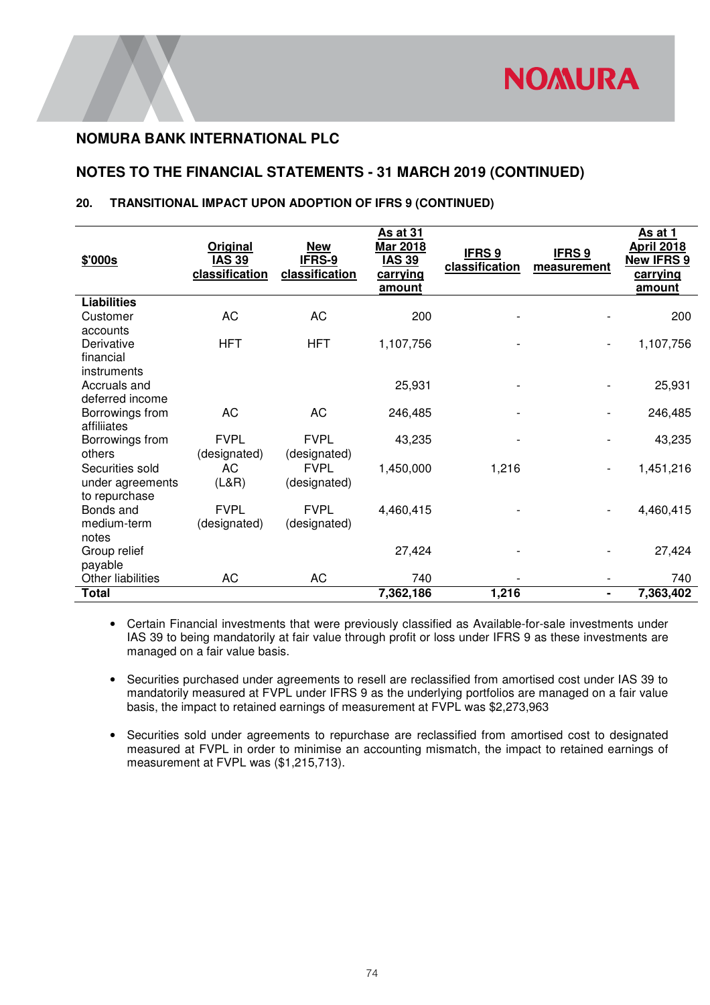# **NOTES TO THE FINANCIAL STATEMENTS - 31 MARCH 2019 (CONTINUED)**

### **20. TRANSITIONAL IMPACT UPON ADOPTION OF IFRS 9 (CONTINUED)**

| \$'000s            | Original<br><b>IAS 39</b><br>classification | <b>New</b><br>IFRS-9<br>classification | As at 31<br>Mar 2018<br><b>IAS 39</b><br>carrying<br>amount | <b>IFRS 9</b><br>classification | <b>IFRS 9</b><br>measurement | As at 1<br><b>April 2018</b><br><b>New IFRS 9</b><br>carrying<br>amount |
|--------------------|---------------------------------------------|----------------------------------------|-------------------------------------------------------------|---------------------------------|------------------------------|-------------------------------------------------------------------------|
| <b>Liabilities</b> |                                             |                                        |                                                             |                                 |                              |                                                                         |
| Customer           | AC                                          | AC                                     | 200                                                         |                                 |                              | 200                                                                     |
| accounts           |                                             |                                        |                                                             |                                 |                              |                                                                         |
| Derivative         | <b>HFT</b>                                  | <b>HFT</b>                             | 1,107,756                                                   |                                 | $\overline{\phantom{a}}$     | 1,107,756                                                               |
| financial          |                                             |                                        |                                                             |                                 |                              |                                                                         |
| instruments        |                                             |                                        |                                                             |                                 |                              |                                                                         |
| Accruals and       |                                             |                                        | 25,931                                                      |                                 |                              | 25,931                                                                  |
| deferred income    |                                             |                                        |                                                             |                                 |                              |                                                                         |
| Borrowings from    | AC                                          | AC                                     | 246,485                                                     |                                 |                              | 246,485                                                                 |
| affiliiates        |                                             |                                        |                                                             |                                 |                              |                                                                         |
| Borrowings from    | <b>FVPL</b>                                 | <b>FVPL</b>                            | 43,235                                                      |                                 |                              | 43,235                                                                  |
| others             | (designated)                                | (designated)                           |                                                             |                                 |                              |                                                                         |
| Securities sold    | AC                                          | <b>FVPL</b>                            | 1,450,000                                                   | 1,216                           | $\overline{\phantom{a}}$     | 1,451,216                                                               |
| under agreements   | (L&R)                                       | (designated)                           |                                                             |                                 |                              |                                                                         |
| to repurchase      |                                             |                                        |                                                             |                                 |                              |                                                                         |
| Bonds and          | <b>FVPL</b>                                 | <b>FVPL</b>                            | 4,460,415                                                   |                                 |                              | 4,460,415                                                               |
| medium-term        | (designated)                                | (designated)                           |                                                             |                                 |                              |                                                                         |
| notes              |                                             |                                        |                                                             |                                 |                              |                                                                         |
| Group relief       |                                             |                                        | 27,424                                                      |                                 |                              | 27,424                                                                  |
| payable            |                                             |                                        |                                                             |                                 |                              |                                                                         |
| Other liabilities  | AC                                          | AC                                     | 740                                                         |                                 |                              | 740                                                                     |
| <b>Total</b>       |                                             |                                        | 7,362,186                                                   | 1,216                           | $\blacksquare$               | 7,363,402                                                               |

• Certain Financial investments that were previously classified as Available-for-sale investments under IAS 39 to being mandatorily at fair value through profit or loss under IFRS 9 as these investments are managed on a fair value basis.

• Securities purchased under agreements to resell are reclassified from amortised cost under IAS 39 to mandatorily measured at FVPL under IFRS 9 as the underlying portfolios are managed on a fair value basis, the impact to retained earnings of measurement at FVPL was \$2,273,963

• Securities sold under agreements to repurchase are reclassified from amortised cost to designated measured at FVPL in order to minimise an accounting mismatch, the impact to retained earnings of measurement at FVPL was (\$1,215,713).